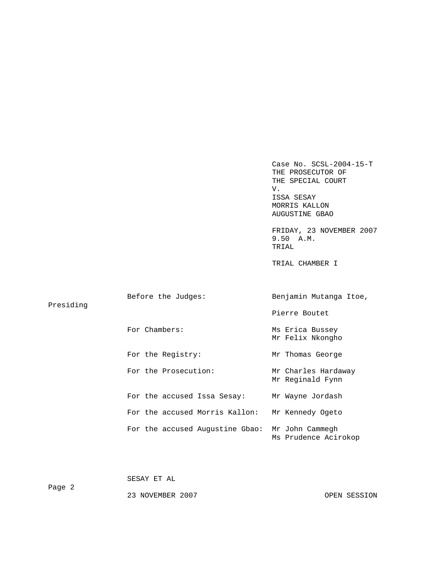Case No. SCSL-2004-15-T THE PROSECUTOR OF THE SPECIAL COURT V. V. ISSA SESAY MORRIS KALLON AUGUSTINE GBAO FRIDAY, 23 NOVEMBER 2007 9.50 A.M. TRIAL TRIAL CHAMBER I

| Presiding | Before the Judges:              | Benjamin Mutanga Itoe,                  |  |  |
|-----------|---------------------------------|-----------------------------------------|--|--|
|           |                                 | Pierre Boutet                           |  |  |
|           | For Chambers:                   | Ms Erica Bussey<br>Mr Felix Nkongho     |  |  |
|           | For the Registry:               | Mr Thomas George                        |  |  |
|           | For the Prosecution:            | Mr Charles Hardaway<br>Mr Reginald Fynn |  |  |
|           | For the accused Issa Sesay:     | Mr Wayne Jordash                        |  |  |
|           | For the accused Morris Kallon:  | Mr Kennedy Ogeto                        |  |  |
|           | For the accused Augustine Gbao: | Mr John Cammegh<br>Ms Prudence Acirokop |  |  |

| Page 2 | SESAY ET AL      |              |
|--------|------------------|--------------|
|        | 23 NOVEMBER 2007 | OPEN SESSION |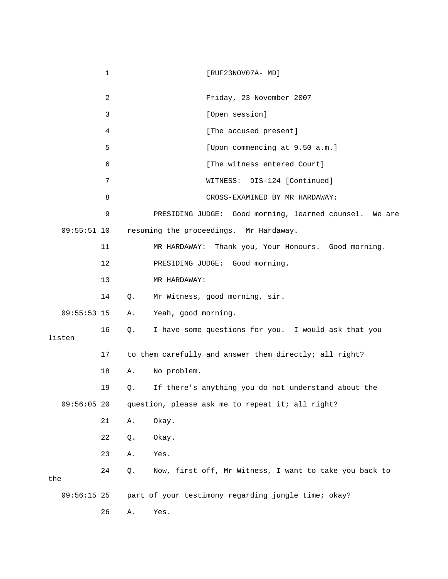1 [RUF23NOV07A- MD] 2 Friday, 23 November 2007 3 [Open session] 4 [The accused present] 5 [Upon commencing at 9.50 a.m.] 6 **b** [The witness entered Court] 7 WITNESS: DIS-124 [Continued] 8 CROSS-EXAMINED BY MR HARDAWAY: 9 PRESIDING JUDGE: Good morning, learned counsel. We are 09:55:51 10 resuming the proceedings. Mr Hardaway. 11 MR HARDAWAY: Thank you, Your Honours. Good morning. 12 PRESIDING JUDGE: Good morning. 13 MR HARDAWAY: 14 Q. Mr Witness, good morning, sir. 09:55:53 15 A. Yeah, good morning. 16 Q. I have some questions for you. I would ask that you listen 17 to them carefully and answer them directly; all right? 18 A. No problem. 19 Q. If there's anything you do not understand about the 09:56:05 20 question, please ask me to repeat it; all right? 21 A. Okay. 22 Q. Okay. 23 A. Yes. 24 Q. Now, first off, Mr Witness, I want to take you back to the 09:56:15 25 part of your testimony regarding jungle time; okay? 26 A. Yes.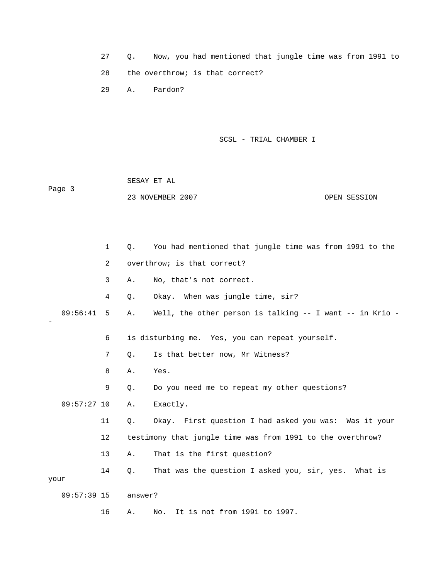27 Q. Now, you had mentioned that jungle time was from 1991 to 28 the overthrow; is that correct?

29 A. Pardon?

SCSL - TRIAL CHAMBER I

 SESAY ET AL Page 3

23 NOVEMBER 2007 OPEN SESSION

 1 Q. You had mentioned that jungle time was from 1991 to the 2 overthrow; is that correct? 3 A. No, that's not correct. 4 Q. Okay. When was jungle time, sir? 09:56:41 5 A. Well, the other person is talking -- I want -- in Krio - - 6 is disturbing me. Yes, you can repeat yourself. 7 Q. Is that better now, Mr Witness? 8 A. Yes. 9 Q. Do you need me to repeat my other questions? 09:57:27 10 A. Exactly. 11 Q. Okay. First question I had asked you was: Was it your 12 testimony that jungle time was from 1991 to the overthrow? 13 A. That is the first question? 14 Q. That was the question I asked you, sir, yes. What is your 09:57:39 15 answer? 16 A. No. It is not from 1991 to 1997.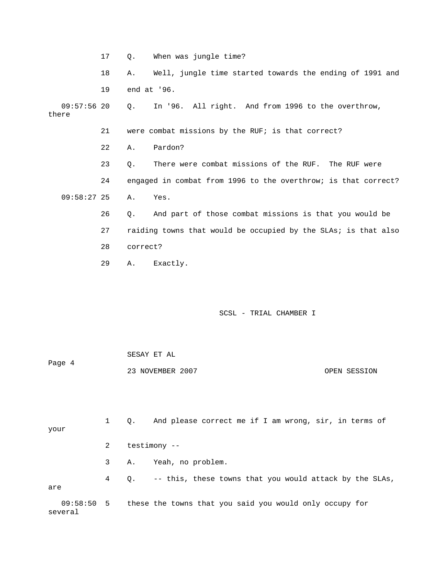- 17 Q. When was jungle time?
- 18 A. Well, jungle time started towards the ending of 1991 and 19 end at '96.

 09:57:56 20 Q. In '96. All right. And from 1996 to the overthrow, there

- 21 were combat missions by the RUF; is that correct?
- 22 A. Pardon?
- 23 Q. There were combat missions of the RUF. The RUF were 24 engaged in combat from 1996 to the overthrow; is that correct? 09:58:27 25 A. Yes.
	- 26 Q. And part of those combat missions is that you would be 27 raiding towns that would be occupied by the SLAs; is that also 28 correct?
	- 29 A. Exactly.

several

## SCSL - TRIAL CHAMBER I

| Page 4 | SESAY ET AL      |              |
|--------|------------------|--------------|
|        | 23 NOVEMBER 2007 | OPEN SESSION |

 1 Q. And please correct me if I am wrong, sir, in terms of your 2 testimony -- 3 A. Yeah, no problem. 4 Q. -- this, these towns that you would attack by the SLAs, are 09:58:50 5 these the towns that you said you would only occupy for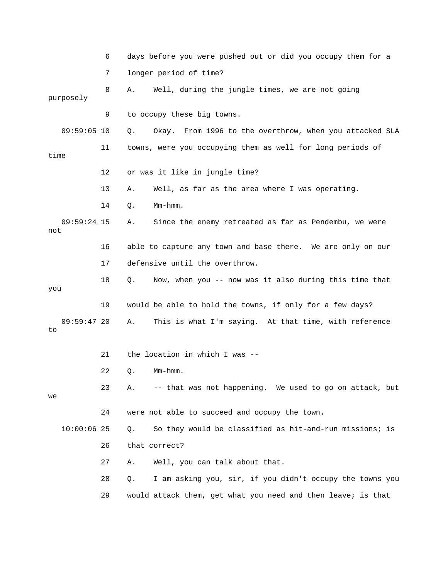6 days before you were pushed out or did you occupy them for a 7 longer period of time? 8 A. Well, during the jungle times, we are not going purposely 9 to occupy these big towns. 09:59:05 10 Q. Okay. From 1996 to the overthrow, when you attacked SLA 11 towns, were you occupying them as well for long periods of time 12 or was it like in jungle time? 13 A. Well, as far as the area where I was operating. 14 Q. Mm-hmm. 09:59:24 15 A. Since the enemy retreated as far as Pendembu, we were not 16 able to capture any town and base there. We are only on our 17 defensive until the overthrow. 18 Q. Now, when you -- now was it also during this time that you 19 would be able to hold the towns, if only for a few days? 09:59:47 20 A. This is what I'm saying. At that time, with reference to 21 the location in which I was -- 22 Q. Mm-hmm. 23 A. -- that was not happening. We used to go on attack, but we 24 were not able to succeed and occupy the town. 10:00:06 25 Q. So they would be classified as hit-and-run missions; is 26 that correct? 27 A. Well, you can talk about that. 28 Q. I am asking you, sir, if you didn't occupy the towns you 29 would attack them, get what you need and then leave; is that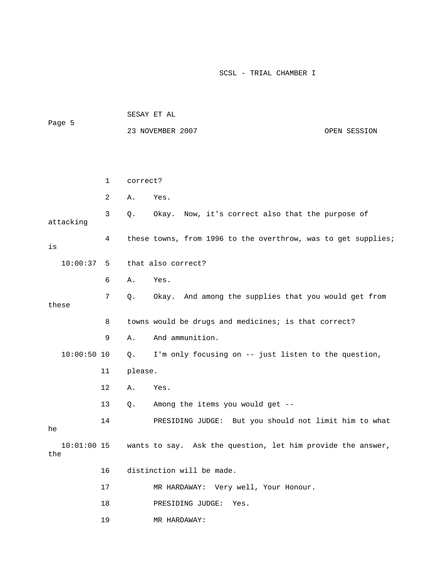|                      |              | SESAY ET AL |                                                               |              |
|----------------------|--------------|-------------|---------------------------------------------------------------|--------------|
| Page 5               |              |             | 23 NOVEMBER 2007                                              | OPEN SESSION |
|                      |              |             |                                                               |              |
|                      |              |             |                                                               |              |
|                      | $\mathbf{1}$ | correct?    |                                                               |              |
|                      | 2            | Α.          | Yes.                                                          |              |
| attacking            | 3            | Q.          | Okay. Now, it's correct also that the purpose of              |              |
| is                   | 4            |             | these towns, from 1996 to the overthrow, was to get supplies; |              |
| 10:00:37             | 5            |             | that also correct?                                            |              |
|                      | 6            | Α.          | Yes.                                                          |              |
| these                | 7            | Q.          | Okay. And among the supplies that you would get from          |              |
|                      | 8            |             | towns would be drugs and medicines; is that correct?          |              |
|                      | 9            | Α.          | And ammunition.                                               |              |
| $10:00:50$ 10        |              | Q.          | I'm only focusing on -- just listen to the question,          |              |
|                      | 11           | please.     |                                                               |              |
|                      | 12           | Α.          | Yes.                                                          |              |
|                      | 13           | Q.          | Among the items you would get --                              |              |
| he                   | 14           |             | PRESIDING JUDGE: But you should not limit him to what         |              |
| $10:01:00$ 15<br>the |              |             | wants to say. Ask the question, let him provide the answer,   |              |
|                      | 16           |             | distinction will be made.                                     |              |
|                      | 17           |             | Very well, Your Honour.<br>MR HARDAWAY:                       |              |
|                      | 18           |             | PRESIDING JUDGE:<br>Yes.                                      |              |
|                      | 19           |             | MR HARDAWAY:                                                  |              |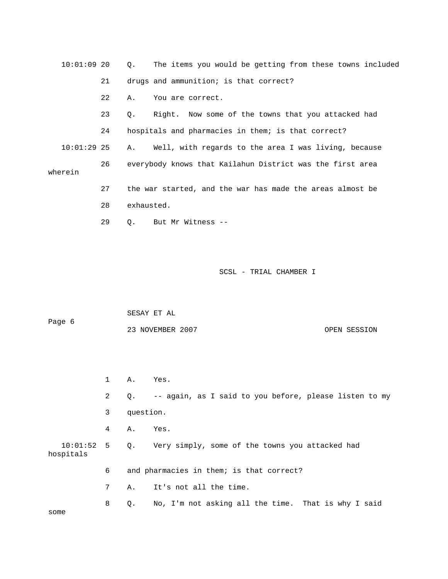| 10:01:09 20   |    | Q. The items you would be getting from these towns included     |
|---------------|----|-----------------------------------------------------------------|
|               | 21 | drugs and ammunition; is that correct?                          |
|               | 22 | You are correct.<br>Α.                                          |
|               | 23 | Right. Now some of the towns that you attacked had<br>$\circ$ . |
|               | 24 | hospitals and pharmacies in them; is that correct?              |
| $10:01:29$ 25 |    | Well, with regards to the area I was living, because<br>Α.      |
| wherein       | 26 | everybody knows that Kailahun District was the first area       |
|               | 27 | the war started, and the war has made the areas almost be       |
|               | 28 | exhausted.                                                      |
|               | 29 | But Mr Witness --<br>$\circ$ .                                  |

|                           |              | SESAY ET AL |                                                           |
|---------------------------|--------------|-------------|-----------------------------------------------------------|
| Page 6                    |              |             | 23 NOVEMBER 2007<br>OPEN SESSION                          |
|                           |              |             |                                                           |
|                           |              |             |                                                           |
|                           | $\mathbf{1}$ | Α.          | Yes.                                                      |
|                           | 2            |             | Q. -- again, as I said to you before, please listen to my |
|                           | 3            | question.   |                                                           |
|                           | 4            | A.          | Yes.                                                      |
| $10:01:52$ 5<br>hospitals |              |             | Q. Very simply, some of the towns you attacked had        |
|                           | 6            |             | and pharmacies in them; is that correct?                  |
|                           | 7            | Α.          | It's not all the time.                                    |
| some                      | 8            | О.          | No, I'm not asking all the time. That is why I said       |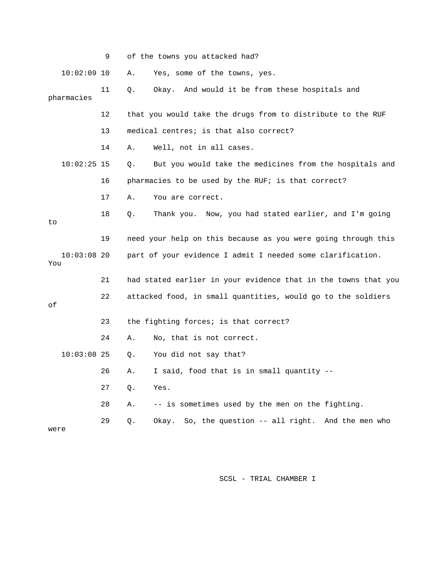|                      | 9  | of the towns you attacked had?                                 |
|----------------------|----|----------------------------------------------------------------|
| $10:02:09$ 10        |    | Α.<br>Yes, some of the towns, yes.                             |
| pharmacies           | 11 | Okay. And would it be from these hospitals and<br>О.           |
|                      | 12 | that you would take the drugs from to distribute to the RUF    |
|                      | 13 | medical centres; is that also correct?                         |
|                      | 14 | Well, not in all cases.<br>Α.                                  |
| $10:02:25$ 15        |    | But you would take the medicines from the hospitals and<br>Q.  |
|                      | 16 | pharmacies to be used by the RUF; is that correct?             |
|                      | 17 | You are correct.<br>Α.                                         |
| to                   | 18 | Thank you. Now, you had stated earlier, and I'm going<br>Q.    |
|                      | 19 | need your help on this because as you were going through this  |
| $10:03:08$ 20<br>You |    | part of your evidence I admit I needed some clarification.     |
|                      | 21 | had stated earlier in your evidence that in the towns that you |
| οf                   | 22 | attacked food, in small quantities, would go to the soldiers   |
|                      | 23 | the fighting forces; is that correct?                          |
|                      | 24 | Α.<br>No, that is not correct.                                 |
| $10:03:08$ 25        |    | You did not say that?<br>Q.                                    |
|                      | 26 | I said, food that is in small quantity --<br>Α.                |
|                      | 27 | Yes.<br>Q.                                                     |
|                      | 28 | -- is sometimes used by the men on the fighting.<br>Α.         |
| were                 | 29 | So, the question -- all right. And the men who<br>Q.<br>Okay.  |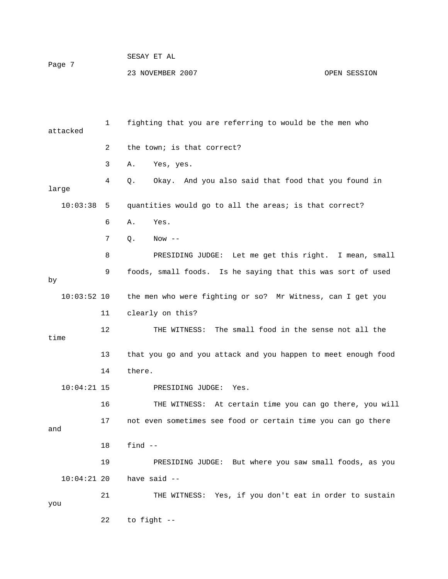| Page 7 | SESAY ET AL      |              |
|--------|------------------|--------------|
|        | 23 NOVEMBER 2007 | OPEN SESSION |

| attacked      | 1  | fighting that you are referring to would be the men who       |
|---------------|----|---------------------------------------------------------------|
|               | 2  | the town; is that correct?                                    |
|               | 3  | Yes, yes.<br>Α.                                               |
| large         | 4  | Okay. And you also said that food that you found in<br>Q.     |
| 10:03:38      | 5  | quantities would go to all the areas; is that correct?        |
|               | 6  | Yes.<br>Α.                                                    |
|               | 7  | $Q$ .<br>Now $--$                                             |
|               | 8  | PRESIDING JUDGE: Let me get this right. I mean, small         |
| by            | 9  | foods, small foods. Is he saying that this was sort of used   |
| $10:03:52$ 10 |    | the men who were fighting or so? Mr Witness, can I get you    |
|               | 11 | clearly on this?                                              |
| time          | 12 | THE WITNESS: The small food in the sense not all the          |
|               | 13 | that you go and you attack and you happen to meet enough food |
|               | 14 | there.                                                        |
| $10:04:21$ 15 |    | PRESIDING JUDGE:<br>Yes.                                      |
|               | 16 | THE WITNESS: At certain time you can go there, you will       |
| and           | 17 | not even sometimes see food or certain time you can go there  |
|               | 18 | find $--$                                                     |
|               | 19 | PRESIDING JUDGE: But where you saw small foods, as you        |
| $10:04:21$ 20 |    | have said --                                                  |
| you           | 21 | THE WITNESS: Yes, if you don't eat in order to sustain        |
|               | 22 | to fight --                                                   |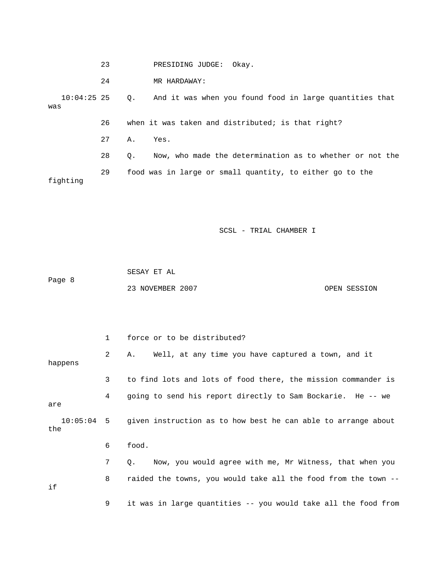|     |               | 23 |           | Okav.<br>PRESIDING JUDGE:                                |
|-----|---------------|----|-----------|----------------------------------------------------------|
|     |               | 24 |           | MR HARDAWAY:                                             |
| was | $10:04:25$ 25 |    | $\circ$ . | And it was when you found food in large quantities that  |
|     |               | 26 |           | when it was taken and distributed; is that right?        |
|     |               | 27 | Α.        | Yes.                                                     |
|     |               | 28 | $\circ$ . | Now, who made the determination as to whether or not the |
|     | fighting      | 29 |           | food was in large or small quantity, to either go to the |

|        | SESAY ET AL      |              |
|--------|------------------|--------------|
| Page 8 |                  |              |
|        | 23 NOVEMBER 2007 | OPEN SESSION |

|         | $\mathbf{1}$ | force or to be distributed?                                              |
|---------|--------------|--------------------------------------------------------------------------|
| happens | 2            | Well, at any time you have captured a town, and it<br>Α.                 |
|         | 3            | to find lots and lots of food there, the mission commander is            |
| are     | 4            | going to send his report directly to Sam Bockarie. He -- we              |
| the     |              | 10:05:04 5 given instruction as to how best he can able to arrange about |
|         | 6            | food.                                                                    |
|         | 7            | Now, you would agree with me, Mr Witness, that when you<br>$\circ$ .     |
| if      | 8            | raided the towns, you would take all the food from the town --           |
|         | 9            | it was in large quantities -- you would take all the food from           |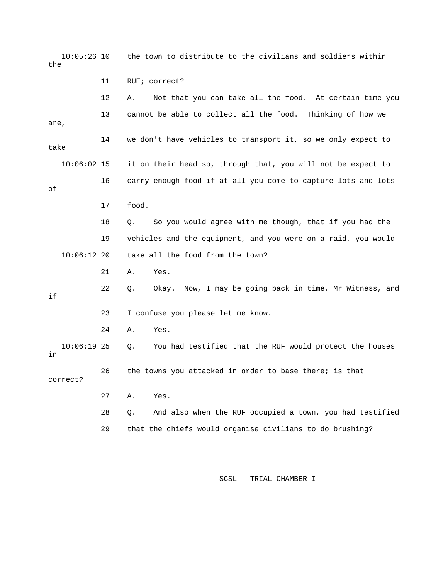10:05:26 10 the town to distribute to the civilians and soldiers within the 11 RUF; correct? 12 A. Not that you can take all the food. At certain time you 13 cannot be able to collect all the food. Thinking of how we are, 14 we don't have vehicles to transport it, so we only expect to take 10:06:02 15 it on their head so, through that, you will not be expect to 16 carry enough food if at all you come to capture lots and lots of 17 food. 18 Q. So you would agree with me though, that if you had the 19 vehicles and the equipment, and you were on a raid, you would 10:06:12 20 take all the food from the town? 21 A. Yes. 22 Q. Okay. Now, I may be going back in time, Mr Witness, and if 23 I confuse you please let me know. 24 A. Yes. 10:06:19 25 Q. You had testified that the RUF would protect the houses in 26 the towns you attacked in order to base there; is that correct? 27 A. Yes. 28 Q. And also when the RUF occupied a town, you had testified 29 that the chiefs would organise civilians to do brushing?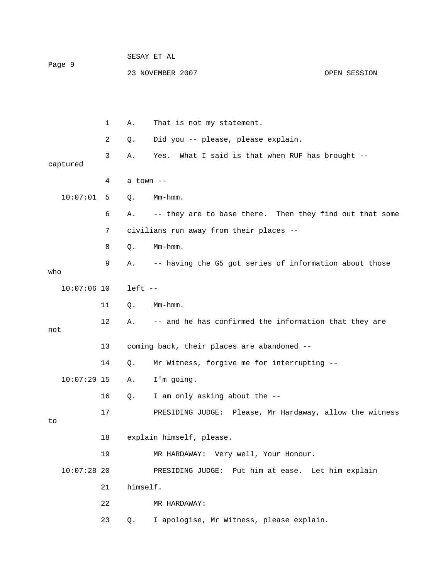| Page 9 |               |    | SESAY ET AL |                                                         |              |  |
|--------|---------------|----|-------------|---------------------------------------------------------|--------------|--|
|        |               |    |             | 23 NOVEMBER 2007                                        | OPEN SESSION |  |
|        |               |    |             |                                                         |              |  |
|        |               | 1  | Α.          | That is not my statement.                               |              |  |
|        |               | 2  | Q.          | Did you -- please, please explain.                      |              |  |
|        | captured      | 3  | Α.          | Yes.<br>What I said is that when RUF has brought $-$ -  |              |  |
|        |               | 4  | a town --   |                                                         |              |  |
|        | 10:07:01      | 5. | Q.          | Mm-hmm.                                                 |              |  |
|        |               | 6  | Α.          | -- they are to base there. Then they find out that some |              |  |
|        |               | 7  |             | civilians run away from their places --                 |              |  |
|        |               | 8  | Q.          | Mm-hmm.                                                 |              |  |
| who    |               | 9  | Α.          | -- having the G5 got series of information about those  |              |  |
|        | $10:07:06$ 10 |    | $left - -$  |                                                         |              |  |
|        |               | 11 | Q.          | Mm-hmm.                                                 |              |  |
| not    |               | 12 | Α.          | -- and he has confirmed the information that they are   |              |  |
|        |               | 13 |             | coming back, their places are abandoned --              |              |  |
|        |               | 14 | Q.          | Mr Witness, forgive me for interrupting --              |              |  |
|        | $10:07:20$ 15 |    | Α.          | I'm going.                                              |              |  |
|        |               | 16 | Q.          | I am only asking about the --                           |              |  |
|        |               | 17 |             | PRESIDING JUDGE: Please, Mr Hardaway, allow the witness |              |  |
| to     |               |    |             |                                                         |              |  |
|        |               | 18 |             | explain himself, please.                                |              |  |
|        | $10:07:28$ 20 | 19 |             | MR HARDAWAY: Very well, Your Honour.                    |              |  |
|        |               |    | himself.    | PRESIDING JUDGE: Put him at ease. Let him explain       |              |  |
|        |               | 21 |             |                                                         |              |  |
|        |               | 22 |             | MR HARDAWAY:                                            |              |  |
|        |               | 23 | Q.          | I apologise, Mr Witness, please explain.                |              |  |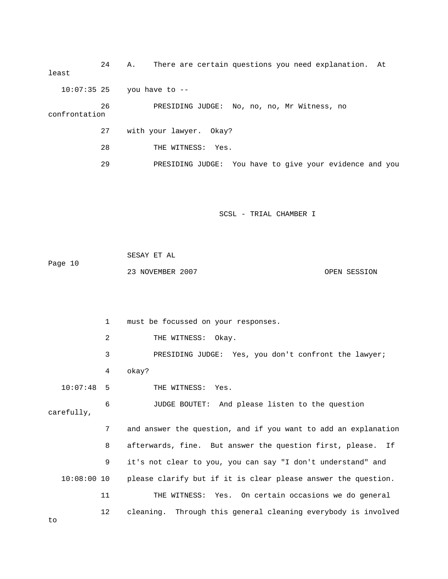24 A. There are certain questions you need explanation. At least 10:07:35 25 you have to -- 26 PRESIDING JUDGE: No, no, no, Mr Witness, no confrontation 27 with your lawyer. Okay? 28 THE WITNESS: Yes. 29 PRESIDING JUDGE: You have to give your evidence and you SCSL - TRIAL CHAMBER I SESAY ET AL Page 10 23 NOVEMBER 2007 CPEN SESSION 1 must be focussed on your responses. 2 THE WITNESS: Okay. 3 PRESIDING JUDGE: Yes, you don't confront the lawyer; 4 okay? 10:07:48 5 THE WITNESS: Yes. 6 JUDGE BOUTET: And please listen to the question carefully, 7 and answer the question, and if you want to add an explanation 8 afterwards, fine. But answer the question first, please. If 9 it's not clear to you, you can say "I don't understand" and 10:08:00 10 please clarify but if it is clear please answer the question. 11 THE WITNESS: Yes. On certain occasions we do general 12 cleaning. Through this general cleaning everybody is involved to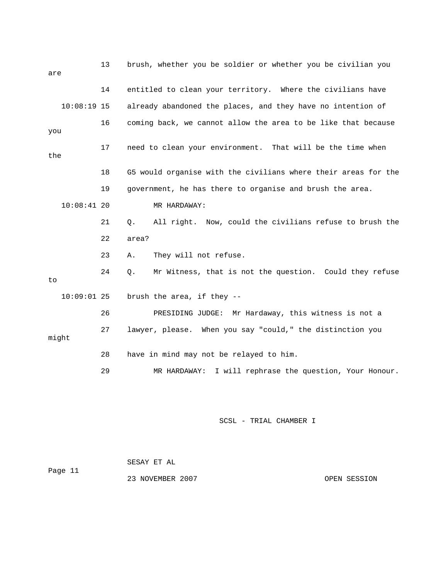| are       | brush, whether you be soldier or whether you be civilian you |    |                                                                |
|-----------|--------------------------------------------------------------|----|----------------------------------------------------------------|
|           |                                                              | 14 | entitled to clean your territory. Where the civilians have     |
|           | $10:08:19$ 15                                                |    | already abandoned the places, and they have no intention of    |
| 16<br>you |                                                              |    | coming back, we cannot allow the area to be like that because  |
| the       |                                                              | 17 | need to clean your environment. That will be the time when     |
|           |                                                              | 18 | G5 would organise with the civilians where their areas for the |
|           |                                                              | 19 | government, he has there to organise and brush the area.       |
|           | $10:08:41$ 20                                                |    | MR HARDAWAY:                                                   |
|           |                                                              | 21 | All right. Now, could the civilians refuse to brush the<br>Q.  |
|           |                                                              | 22 | area?                                                          |
|           |                                                              | 23 | They will not refuse.<br>Α.                                    |
| to        |                                                              | 24 | Mr Witness, that is not the question. Could they refuse<br>Q.  |
|           | $10:09:01$ 25                                                |    | brush the area, if they --                                     |
|           |                                                              | 26 | Mr Hardaway, this witness is not a<br>PRESIDING JUDGE:         |
|           | might                                                        | 27 | lawyer, please. When you say "could," the distinction you      |
|           |                                                              | 28 | have in mind may not be relayed to him.                        |
|           |                                                              | 29 | I will rephrase the question, Your Honour.<br>MR HARDAWAY:     |
|           |                                                              |    |                                                                |

 SESAY ET AL Page 11 23 NOVEMBER 2007 COPEN SESSION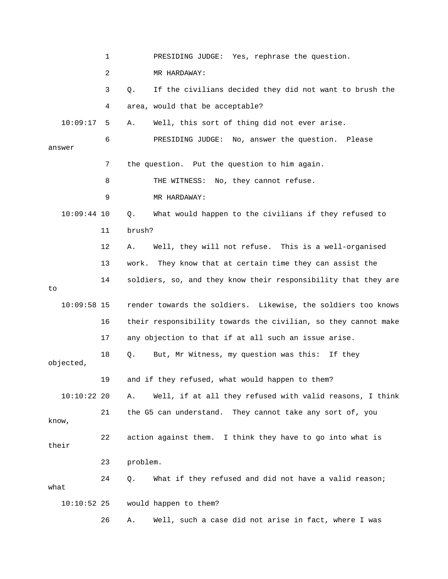1 PRESIDING JUDGE: Yes, rephrase the question. 2 MR HARDAWAY: 3 Q. If the civilians decided they did not want to brush the 4 area, would that be acceptable? 10:09:17 5 A. Well, this sort of thing did not ever arise. 6 PRESIDING JUDGE: No, answer the question. Please answer 7 the question. Put the question to him again. 8 THE WITNESS: No, they cannot refuse. 9 MR HARDAWAY: 10:09:44 10 Q. What would happen to the civilians if they refused to 11 brush? 12 A. Well, they will not refuse. This is a well-organised 13 work. They know that at certain time they can assist the 14 soldiers, so, and they know their responsibility that they are to 10:09:58 15 render towards the soldiers. Likewise, the soldiers too knows 16 their responsibility towards the civilian, so they cannot make 17 any objection to that if at all such an issue arise. 18 Q. But, Mr Witness, my question was this: If they objected, 19 and if they refused, what would happen to them? 10:10:22 20 A. Well, if at all they refused with valid reasons, I think 21 the G5 can understand. They cannot take any sort of, you know, 22 action against them. I think they have to go into what is their 23 problem. 24 Q. What if they refused and did not have a valid reason; what 10:10:52 25 would happen to them? 26 A. Well, such a case did not arise in fact, where I was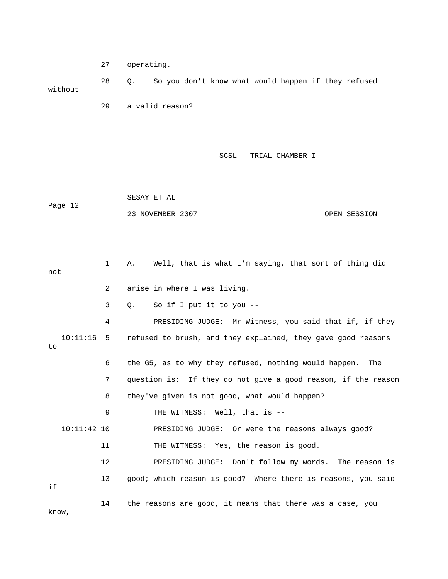27 operating.

 28 Q. So you don't know what would happen if they refused without

29 a valid reason?

SCSL - TRIAL CHAMBER I

 SESAY ET AL Page 12 23 NOVEMBER 2007 CPEN SESSION

 1 A. Well, that is what I'm saying, that sort of thing did not 2 arise in where I was living. 3 Q. So if I put it to you -- 4 PRESIDING JUDGE: Mr Witness, you said that if, if they 10:11:16 5 refused to brush, and they explained, they gave good reasons to 6 the G5, as to why they refused, nothing would happen. The 7 question is: If they do not give a good reason, if the reason 8 they've given is not good, what would happen? 9 THE WITNESS: Well, that is -- 10:11:42 10 PRESIDING JUDGE: Or were the reasons always good? 11 THE WITNESS: Yes, the reason is good. 12 PRESIDING JUDGE: Don't follow my words. The reason is 13 good; which reason is good? Where there is reasons, you said if 14 the reasons are good, it means that there was a case, you

know,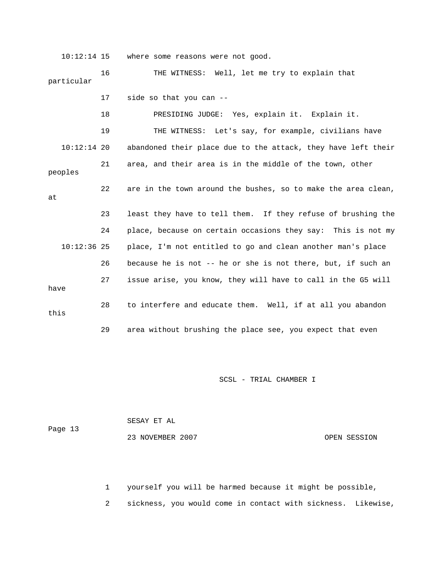10:12:14 15 where some reasons were not good.

 16 THE WITNESS: Well, let me try to explain that particular

17 side so that you can --

 18 PRESIDING JUDGE: Yes, explain it. Explain it. 19 THE WITNESS: Let's say, for example, civilians have 10:12:14 20 abandoned their place due to the attack, they have left their 21 area, and their area is in the middle of the town, other peoples 22 are in the town around the bushes, so to make the area clean, at 23 least they have to tell them. If they refuse of brushing the 24 place, because on certain occasions they say: This is not my 10:12:36 25 place, I'm not entitled to go and clean another man's place 26 because he is not -- he or she is not there, but, if such an 27 issue arise, you know, they will have to call in the G5 will have 28 to interfere and educate them. Well, if at all you abandon this

29 area without brushing the place see, you expect that even

SCSL - TRIAL CHAMBER I

|         | SESAY ET AL      |              |
|---------|------------------|--------------|
| Page 13 |                  |              |
|         | 23 NOVEMBER 2007 | OPEN SESSION |

1 yourself you will be harmed because it might be possible,

2 sickness, you would come in contact with sickness. Likewise,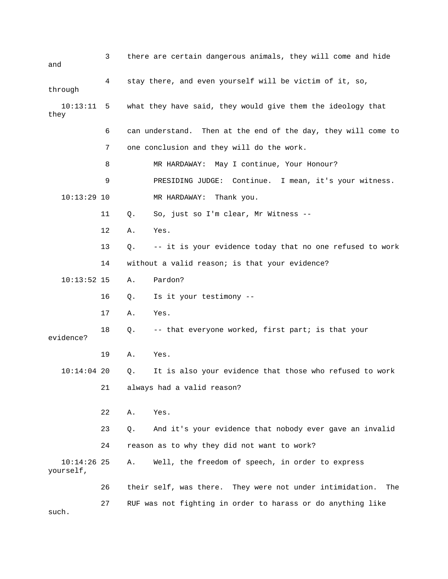| and                        | there are certain dangerous animals, they will come and hide<br>3 |       |                                                                    |
|----------------------------|-------------------------------------------------------------------|-------|--------------------------------------------------------------------|
| through                    | 4                                                                 |       | stay there, and even yourself will be victim of it, so,            |
| 10:13:11<br>they           | 5                                                                 |       | what they have said, they would give them the ideology that        |
|                            | 6                                                                 |       | can understand. Then at the end of the day, they will come to      |
|                            | 7                                                                 |       | one conclusion and they will do the work.                          |
|                            | 8                                                                 |       | MR HARDAWAY: May I continue, Your Honour?                          |
|                            | 9                                                                 |       | PRESIDING JUDGE: Continue. I mean, it's your witness.              |
| $10:13:29$ 10              |                                                                   |       | MR HARDAWAY:<br>Thank you.                                         |
|                            | 11                                                                | $Q$ . | So, just so I'm clear, Mr Witness --                               |
|                            | 12                                                                | Α.    | Yes.                                                               |
|                            | 13                                                                | Q.    | -- it is your evidence today that no one refused to work           |
|                            | 14                                                                |       | without a valid reason; is that your evidence?                     |
| $10:13:52$ 15              |                                                                   | Α.    | Pardon?                                                            |
|                            | 16                                                                | Q.    | Is it your testimony --                                            |
|                            | 17                                                                | Α.    | Yes.                                                               |
| evidence?                  | 18                                                                | Q.    | -- that everyone worked, first part; is that your                  |
|                            | 19                                                                | Α.    | Yes.                                                               |
| $10:14:04$ 20              |                                                                   | Q.    | It is also your evidence that those who refused to work            |
|                            | 21                                                                |       | always had a valid reason?                                         |
|                            | 22                                                                | Α.    | Yes.                                                               |
|                            | 23                                                                | Q.    | And it's your evidence that nobody ever gave an invalid            |
|                            | 24                                                                |       | reason as to why they did not want to work?                        |
| $10:14:26$ 25<br>yourself, |                                                                   | Α.    | Well, the freedom of speech, in order to express                   |
|                            | 26                                                                |       | their self, was there.<br>They were not under intimidation.<br>The |
|                            | 27                                                                |       | RUF was not fighting in order to harass or do anything like        |

such.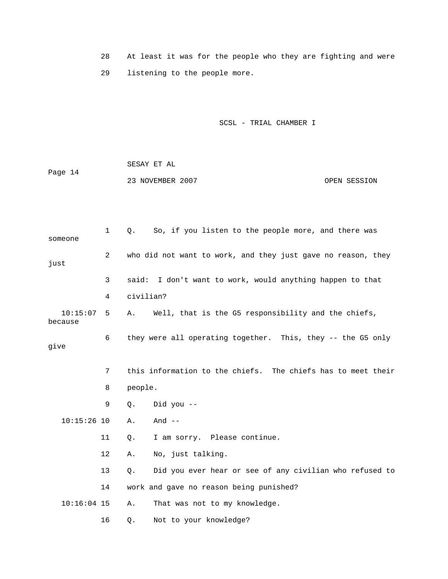28 At least it was for the people who they are fighting and were 29 listening to the people more.

| Page 14 | SESAY ET AL      |              |
|---------|------------------|--------------|
|         | 23 NOVEMBER 2007 | OPEN SESSION |

| someone             | $\mathbf 1$ | So, if you listen to the people more, and there was<br>О.     |
|---------------------|-------------|---------------------------------------------------------------|
| just                | 2           | who did not want to work, and they just gave no reason, they  |
|                     | 3           | said:<br>I don't want to work, would anything happen to that  |
|                     | 4           | civilian?                                                     |
| 10:15:07<br>because | 5           | Well, that is the G5 responsibility and the chiefs,<br>Α.     |
| give                | 6           | they were all operating together. This, they -- the G5 only   |
|                     | 7           | this information to the chiefs. The chiefs has to meet their  |
|                     | 8           | people.                                                       |
|                     | 9           | Did you --<br>Q.                                              |
| $10:15:26$ 10       |             | Α.<br>And $--$                                                |
|                     | 11          | I am sorry. Please continue.<br>Q.                            |
|                     | 12          | No, just talking.<br>Α.                                       |
|                     | 13          | Did you ever hear or see of any civilian who refused to<br>Q. |
|                     | 14          | work and gave no reason being punished?                       |
| $10:16:04$ 15       |             | That was not to my knowledge.<br>Α.                           |
|                     | 16          | Not to your knowledge?<br>Q.                                  |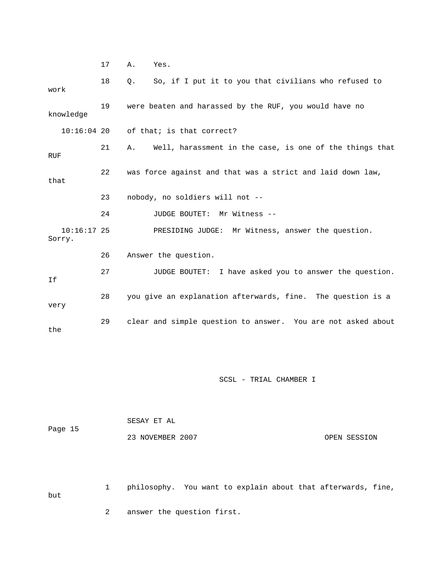17 A. Yes.

| work                    | 18 | So, if I put it to you that civilians who refused to<br>$\circ$ . |
|-------------------------|----|-------------------------------------------------------------------|
| knowledge               | 19 | were beaten and harassed by the RUF, you would have no            |
|                         |    | $10:16:04$ 20 of that; is that correct?                           |
| RUF                     | 21 | A. Well, harassment in the case, is one of the things that        |
| that                    | 22 | was force against and that was a strict and laid down law,        |
|                         | 23 | nobody, no soldiers will not --                                   |
|                         |    |                                                                   |
|                         | 24 | JUDGE BOUTET: Mr Witness --                                       |
| $10:16:17$ 25<br>Sorry. |    | PRESIDING JUDGE: Mr Witness, answer the question.                 |
|                         | 26 | Answer the question.                                              |
| If                      | 27 | JUDGE BOUTET: I have asked you to answer the question.            |
| very                    | 28 | you give an explanation afterwards, fine. The question is a       |

SCSL - TRIAL CHAMBER I

| Page 15 | SESAY ET AL      |              |
|---------|------------------|--------------|
|         | 23 NOVEMBER 2007 | OPEN SESSION |

 1 philosophy. You want to explain about that afterwards, fine, but 2 answer the question first.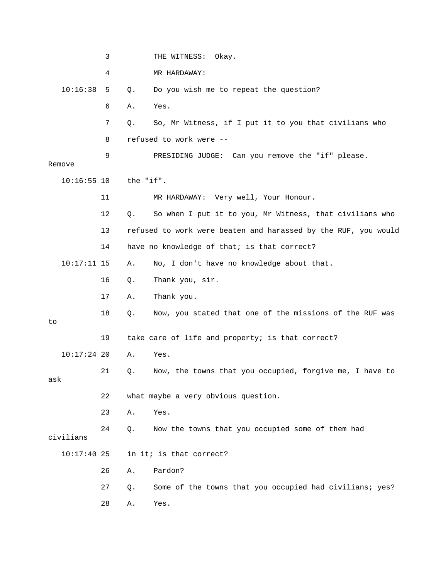|               | 3  |           | THE WITNESS:<br>Okay.                                          |
|---------------|----|-----------|----------------------------------------------------------------|
|               | 4  |           | MR HARDAWAY:                                                   |
| 10:16:38      | 5  | Q.        | Do you wish me to repeat the question?                         |
|               | 6  | Α.        | Yes.                                                           |
|               | 7  | Q.        | So, Mr Witness, if I put it to you that civilians who          |
|               | 8  |           | refused to work were --                                        |
| Remove        | 9  |           | PRESIDING JUDGE: Can you remove the "if" please.               |
| $10:16:55$ 10 |    | the "if". |                                                                |
|               | 11 |           | MR HARDAWAY: Very well, Your Honour.                           |
|               | 12 | Q.        | So when I put it to you, Mr Witness, that civilians who        |
|               | 13 |           | refused to work were beaten and harassed by the RUF, you would |
|               | 14 |           | have no knowledge of that; is that correct?                    |
| $10:17:11$ 15 |    | Α.        | No, I don't have no knowledge about that.                      |
|               | 16 | Q.        | Thank you, sir.                                                |
|               | 17 | Α.        | Thank you.                                                     |
| to            | 18 | Q.        | Now, you stated that one of the missions of the RUF was        |
|               | 19 |           | take care of life and property; is that correct?               |
| $10:17:24$ 20 |    | Α.        | Yes.                                                           |
| ask           | 21 | Q.        | Now, the towns that you occupied, forgive me, I have to        |
|               | 22 |           | what maybe a very obvious question.                            |
|               | 23 | Α.        | Yes.                                                           |
| civilians     | 24 | Q.        | Now the towns that you occupied some of them had               |
| $10:17:40$ 25 |    |           | in it; is that correct?                                        |
|               | 26 | Α.        | Pardon?                                                        |
|               | 27 | Q.        | Some of the towns that you occupied had civilians; yes?        |
|               | 28 | Α.        | Yes.                                                           |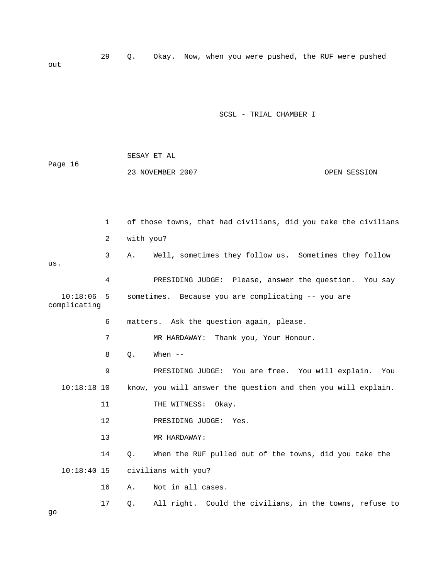29 Q. Okay. Now, when you were pushed, the RUF were pushed out

|                          |              |           | SESAY ET AL                                                    |              |  |  |  |
|--------------------------|--------------|-----------|----------------------------------------------------------------|--------------|--|--|--|
| Page 16                  |              |           | 23 NOVEMBER 2007                                               | OPEN SESSION |  |  |  |
|                          |              |           |                                                                |              |  |  |  |
|                          |              |           |                                                                |              |  |  |  |
|                          | $\mathbf{1}$ |           | of those towns, that had civilians, did you take the civilians |              |  |  |  |
|                          | 2            | with you? |                                                                |              |  |  |  |
| us.                      | 3            | Α.        | Well, sometimes they follow us. Sometimes they follow          |              |  |  |  |
|                          | 4            |           | PRESIDING JUDGE: Please, answer the question. You say          |              |  |  |  |
| 10:18:06<br>complicating | -5           |           | sometimes. Because you are complicating -- you are             |              |  |  |  |
|                          | 6            |           | matters. Ask the question again, please.                       |              |  |  |  |
|                          | 7            |           | MR HARDAWAY: Thank you, Your Honour.                           |              |  |  |  |
|                          | 8            | Q.        | When $--$                                                      |              |  |  |  |
|                          | 9            |           | PRESIDING JUDGE: You are free. You will explain.               | You          |  |  |  |
| $10:18:18$ 10            |              |           | know, you will answer the question and then you will explain.  |              |  |  |  |
|                          | 11           |           | THE WITNESS:<br>Okay.                                          |              |  |  |  |
|                          | $12 \,$      |           | PRESIDING JUDGE:<br>Yes.                                       |              |  |  |  |
|                          | 13           |           | MR HARDAWAY:                                                   |              |  |  |  |
|                          | 14           | Q.        | When the RUF pulled out of the towns, did you take the         |              |  |  |  |
| $10:18:40$ 15            |              |           | civilians with you?                                            |              |  |  |  |
|                          | 16           | Α.        | Not in all cases.                                              |              |  |  |  |
|                          | 17           | Q.        | All right. Could the civilians, in the towns, refuse to        |              |  |  |  |
|                          |              |           |                                                                |              |  |  |  |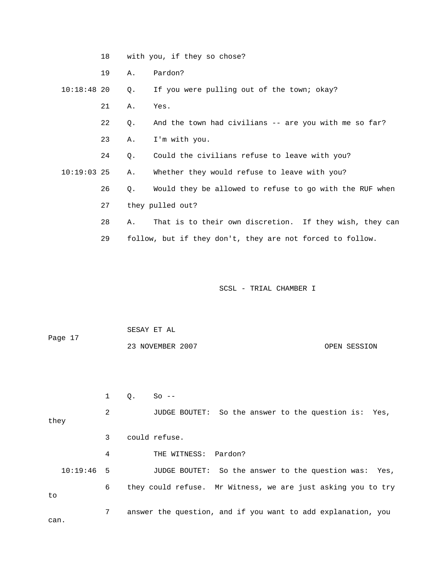|               | 18 |    | with you, if they so chose?                               |
|---------------|----|----|-----------------------------------------------------------|
|               | 19 | Α. | Pardon?                                                   |
| $10:18:48$ 20 |    | Q. | If you were pulling out of the town; okay?                |
|               | 21 | Α. | Yes.                                                      |
|               | 22 | Q. | And the town had civilians -- are you with me so far?     |
|               | 23 | Α. | I'm with you.                                             |
|               | 24 | Q. | Could the civilians refuse to leave with you?             |
| $10:19:03$ 25 |    | Α. | Whether they would refuse to leave with you?              |
|               | 26 | Q. | Would they be allowed to refuse to go with the RUF when   |
|               | 27 |    | they pulled out?                                          |
|               | 28 | Α. | That is to their own discretion. If they wish, they can   |
|               | 29 |    | follow, but if they don't, they are not forced to follow. |

 SESAY ET AL Page 17 23 NOVEMBER 2007 OPEN SESSION

1 Q. So --

 2 JUDGE BOUTET: So the answer to the question is: Yes, they 3 could refuse. 4 THE WITNESS: Pardon? 10:19:46 5 JUDGE BOUTET: So the answer to the question was: Yes, 6 they could refuse. Mr Witness, we are just asking you to try to 7 answer the question, and if you want to add explanation, you can.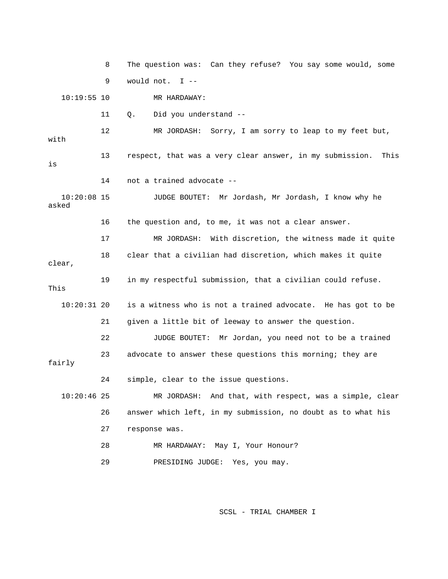8 The question was: Can they refuse? You say some would, some 9 would not. I -- 10:19:55 10 MR HARDAWAY: 11 Q. Did you understand -- 12 MR JORDASH: Sorry, I am sorry to leap to my feet but, with 13 respect, that was a very clear answer, in my submission. This is 14 not a trained advocate -- 10:20:08 15 JUDGE BOUTET: Mr Jordash, Mr Jordash, I know why he asked 16 the question and, to me, it was not a clear answer. 17 MR JORDASH: With discretion, the witness made it quite 18 clear that a civilian had discretion, which makes it quite clear, 19 in my respectful submission, that a civilian could refuse. This 10:20:31 20 is a witness who is not a trained advocate. He has got to be 21 given a little bit of leeway to answer the question. 22 JUDGE BOUTET: Mr Jordan, you need not to be a trained 23 advocate to answer these questions this morning; they are fairly 24 simple, clear to the issue questions. 10:20:46 25 MR JORDASH: And that, with respect, was a simple, clear 26 answer which left, in my submission, no doubt as to what his 27 response was. 28 MR HARDAWAY: May I, Your Honour? 29 PRESIDING JUDGE: Yes, you may.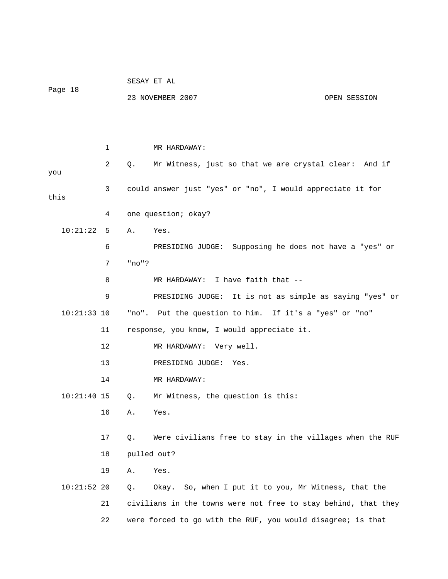|               |    |             | SESAY ET AL                                                    |              |  |  |
|---------------|----|-------------|----------------------------------------------------------------|--------------|--|--|
| Page 18       |    |             | 23 NOVEMBER 2007                                               | OPEN SESSION |  |  |
|               |    |             |                                                                |              |  |  |
|               |    |             |                                                                |              |  |  |
|               | 1  |             | MR HARDAWAY:                                                   |              |  |  |
| you           | 2  | $Q_{\star}$ | Mr Witness, just so that we are crystal clear: And if          |              |  |  |
| this          | 3  |             | could answer just "yes" or "no", I would appreciate it for     |              |  |  |
|               | 4  |             | one question; okay?                                            |              |  |  |
| 10:21:22      | 5  | A.          | Yes.                                                           |              |  |  |
|               | 6  |             | PRESIDING JUDGE: Supposing he does not have a "yes" or         |              |  |  |
|               | 7  | "no"?       |                                                                |              |  |  |
|               | 8  |             | MR HARDAWAY: I have faith that --                              |              |  |  |
|               | 9  |             | PRESIDING JUDGE: It is not as simple as saying "yes" or        |              |  |  |
| $10:21:33$ 10 |    |             | "no". Put the question to him. If it's a "yes" or "no"         |              |  |  |
|               | 11 |             | response, you know, I would appreciate it.                     |              |  |  |
|               | 12 |             | MR HARDAWAY: Very well.                                        |              |  |  |
|               | 13 |             | PRESIDING JUDGE: Yes.                                          |              |  |  |
|               | 14 |             | MR HARDAWAY:                                                   |              |  |  |
| $10:21:40$ 15 |    | Q.          | Mr Witness, the question is this:                              |              |  |  |
|               | 16 | Α.          | Yes.                                                           |              |  |  |
|               | 17 | Q.          | Were civilians free to stay in the villages when the RUF       |              |  |  |
|               | 18 |             | pulled out?                                                    |              |  |  |
|               | 19 | Α.          | Yes.                                                           |              |  |  |
| $10:21:52$ 20 |    | Q.          | Okay. So, when I put it to you, Mr Witness, that the           |              |  |  |
|               | 21 |             | civilians in the towns were not free to stay behind, that they |              |  |  |
|               | 22 |             | were forced to go with the RUF, you would disagree; is that    |              |  |  |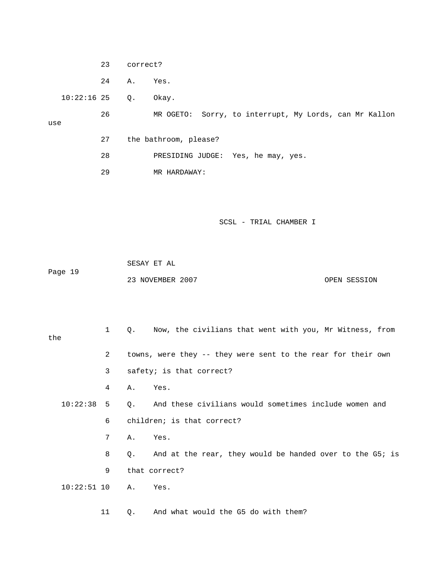23 correct?

24 A. Yes.

10:22:16 25 Q. Okay.

use

 26 MR OGETO: Sorry, to interrupt, My Lords, can Mr Kallon 27 the bathroom, please?

- 28 PRESIDING JUDGE: Yes, he may, yes.
- 29 MR HARDAWAY:

SCSL - TRIAL CHAMBER I

 SESAY ET AL Page 19 23 NOVEMBER 2007 CPEN SESSION

 1 Q. Now, the civilians that went with you, Mr Witness, from the 2 towns, were they -- they were sent to the rear for their own 3 safety; is that correct? 4 A. Yes. 10:22:38 5 Q. And these civilians would sometimes include women and 6 children; is that correct? 7 A. Yes. 8 Q. And at the rear, they would be handed over to the G5; is 9 that correct? 10:22:51 10 A. Yes. 11 Q. And what would the G5 do with them?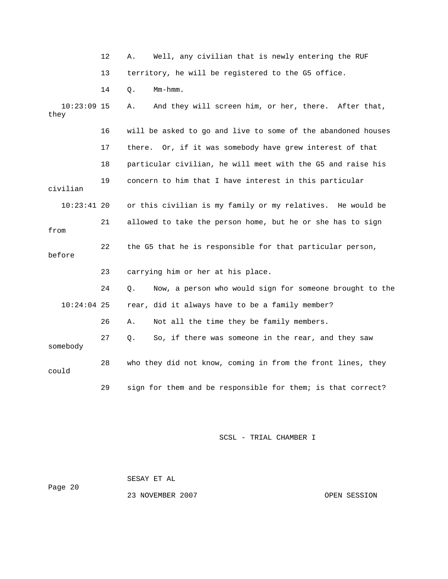|                       | 12                                                     | Well, any civilian that is newly entering the RUF<br>Α.       |
|-----------------------|--------------------------------------------------------|---------------------------------------------------------------|
|                       | 13                                                     | territory, he will be registered to the G5 office.            |
|                       | 14                                                     | Mm-hmm.<br>Q.                                                 |
| $10:23:09$ 15<br>they |                                                        | And they will screen him, or her, there. After that,<br>Α.    |
|                       | 16                                                     | will be asked to go and live to some of the abandoned houses  |
|                       | 17                                                     | there. Or, if it was somebody have grew interest of that      |
|                       | 18                                                     | particular civilian, he will meet with the G5 and raise his   |
| civilian              | concern to him that I have interest in this particular |                                                               |
| $10:23:41$ 20         |                                                        | or this civilian is my family or my relatives. He would be    |
| from                  | 21                                                     | allowed to take the person home, but he or she has to sign    |
| before                | 22                                                     | the G5 that he is responsible for that particular person,     |
|                       | 23                                                     | carrying him or her at his place.                             |
|                       | 24                                                     | Q.<br>Now, a person who would sign for someone brought to the |
| $10:24:04$ 25         |                                                        | rear, did it always have to be a family member?               |
|                       | 26                                                     | Not all the time they be family members.<br>Α.                |
| somebody              | 27                                                     | So, if there was someone in the rear, and they saw<br>Q.      |
| could                 | 28                                                     | who they did not know, coming in from the front lines, they   |
|                       | 29                                                     | sign for them and be responsible for them; is that correct?   |

 SESAY ET AL Page 20 23 NOVEMBER 2007 COPEN SESSION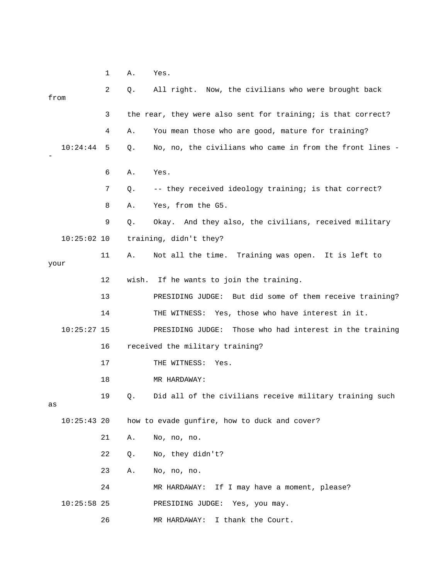1 A. Yes.

| from |               | 2  | Q.    | All right. Now, the civilians who were brought back          |
|------|---------------|----|-------|--------------------------------------------------------------|
|      |               | 3  |       | the rear, they were also sent for training; is that correct? |
|      |               | 4  | Α.    | You mean those who are good, mature for training?            |
|      | 10:24:44      | 5  | Q.    | No, no, the civilians who came in from the front lines -     |
|      |               | 6  | Α.    | Yes.                                                         |
|      |               | 7  | Q.    | -- they received ideology training; is that correct?         |
|      |               | 8  | Α.    | Yes, from the G5.                                            |
|      |               | 9  | Q.    | Okay. And they also, the civilians, received military        |
|      | $10:25:02$ 10 |    |       | training, didn't they?                                       |
| your |               | 11 | Α.    | Not all the time. Training was open. It is left to           |
|      |               | 12 | wish. | If he wants to join the training.                            |
|      |               | 13 |       | PRESIDING JUDGE: But did some of them receive training?      |
|      |               | 14 |       | THE WITNESS: Yes, those who have interest in it.             |
|      | $10:25:27$ 15 |    |       | Those who had interest in the training<br>PRESIDING JUDGE:   |
|      |               | 16 |       | received the military training?                              |
|      |               | 17 |       | THE WITNESS:<br>Yes.                                         |
|      |               | 18 |       | MR HARDAWAY:                                                 |
| as   |               | 19 | Q.    | Did all of the civilians receive military training such      |
|      | $10:25:43$ 20 |    |       | how to evade gunfire, how to duck and cover?                 |
|      |               | 21 | Α.    | No, no, no.                                                  |
|      |               | 22 | Q.    | No, they didn't?                                             |
|      |               | 23 | Α.    | No, no, no.                                                  |
|      |               | 24 |       | If I may have a moment, please?<br>MR HARDAWAY:              |
|      | $10:25:58$ 25 |    |       | PRESIDING JUDGE:<br>Yes, you may.                            |
|      |               | 26 |       | I thank the Court.<br>MR HARDAWAY:                           |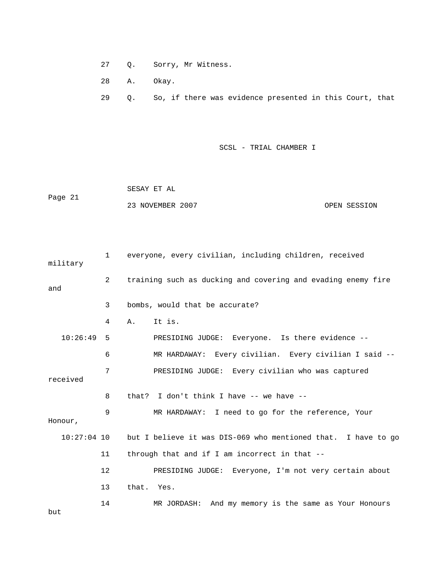27 Q. Sorry, Mr Witness.

28 A. Okay.

29 Q. So, if there was evidence presented in this Court, that

SCSL - TRIAL CHAMBER I

 SESAY ET AL Page 21 23 NOVEMBER 2007 OPEN SESSION

 1 everyone, every civilian, including children, received military 2 training such as ducking and covering and evading enemy fire and 3 bombs, would that be accurate? 4 A. It is. 10:26:49 5 PRESIDING JUDGE: Everyone. Is there evidence -- 6 MR HARDAWAY: Every civilian. Every civilian I said -- 7 PRESIDING JUDGE: Every civilian who was captured received 8 that? I don't think I have -- we have -- 9 MR HARDAWAY: I need to go for the reference, Your Honour, 10:27:04 10 but I believe it was DIS-069 who mentioned that. I have to go 11 through that and if I am incorrect in that -- 12 PRESIDING JUDGE: Everyone, I'm not very certain about 13 that. Yes. 14 MR JORDASH: And my memory is the same as Your Honours

but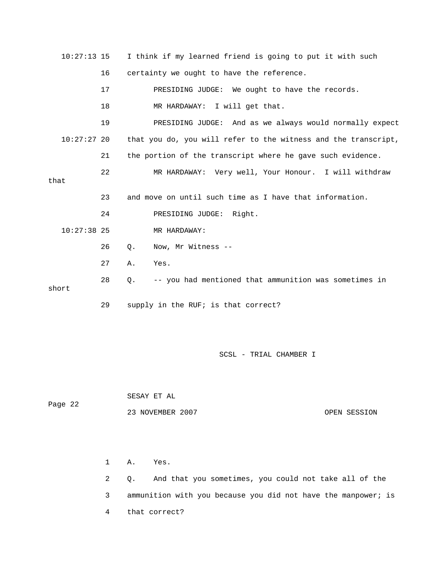| $10:27:13$ 15 | I think if my learned friend is going to put it with such |                                                                |  |  |
|---------------|-----------------------------------------------------------|----------------------------------------------------------------|--|--|
|               | 16                                                        | certainty we ought to have the reference.                      |  |  |
|               | 17                                                        | PRESIDING JUDGE: We ought to have the records.                 |  |  |
|               | 18                                                        | MR HARDAWAY: I will get that.                                  |  |  |
|               | 19                                                        | PRESIDING JUDGE: And as we always would normally expect        |  |  |
| $10:27:27$ 20 |                                                           | that you do, you will refer to the witness and the transcript, |  |  |
|               | 21                                                        | the portion of the transcript where he gave such evidence.     |  |  |
| that          | 22                                                        | MR HARDAWAY: Very well, Your Honour. I will withdraw           |  |  |
|               |                                                           |                                                                |  |  |
|               | 23                                                        | and move on until such time as I have that information.        |  |  |
|               | 24                                                        | PRESIDING JUDGE: Right.                                        |  |  |
| $10:27:38$ 25 |                                                           | MR HARDAWAY:                                                   |  |  |
|               | 26                                                        | $Q$ .<br>Now, Mr Witness --                                    |  |  |
|               | 27                                                        | Yes.<br>Α.                                                     |  |  |
| short         | 28                                                        | -- you had mentioned that ammunition was sometimes in<br>О.    |  |  |
|               | 29                                                        | supply in the RUF; is that correct?                            |  |  |

 SESAY ET AL Page 22 23 NOVEMBER 2007 OPEN SESSION

> 1 A. Yes. 2 Q. And that you sometimes, you could not take all of the 3 ammunition with you because you did not have the manpower; is 4 that correct?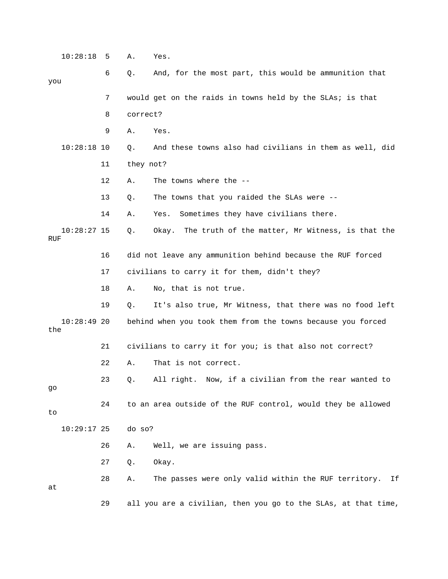10:28:18 5 A. Yes. 6 Q. And, for the most part, this would be ammunition that you 7 would get on the raids in towns held by the SLAs; is that 8 correct? 9 A. Yes. 10:28:18 10 Q. And these towns also had civilians in them as well, did 11 they not? 12 A. The towns where the -- 13 Q. The towns that you raided the SLAs were -- 14 A. Yes. Sometimes they have civilians there. 10:28:27 15 Q. Okay. The truth of the matter, Mr Witness, is that the RUF 16 did not leave any ammunition behind because the RUF forced 17 civilians to carry it for them, didn't they? 18 A. No, that is not true. 19 Q. It's also true, Mr Witness, that there was no food left 10:28:49 20 behind when you took them from the towns because you forced the 21 civilians to carry it for you; is that also not correct? 22 A. That is not correct. 23 Q. All right. Now, if a civilian from the rear wanted to go 24 to an area outside of the RUF control, would they be allowed to 10:29:17 25 do so? 26 A. Well, we are issuing pass. 27 Q. Okay. 28 A. The passes were only valid within the RUF territory. If at 29 all you are a civilian, then you go to the SLAs, at that time,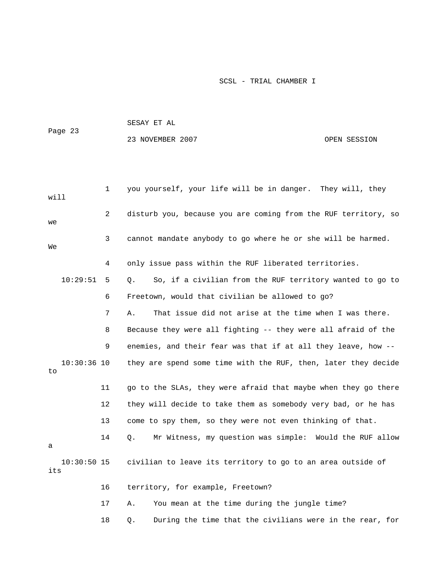|                      |    | SESAY ET AL                                                    |              |  |  |
|----------------------|----|----------------------------------------------------------------|--------------|--|--|
| Page 23              |    | 23 NOVEMBER 2007                                               | OPEN SESSION |  |  |
|                      |    |                                                                |              |  |  |
|                      |    |                                                                |              |  |  |
| will                 | 1  | you yourself, your life will be in danger. They will, they     |              |  |  |
| we                   | 2  | disturb you, because you are coming from the RUF territory, so |              |  |  |
| We                   | 3  | cannot mandate anybody to go where he or she will be harmed.   |              |  |  |
|                      | 4  | only issue pass within the RUF liberated territories.          |              |  |  |
| 10:29:51             | 5  | So, if a civilian from the RUF territory wanted to go to<br>Q. |              |  |  |
|                      | 6  | Freetown, would that civilian be allowed to go?                |              |  |  |
|                      | 7  | That issue did not arise at the time when I was there.<br>Α.   |              |  |  |
|                      | 8  | Because they were all fighting -- they were all afraid of the  |              |  |  |
|                      | 9  | enemies, and their fear was that if at all they leave, how --  |              |  |  |
| $10:30:36$ 10<br>to  |    | they are spend some time with the RUF, then, later they decide |              |  |  |
|                      | 11 | go to the SLAs, they were afraid that maybe when they go there |              |  |  |
|                      | 12 | they will decide to take them as somebody very bad, or he has  |              |  |  |
|                      | 13 | come to spy them, so they were not even thinking of that.      |              |  |  |
|                      | 14 | Mr Witness, my question was simple: Would the RUF allow<br>Q.  |              |  |  |
| $10:30:50$ 15<br>its |    | civilian to leave its territory to go to an area outside of    |              |  |  |
|                      | 16 | territory, for example, Freetown?                              |              |  |  |
|                      | 17 | You mean at the time during the jungle time?<br>Α.             |              |  |  |
|                      | 18 | During the time that the civilians were in the rear, for<br>Q. |              |  |  |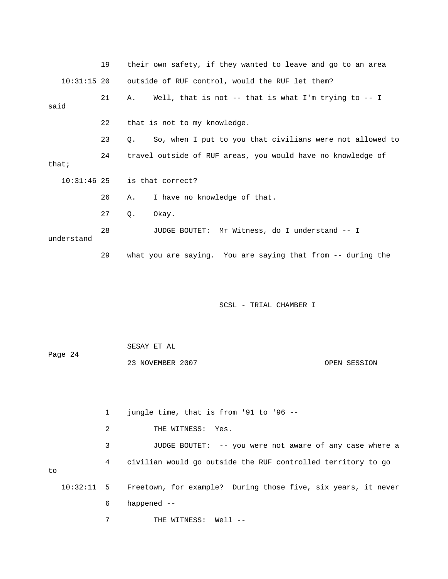|            |               | 19           |                  | their own safety, if they wanted to leave and go to an area  |  |
|------------|---------------|--------------|------------------|--------------------------------------------------------------|--|
|            | $10:31:15$ 20 |              |                  | outside of RUF control, would the RUF let them?              |  |
| said       |               | 21           | Α.               | Well, that is not -- that is what I'm trying to -- I         |  |
|            |               | 22           |                  | that is not to my knowledge.                                 |  |
|            |               | 23           | Q.               | So, when I put to you that civilians were not allowed to     |  |
| that:      |               | 24           |                  | travel outside of RUF areas, you would have no knowledge of  |  |
|            | $10:31:46$ 25 |              |                  | is that correct?                                             |  |
|            |               | 26           | Α.               | I have no knowledge of that.                                 |  |
|            |               | 27           | Q.               | Okay.                                                        |  |
| understand |               | 28           |                  | JUDGE BOUTET: Mr Witness, do I understand -- I               |  |
|            |               | 29           |                  | what you are saying. You are saying that from -- during the  |  |
|            |               |              |                  | SCSL - TRIAL CHAMBER I                                       |  |
|            |               |              | SESAY ET AL      |                                                              |  |
| Page 24    |               |              | 23 NOVEMBER 2007 | OPEN SESSION                                                 |  |
|            |               | $\mathbf{1}$ |                  | jungle time, that is from '91 to '96 --                      |  |
|            |               | 2            |                  | THE WITNESS:<br>Yes.                                         |  |
|            |               | 3            |                  | JUDGE BOUTET: -- you were not aware of any case where a      |  |
|            |               | 4            |                  | civilian would go outside the RUF controlled territory to go |  |

to

 10:32:11 5 Freetown, for example? During those five, six years, it never 6 happened --

7 THE WITNESS: Well --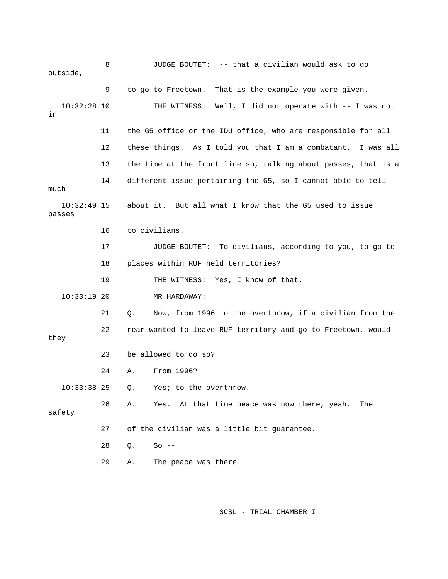8 JUDGE BOUTET: -- that a civilian would ask to go outside, 9 to go to Freetown. That is the example you were given. 10:32:28 10 THE WITNESS: Well, I did not operate with -- I was not in 11 the G5 office or the IDU office, who are responsible for all 12 these things. As I told you that I am a combatant. I was all 13 the time at the front line so, talking about passes, that is a 14 different issue pertaining the G5, so I cannot able to tell much 10:32:49 15 about it. But all what I know that the G5 used to issue passes 16 to civilians. 17 JUDGE BOUTET: To civilians, according to you, to go to 18 places within RUF held territories? 19 THE WITNESS: Yes, I know of that. 10:33:19 20 MR HARDAWAY: 21 Q. Now, from 1996 to the overthrow, if a civilian from the 22 rear wanted to leave RUF territory and go to Freetown, would they 23 be allowed to do so? 24 A. From 1996? 10:33:38 25 Q. Yes; to the overthrow. 26 A. Yes. At that time peace was now there, yeah. The safety 27 of the civilian was a little bit guarantee. 28 Q. So -- 29 A. The peace was there.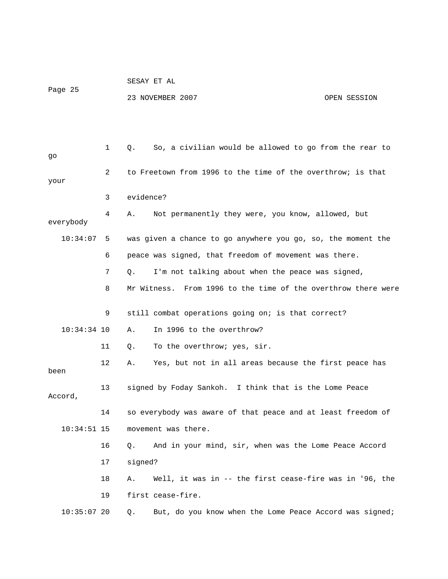|               |                | SESAY ET AL                                                  |                                                               |              |  |  |  |
|---------------|----------------|--------------------------------------------------------------|---------------------------------------------------------------|--------------|--|--|--|
| Page 25       |                |                                                              | 23 NOVEMBER 2007                                              | OPEN SESSION |  |  |  |
|               |                |                                                              |                                                               |              |  |  |  |
|               |                |                                                              |                                                               |              |  |  |  |
| go            | $\mathbf{1}$   | Q.                                                           | So, a civilian would be allowed to go from the rear to        |              |  |  |  |
| your          | $\overline{2}$ | to Freetown from 1996 to the time of the overthrow; is that  |                                                               |              |  |  |  |
|               | 3              |                                                              | evidence?                                                     |              |  |  |  |
| everybody     | 4              | Α.                                                           | Not permanently they were, you know, allowed, but             |              |  |  |  |
| 10:34:07      | -5             | was given a chance to go anywhere you go, so, the moment the |                                                               |              |  |  |  |
|               | 6              |                                                              | peace was signed, that freedom of movement was there.         |              |  |  |  |
|               | 7              | Q.                                                           | I'm not talking about when the peace was signed,              |              |  |  |  |
|               | 8              |                                                              | Mr Witness. From 1996 to the time of the overthrow there were |              |  |  |  |
|               |                |                                                              |                                                               |              |  |  |  |
|               | 9              |                                                              | still combat operations going on; is that correct?            |              |  |  |  |
| $10:34:34$ 10 |                | Α.                                                           | In 1996 to the overthrow?                                     |              |  |  |  |
|               | 11             | Q.                                                           | To the overthrow; yes, sir.                                   |              |  |  |  |
| been          | 12             | Α.                                                           | Yes, but not in all areas because the first peace has         |              |  |  |  |
| Accord,       | 13             |                                                              | signed by Foday Sankoh. I think that is the Lome Peace        |              |  |  |  |
|               | 14             |                                                              | so everybody was aware of that peace and at least freedom of  |              |  |  |  |
| $10:34:51$ 15 |                | movement was there.                                          |                                                               |              |  |  |  |
|               | 16             | Q.                                                           | And in your mind, sir, when was the Lome Peace Accord         |              |  |  |  |
|               | 17             | signed?                                                      |                                                               |              |  |  |  |
|               | 18             | Α.                                                           | Well, it was in -- the first cease-fire was in '96, the       |              |  |  |  |
|               | 19             |                                                              | first cease-fire.                                             |              |  |  |  |
| $10:35:07$ 20 |                | Q.                                                           | But, do you know when the Lome Peace Accord was signed;       |              |  |  |  |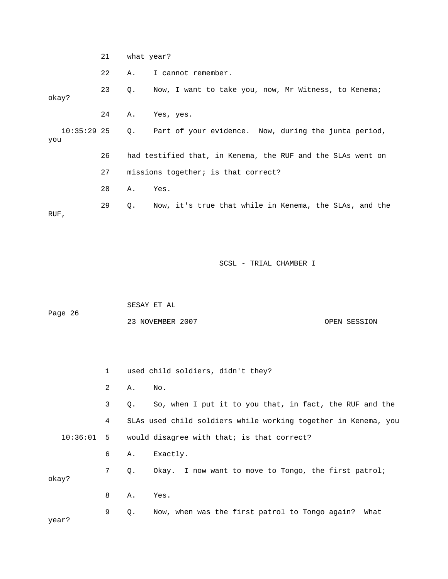21 what year?

22 A. I cannot remember.

 23 Q. Now, I want to take you, now, Mr Witness, to Kenema; okay? 24 A. Yes, yes. 10:35:29 25 Q. Part of your evidence. Now, during the junta period, you 26 had testified that, in Kenema, the RUF and the SLAs went on 27 missions together; is that correct? 28 A. Yes. 29 Q. Now, it's true that while in Kenema, the SLAs, and the RUF,

SCSL - TRIAL CHAMBER I

 SESAY ET AL Page 26

23 NOVEMBER 2007 OPEN SESSION

 1 used child soldiers, didn't they? 2 A. No. 3 Q. So, when I put it to you that, in fact, the RUF and the 4 SLAs used child soldiers while working together in Kenema, you 10:36:01 5 would disagree with that; is that correct? 6 A. Exactly. 7 Q. Okay. I now want to move to Tongo, the first patrol; okay? 8 A. Yes. 9 Q. Now, when was the first patrol to Tongo again? What year?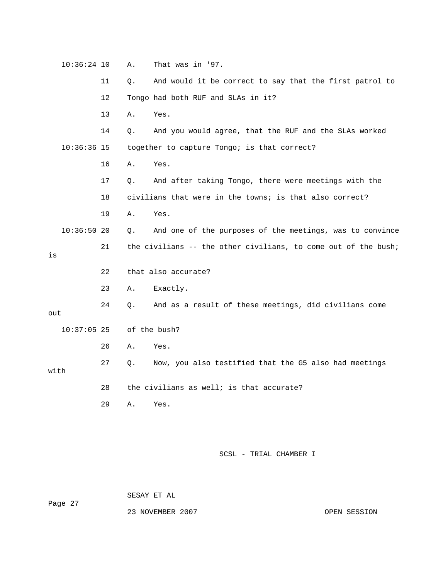| $10:36:24$ 10 |    | Α. | That was in '97.                                               |
|---------------|----|----|----------------------------------------------------------------|
|               | 11 | Q. | And would it be correct to say that the first patrol to        |
|               | 12 |    | Tongo had both RUF and SLAs in it?                             |
|               | 13 | Α. | Yes.                                                           |
|               | 14 | Q. | And you would agree, that the RUF and the SLAs worked          |
| $10:36:36$ 15 |    |    | together to capture Tongo; is that correct?                    |
|               | 16 | Α. | Yes.                                                           |
|               | 17 | О. | And after taking Tongo, there were meetings with the           |
|               | 18 |    | civilians that were in the towns; is that also correct?        |
|               | 19 | Α. | Yes.                                                           |
| $10:36:50$ 20 |    | Q. | And one of the purposes of the meetings, was to convince       |
|               |    |    |                                                                |
|               | 21 |    | the civilians -- the other civilians, to come out of the bush; |
| is            |    |    |                                                                |
|               | 22 |    | that also accurate?                                            |
|               | 23 | Α. | Exactly.                                                       |
| out           | 24 | О. | And as a result of these meetings, did civilians come          |
| $10:37:05$ 25 |    |    | of the bush?                                                   |
|               | 26 | Α. | Yes.                                                           |
|               | 27 | Q. | Now, you also testified that the G5 also had meetings          |
| with          |    |    |                                                                |
|               | 28 |    | the civilians as well; is that accurate?                       |
|               | 29 | Α. | Yes.                                                           |

Page 27

SESAY ET AL

23 NOVEMBER 2007 CPEN SESSION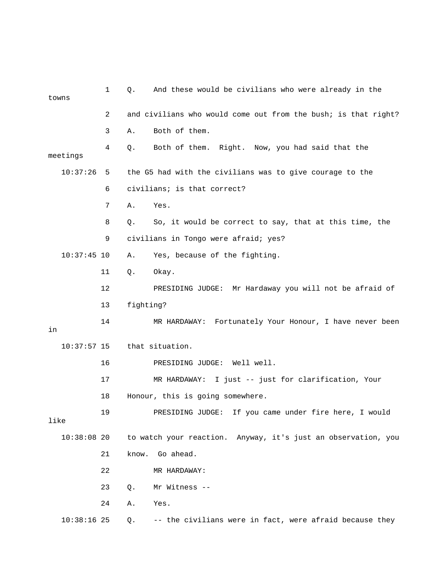| towns         | $\mathbf{1}$ | And these would be civilians who were already in the<br>Q.     |
|---------------|--------------|----------------------------------------------------------------|
|               | 2            | and civilians who would come out from the bush; is that right? |
|               | 3            | Both of them.<br>Α.                                            |
| meetings      | 4            | Both of them. Right. Now, you had said that the<br>Q.          |
| 10:37:26      | 5            | the G5 had with the civilians was to give courage to the       |
|               | 6            | civilians; is that correct?                                    |
|               | 7            | Α.<br>Yes.                                                     |
|               | 8            | So, it would be correct to say, that at this time, the<br>Q.   |
|               | 9            | civilians in Tongo were afraid; yes?                           |
| $10:37:45$ 10 |              | Yes, because of the fighting.<br>Α.                            |
|               | 11           | Q.<br>Okay.                                                    |
|               | 12           | PRESIDING JUDGE: Mr Hardaway you will not be afraid of         |
|               | 13           | fighting?                                                      |
| in            | 14           | MR HARDAWAY: Fortunately Your Honour, I have never been        |
| $10:37:57$ 15 |              | that situation.                                                |
|               | 16           | PRESIDING JUDGE: Well well.                                    |
|               | 17           | MR HARDAWAY: I just -- just for clarification, Your            |
|               | 18           | Honour, this is going somewhere.                               |
| like          | 19           | PRESIDING JUDGE:<br>If you came under fire here, I would       |
| $10:38:08$ 20 |              | to watch your reaction. Anyway, it's just an observation, you  |
|               | 21           | Go ahead.<br>know.                                             |
|               | 22           | MR HARDAWAY:                                                   |
|               | 23           | Mr Witness --<br>Q.                                            |
|               | 24           | Yes.<br>Α.                                                     |
| $10:38:16$ 25 |              | -- the civilians were in fact, were afraid because they<br>Q.  |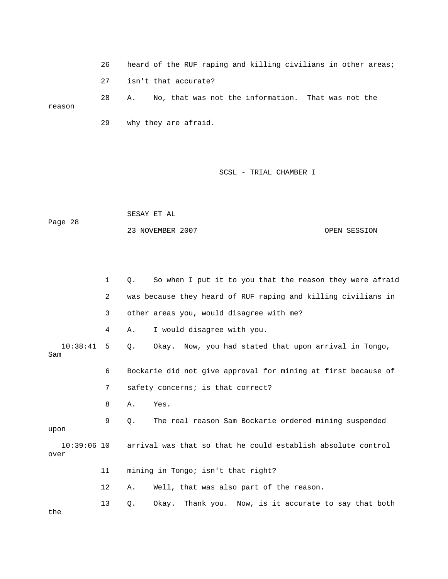26 heard of the RUF raping and killing civilians in other areas; 27 isn't that accurate? 28 A. No, that was not the information. That was not the reason 29 why they are afraid.

SCSL - TRIAL CHAMBER I

| Page 28 | SESAY ET AL      |              |
|---------|------------------|--------------|
|         | 23 NOVEMBER 2007 | OPEN SESSION |

|                       | $\mathbf{1}$ | So when I put it to you that the reason they were afraid<br>О.     |
|-----------------------|--------------|--------------------------------------------------------------------|
|                       | 2            | was because they heard of RUF raping and killing civilians in      |
|                       | 3            | other areas you, would disagree with me?                           |
|                       | 4            | I would disagree with you.<br>Α.                                   |
| $10:38:41$ 5<br>Sam   |              | Okay. Now, you had stated that upon arrival in Tongo,<br>$\circ$ . |
|                       | 6            | Bockarie did not give approval for mining at first because of      |
|                       | 7            | safety concerns; is that correct?                                  |
|                       | 8            | Α.<br>Yes.                                                         |
| upon                  | 9            | The real reason Sam Bockarie ordered mining suspended<br>О.        |
| $10:39:06$ 10<br>over |              | arrival was that so that he could establish absolute control       |
|                       | 11           | mining in Tongo; isn't that right?                                 |
|                       | $12 \,$      | Well, that was also part of the reason.<br>Α.                      |
|                       | 13           | Okay. Thank you. Now, is it accurate to say that both<br>Q.        |

the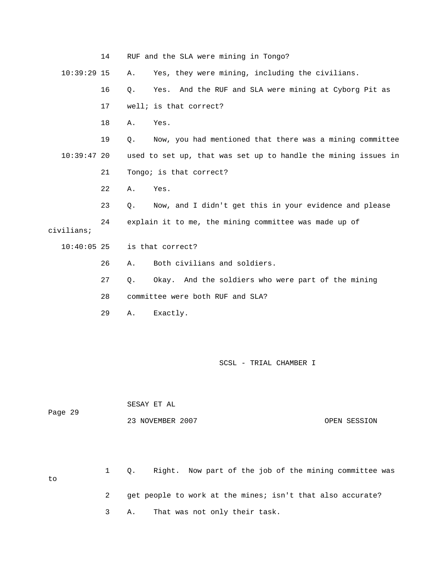|               | 14 | RUF and the SLA were mining in Tongo?                             |
|---------------|----|-------------------------------------------------------------------|
| $10:39:29$ 15 |    | Yes, they were mining, including the civilians.<br>Α.             |
|               | 16 | And the RUF and SLA were mining at Cyborg Pit as<br>$Q$ .<br>Yes. |
|               | 17 | well; is that correct?                                            |
|               | 18 | Α.<br>Yes.                                                        |
|               | 19 | Now, you had mentioned that there was a mining committee<br>Q.    |
| $10:39:47$ 20 |    | used to set up, that was set up to handle the mining issues in    |
|               | 21 | Tongo; is that correct?                                           |
|               | 22 | Yes.<br>Α.                                                        |
|               | 23 | Now, and I didn't get this in your evidence and please<br>$Q$ .   |
| civilians;    | 24 | explain it to me, the mining committee was made up of             |
| $10:40:05$ 25 |    | is that correct?                                                  |
|               | 26 | Both civilians and soldiers.<br>Α.                                |
|               | 27 | Okay. And the soldiers who were part of the mining<br>Q.          |
|               | 28 | committee were both RUF and SLA?                                  |
|               | 29 | Exactly.<br>Α.                                                    |
|               |    |                                                                   |
|               |    |                                                                   |

|         | SESAY ET AL      |              |
|---------|------------------|--------------|
| Page 29 |                  |              |
|         | 23 NOVEMBER 2007 | OPEN SESSION |

 1 Q. Right. Now part of the job of the mining committee was to 2 get people to work at the mines; isn't that also accurate?

3 A. That was not only their task.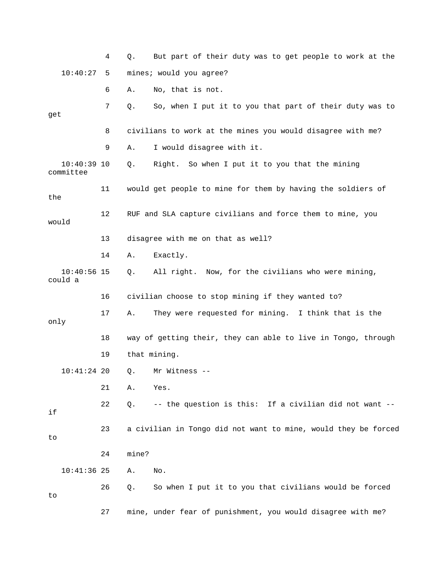|                            | 4  | But part of their duty was to get people to work at the<br>Q.  |
|----------------------------|----|----------------------------------------------------------------|
| 10:40:27                   | 5. | mines; would you agree?                                        |
|                            | 6  | No, that is not.<br>Α.                                         |
| get                        | 7  | So, when I put it to you that part of their duty was to<br>Q.  |
|                            | 8  | civilians to work at the mines you would disagree with me?     |
|                            | 9  | I would disagree with it.<br>Α.                                |
| $10:40:39$ 10<br>committee |    | Right. So when I put it to you that the mining<br>Q.           |
| the                        | 11 | would get people to mine for them by having the soldiers of    |
| would                      | 12 | RUF and SLA capture civilians and force them to mine, you      |
|                            | 13 | disagree with me on that as well?                              |
|                            | 14 | Exactly.<br>Α.                                                 |
| $10:40:56$ 15<br>could a   |    | All right. Now, for the civilians who were mining,<br>Q.       |
|                            |    |                                                                |
|                            | 16 | civilian choose to stop mining if they wanted to?              |
| only                       | 17 | They were requested for mining. I think that is the<br>Α.      |
|                            | 18 | way of getting their, they can able to live in Tongo, through  |
|                            | 19 | that mining.                                                   |
| $10:41:24$ 20              |    | Mr Witness --<br>$Q$ .                                         |
|                            | 21 | Α.<br>Yes.                                                     |
| if                         | 22 | -- the question is this: If a civilian did not want --<br>Q.   |
| to                         | 23 | a civilian in Tongo did not want to mine, would they be forced |
|                            | 24 | mine?                                                          |
| $10:41:36$ 25              |    | Α.<br>No.                                                      |
| to                         | 26 | So when I put it to you that civilians would be forced<br>Q.   |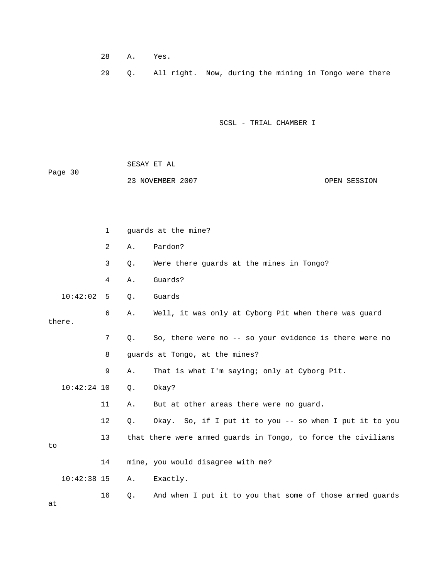- 28 A. Yes.
- 29 Q. All right. Now, during the mining in Tongo were there

 SESAY ET AL Page 30 23 NOVEMBER 2007 OPEN SESSION

|    |               | 1  |       | guards at the mine?                                           |
|----|---------------|----|-------|---------------------------------------------------------------|
|    |               | 2  | Α.    | Pardon?                                                       |
|    |               | 3  | $Q$ . | Were there guards at the mines in Tongo?                      |
|    |               | 4  | Α.    | Guards?                                                       |
|    | 10:42:02      | 5  | Q.    | Guards                                                        |
|    | there.        | 6  | Α.    | Well, it was only at Cyborg Pit when there was guard          |
|    |               | 7  | Q.    | So, there were no -- so your evidence is there were no        |
|    |               | 8  |       | guards at Tongo, at the mines?                                |
|    |               | 9  | Α.    | That is what I'm saying; only at Cyborg Pit.                  |
|    | $10:42:24$ 10 |    | $Q$ . | Okay?                                                         |
|    |               | 11 | Α.    | But at other areas there were no quard.                       |
|    |               | 12 | Q.    | Okay. So, if I put it to you -- so when I put it to you       |
| to |               | 13 |       | that there were armed guards in Tongo, to force the civilians |
|    |               | 14 |       | mine, you would disagree with me?                             |
|    | $10:42:38$ 15 |    | Α.    | Exactly.                                                      |
| at |               | 16 | Q.    | And when I put it to you that some of those armed guards      |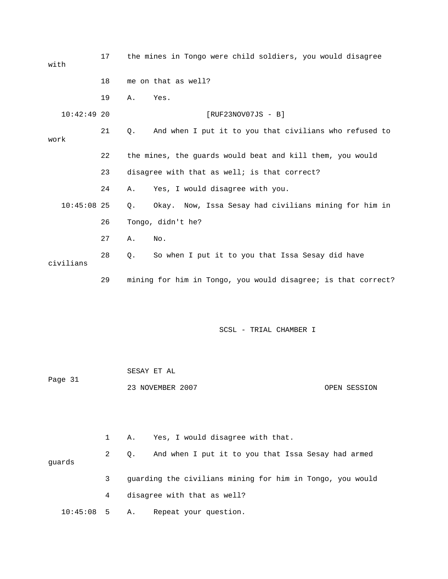| with          | 17 | the mines in Tongo were child soldiers, you would disagree |                                                               |  |  |
|---------------|----|------------------------------------------------------------|---------------------------------------------------------------|--|--|
|               | 18 | me on that as well?                                        |                                                               |  |  |
|               | 19 | Yes.<br>Α.                                                 |                                                               |  |  |
| $10:42:49$ 20 |    | $[RUF23NOV07JS - B]$                                       |                                                               |  |  |
| work          | 21 | Q.                                                         | And when I put it to you that civilians who refused to        |  |  |
|               | 22 |                                                            | the mines, the guards would beat and kill them, you would     |  |  |
|               | 23 | disagree with that as well; is that correct?               |                                                               |  |  |
|               | 24 | Yes, I would disagree with you.<br>Α.                      |                                                               |  |  |
| $10:45:08$ 25 |    | Q.                                                         | Okay. Now, Issa Sesay had civilians mining for him in         |  |  |
|               | 26 | Tongo, didn't he?                                          |                                                               |  |  |
|               | 27 | Α.<br>No.                                                  |                                                               |  |  |
| civilians     | 28 | Q.                                                         | So when I put it to you that Issa Sesay did have              |  |  |
|               | 29 |                                                            | mining for him in Tongo, you would disagree; is that correct? |  |  |
|               |    |                                                            |                                                               |  |  |
|               |    |                                                            | SCSL - TRIAL CHAMBER I                                        |  |  |
|               |    |                                                            |                                                               |  |  |
| Page 31       |    | SESAY ET AL                                                |                                                               |  |  |
|               |    | 23 NOVEMBER 2007                                           | OPEN SESSION                                                  |  |  |

|                 |           | 1 A. Yes, I would disagree with that.                     |
|-----------------|-----------|-----------------------------------------------------------|
| quards          | $2 \quad$ | Q. And when I put it to you that Issa Sesay had armed     |
|                 | 3         | quarding the civilians mining for him in Tongo, you would |
|                 | 4         | disagree with that as well?                               |
| $10:45:08$ 5 A. |           | Repeat your question.                                     |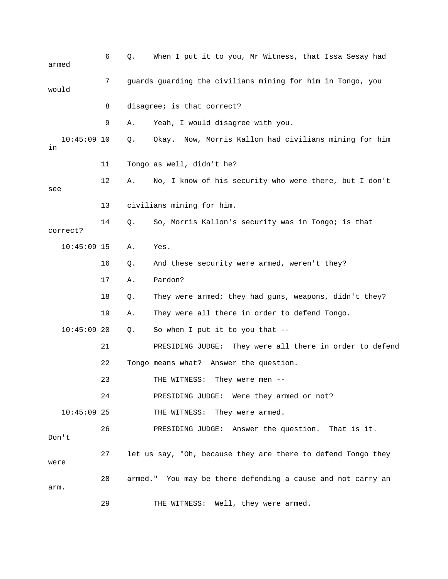| armed               | 6  | Q.                                                         | When I put it to you, Mr Witness, that Issa Sesay had        |  |  |
|---------------------|----|------------------------------------------------------------|--------------------------------------------------------------|--|--|
| would               | 7  | guards guarding the civilians mining for him in Tongo, you |                                                              |  |  |
|                     | 8  |                                                            | disagree; is that correct?                                   |  |  |
|                     | 9  | Α.                                                         | Yeah, I would disagree with you.                             |  |  |
| $10:45:09$ 10<br>in |    | Q.                                                         | Okay. Now, Morris Kallon had civilians mining for him        |  |  |
|                     | 11 |                                                            | Tongo as well, didn't he?                                    |  |  |
| see                 | 12 | Α.                                                         | No, I know of his security who were there, but I don't       |  |  |
|                     | 13 |                                                            | civilians mining for him.                                    |  |  |
| correct?            | 14 | Q.                                                         | So, Morris Kallon's security was in Tongo; is that           |  |  |
| $10:45:09$ 15       |    | Α.                                                         | Yes.                                                         |  |  |
|                     | 16 | Q.                                                         | And these security were armed, weren't they?                 |  |  |
|                     | 17 | Α.                                                         | Pardon?                                                      |  |  |
|                     | 18 | Q.                                                         | They were armed; they had guns, weapons, didn't they?        |  |  |
|                     | 19 | Α.                                                         | They were all there in order to defend Tongo.                |  |  |
| $10:45:09$ 20       |    | Q.                                                         | So when I put it to you that $-$                             |  |  |
|                     | 21 |                                                            | They were all there in order to defend<br>PRESIDING JUDGE:   |  |  |
|                     | 22 |                                                            | Tongo means what? Answer the question.                       |  |  |
|                     | 23 |                                                            | THE WITNESS:<br>They were men                                |  |  |
|                     | 24 |                                                            | PRESIDING JUDGE: Were they armed or not?                     |  |  |
| $10:45:09$ 25       |    |                                                            | THE WITNESS: They were armed.                                |  |  |
| Don't               | 26 |                                                            | PRESIDING JUDGE: Answer the question. That is it.            |  |  |
| were                | 27 |                                                            | let us say, "Oh, because they are there to defend Tongo they |  |  |
| arm.                | 28 |                                                            | armed." You may be there defending a cause and not carry an  |  |  |
|                     | 29 |                                                            | THE WITNESS: Well, they were armed.                          |  |  |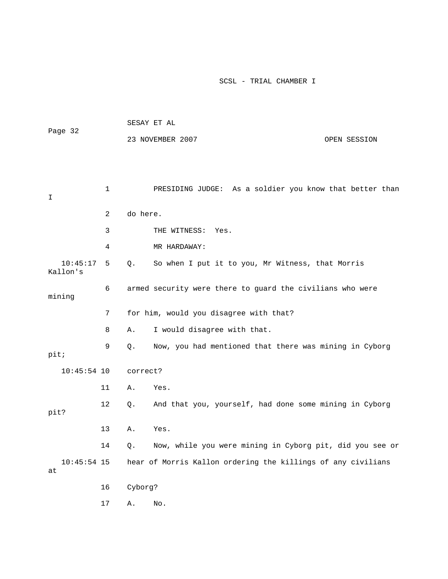| Page 32              |              | SESAY ET AL |                                                              |              |  |
|----------------------|--------------|-------------|--------------------------------------------------------------|--------------|--|
|                      |              |             | 23 NOVEMBER 2007                                             | OPEN SESSION |  |
|                      |              |             |                                                              |              |  |
|                      |              |             |                                                              |              |  |
| I                    | $\mathbf{1}$ |             | PRESIDING JUDGE: As a soldier you know that better than      |              |  |
|                      | 2            | do here.    |                                                              |              |  |
|                      | 3            |             | THE WITNESS:<br>Yes.                                         |              |  |
|                      | 4            |             | MR HARDAWAY:                                                 |              |  |
| 10:45:17<br>Kallon's | 5            | Q.          | So when I put it to you, Mr Witness, that Morris             |              |  |
| mining               | 6            |             | armed security were there to guard the civilians who were    |              |  |
|                      | 7            |             | for him, would you disagree with that?                       |              |  |
|                      | 8            | Α.          | I would disagree with that.                                  |              |  |
| pit;                 | 9            | Q.          | Now, you had mentioned that there was mining in Cyborg       |              |  |
| $10:45:54$ 10        |              | correct?    |                                                              |              |  |
|                      | 11           | Α.          | Yes.                                                         |              |  |
| pit?                 | 12           | Q.          | And that you, yourself, had done some mining in Cyborg       |              |  |
|                      | 13           | Α.          | Yes.                                                         |              |  |
|                      | 14           | Q.          | Now, while you were mining in Cyborg pit, did you see or     |              |  |
| $10:45:54$ 15<br>at  |              |             | hear of Morris Kallon ordering the killings of any civilians |              |  |
|                      | 16           | Cyborg?     |                                                              |              |  |
|                      | $17\,$       | Α.          | No.                                                          |              |  |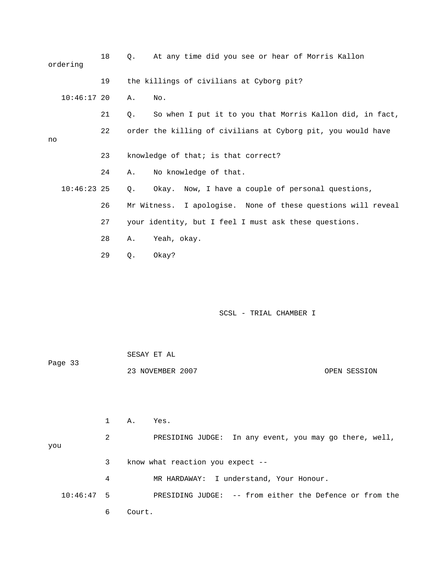|    | ordering      | 18 | $\circ$ . | At any time did you see or hear of Morris Kallon             |
|----|---------------|----|-----------|--------------------------------------------------------------|
|    |               | 19 |           | the killings of civilians at Cyborg pit?                     |
|    | $10:46:17$ 20 |    | Α.        | No.                                                          |
|    |               | 21 | Q.        | So when I put it to you that Morris Kallon did, in fact,     |
| no |               | 22 |           | order the killing of civilians at Cyborg pit, you would have |
|    |               | 23 |           | knowledge of that; is that correct?                          |
|    |               | 24 | Α.        | No knowledge of that.                                        |
|    | $10:46:23$ 25 |    | Q.        | Okay. Now, I have a couple of personal questions,            |
|    |               | 26 |           | Mr Witness. I apologise. None of these questions will reveal |
|    |               | 27 |           | your identity, but I feel I must ask these questions.        |
|    |               | 28 | Α.        | Yeah, okay.                                                  |
|    |               | 29 | $Q$ .     | Okay?                                                        |

| Page 33 | SESAY ET AL      |              |  |
|---------|------------------|--------------|--|
|         | 23 NOVEMBER 2007 | OPEN SESSION |  |

|              |   | Α.     | Yes.                                                    |
|--------------|---|--------|---------------------------------------------------------|
| you          | 2 |        | PRESIDING JUDGE: In any event, you may go there, well,  |
|              | 3 |        | know what reaction you expect $-$ -                     |
|              | 4 |        | MR HARDAWAY: I understand, Your Honour.                 |
| $10:46:47$ 5 |   |        | PRESIDING JUDGE: -- from either the Defence or from the |
|              | 6 | Court. |                                                         |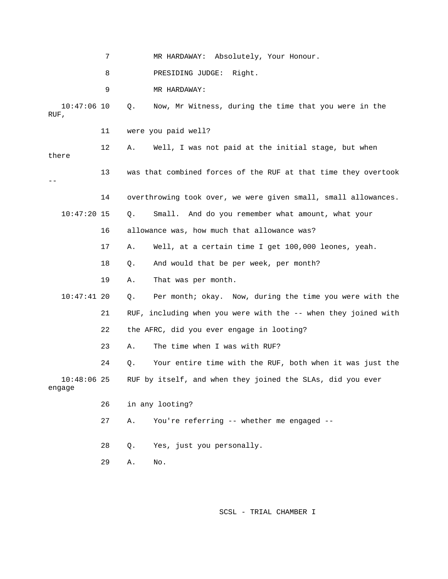7 MR HARDAWAY: Absolutely, Your Honour. 8 PRESIDING JUDGE: Right. 9 MR HARDAWAY: 10:47:06 10 Q. Now, Mr Witness, during the time that you were in the RUF, 11 were you paid well? 12 A. Well, I was not paid at the initial stage, but when there 13 was that combined forces of the RUF at that time they overtook -- 14 overthrowing took over, we were given small, small allowances. 10:47:20 15 Q. Small. And do you remember what amount, what your 16 allowance was, how much that allowance was? 17 A. Well, at a certain time I get 100,000 leones, yeah. 18 Q. And would that be per week, per month? 19 A. That was per month. 10:47:41 20 Q. Per month; okay. Now, during the time you were with the 21 RUF, including when you were with the -- when they joined with 22 the AFRC, did you ever engage in looting? 23 A. The time when I was with RUF? 24 Q. Your entire time with the RUF, both when it was just the 10:48:06 25 RUF by itself, and when they joined the SLAs, did you ever engage 26 in any looting? 27 A. You're referring -- whether me engaged -- 28 Q. Yes, just you personally. 29 A. No.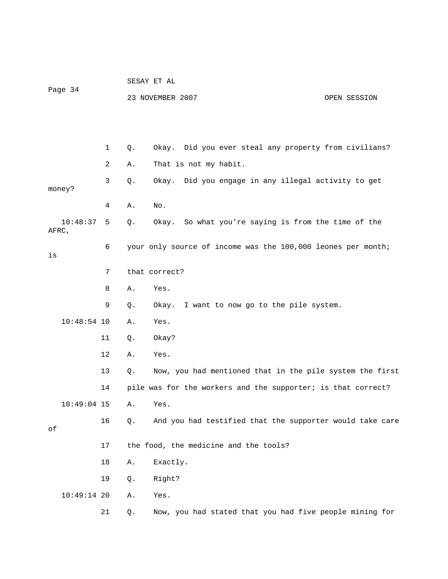|         |               |    | SESAY ET AL |                                                              |              |  |  |
|---------|---------------|----|-------------|--------------------------------------------------------------|--------------|--|--|
| Page 34 |               |    |             | 23 NOVEMBER 2007                                             | OPEN SESSION |  |  |
|         |               |    |             |                                                              |              |  |  |
|         |               |    |             |                                                              |              |  |  |
|         |               | 1  | Q.          | Okay. Did you ever steal any property from civilians?        |              |  |  |
|         |               | 2  | Α.          | That is not my habit.                                        |              |  |  |
|         | money?        | 3  | Q.          | Did you engage in any illegal activity to get<br>Okay.       |              |  |  |
|         |               | 4  | Α.          | No.                                                          |              |  |  |
| AFRC,   | 10:48:37      | 5  | Q.          | Okay. So what you're saying is from the time of the          |              |  |  |
| is      |               | 6  |             | your only source of income was the 100,000 leones per month; |              |  |  |
|         |               | 7  |             | that correct?                                                |              |  |  |
|         |               | 8  | Α.          | Yes.                                                         |              |  |  |
|         |               | 9  | Q.          | Okay. I want to now go to the pile system.                   |              |  |  |
|         | $10:48:54$ 10 |    | Α.          | Yes.                                                         |              |  |  |
|         |               | 11 | Q.          | Okay?                                                        |              |  |  |
|         |               | 12 | Α.          | Yes.                                                         |              |  |  |
|         |               | 13 | $Q$ .       | Now, you had mentioned that in the pile system the first     |              |  |  |
|         |               | 14 |             | pile was for the workers and the supporter; is that correct? |              |  |  |
|         | $10:49:04$ 15 |    | Α.          | Yes.                                                         |              |  |  |
| оf      |               | 16 | $Q$ .       | And you had testified that the supporter would take care     |              |  |  |
|         |               | 17 |             | the food, the medicine and the tools?                        |              |  |  |
|         |               | 18 | Α.          | Exactly.                                                     |              |  |  |
|         |               | 19 | Q.          | Right?                                                       |              |  |  |
|         | $10:49:14$ 20 |    | Α.          | Yes.                                                         |              |  |  |
|         |               | 21 | Q.          | Now, you had stated that you had five people mining for      |              |  |  |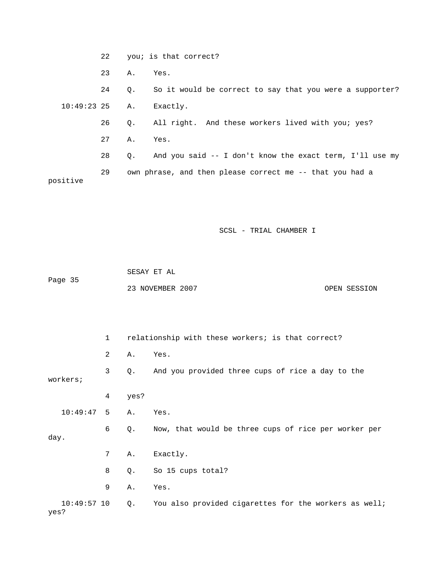22 you; is that correct? 23 A. Yes. 24 Q. So it would be correct to say that you were a supporter? 10:49:23 25 A. Exactly. 26 Q. All right. And these workers lived with you; yes? 27 A. Yes. 28 Q. And you said -- I don't know the exact term, I'll use my 29 own phrase, and then please correct me -- that you had a positive

```
 SCSL - TRIAL CHAMBER I
```

|         | SESAY ET AL      |              |
|---------|------------------|--------------|
| Page 35 |                  |              |
|         | 23 NOVEMBER 2007 | OPEN SESSION |

|      |               | $\mathbf{1}$   |       | relationship with these workers; is that correct?     |  |  |
|------|---------------|----------------|-------|-------------------------------------------------------|--|--|
|      |               | $\overline{2}$ | Α.    | Yes.                                                  |  |  |
|      | workers;      | 3              | Q.    | And you provided three cups of rice a day to the      |  |  |
|      |               | 4              | yes?  |                                                       |  |  |
|      | 10:49:47      | 5              | Α.    | Yes.                                                  |  |  |
| day. |               | 6              | Q.    | Now, that would be three cups of rice per worker per  |  |  |
|      |               | 7              | Α.    | Exactly.                                              |  |  |
|      |               | 8              | $Q$ . | So 15 cups total?                                     |  |  |
|      |               | 9              | Α.    | Yes.                                                  |  |  |
| yes? | $10:49:57$ 10 |                | Q.    | You also provided cigarettes for the workers as well; |  |  |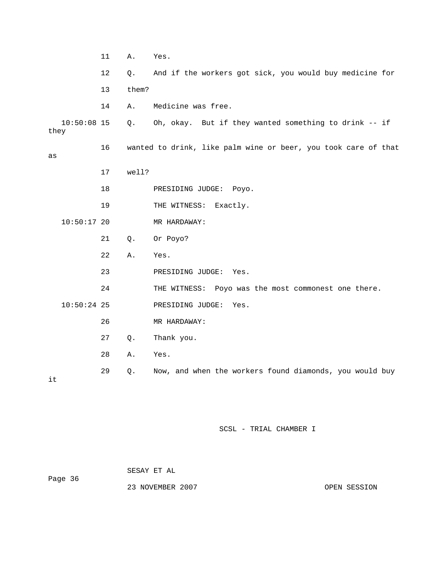|                       | 11 | Α.    | Yes.                                                           |
|-----------------------|----|-------|----------------------------------------------------------------|
|                       | 12 | Q.    | And if the workers got sick, you would buy medicine for        |
|                       | 13 | them? |                                                                |
|                       | 14 | Α.    | Medicine was free.                                             |
| $10:50:08$ 15<br>they |    | Q.    | Oh, okay. But if they wanted something to drink -- if          |
| as                    | 16 |       | wanted to drink, like palm wine or beer, you took care of that |
|                       | 17 | well? |                                                                |
|                       | 18 |       | PRESIDING JUDGE: Poyo.                                         |
|                       | 19 |       | THE WITNESS:<br>Exactly.                                       |
| $10:50:17$ 20         |    |       | MR HARDAWAY:                                                   |
|                       | 21 | Q.    | Or Poyo?                                                       |
|                       | 22 | Α.    | Yes.                                                           |
|                       | 23 |       | PRESIDING JUDGE:<br>Yes.                                       |
|                       | 24 |       | THE WITNESS: Poyo was the most commonest one there.            |
| $10:50:24$ 25         |    |       | PRESIDING JUDGE:<br>Yes.                                       |
|                       | 26 |       | MR HARDAWAY:                                                   |
|                       | 27 | Q.    | Thank you.                                                     |
|                       | 28 | Α.    | Yes.                                                           |
|                       | 29 | Q.    | Now, and when the workers found diamonds, you would buy        |

it

|         | SESAY ET AL      |  |              |
|---------|------------------|--|--------------|
| Page 36 |                  |  |              |
|         | 23 NOVEMBER 2007 |  | OPEN SESSION |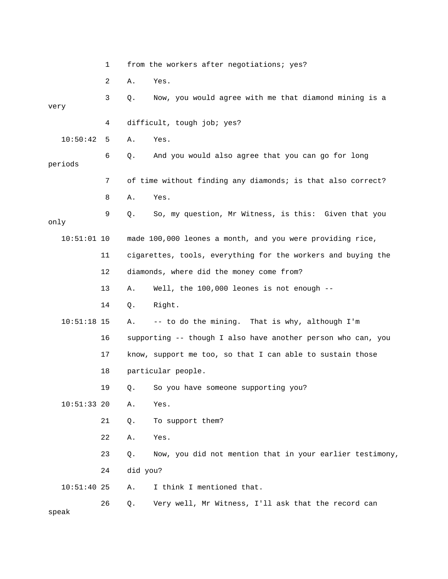|               | 1  |          | from the workers after negotiations; yes?                    |  |  |
|---------------|----|----------|--------------------------------------------------------------|--|--|
|               | 2  | Α.       | Yes.                                                         |  |  |
| very          | 3  | Q.       | Now, you would agree with me that diamond mining is a        |  |  |
|               | 4  |          | difficult, tough job; yes?                                   |  |  |
| 10:50:42      | 5  | Α.       | Yes.                                                         |  |  |
| periods       | 6  | Q.       | And you would also agree that you can go for long            |  |  |
|               | 7  |          | of time without finding any diamonds; is that also correct?  |  |  |
|               | 8  | Α.       | Yes.                                                         |  |  |
| only          | 9  | Q.       | So, my question, Mr Witness, is this: Given that you         |  |  |
| $10:51:01$ 10 |    |          | made 100,000 leones a month, and you were providing rice,    |  |  |
|               | 11 |          | cigarettes, tools, everything for the workers and buying the |  |  |
|               | 12 |          | diamonds, where did the money come from?                     |  |  |
|               | 13 | Α.       | Well, the 100,000 leones is not enough --                    |  |  |
|               | 14 | Q.       | Right.                                                       |  |  |
| $10:51:18$ 15 |    | Α.       | -- to do the mining. That is why, although I'm               |  |  |
|               | 16 |          | supporting -- though I also have another person who can, you |  |  |
|               | 17 |          | know, support me too, so that I can able to sustain those    |  |  |
|               | 18 |          | particular people.                                           |  |  |
|               | 19 |          | Q. So you have someone supporting you?                       |  |  |
| $10:51:33$ 20 |    | Α.       | Yes.                                                         |  |  |
|               | 21 | Q.       | To support them?                                             |  |  |
|               | 22 | Α.       | Yes.                                                         |  |  |
|               | 23 | $Q$ .    | Now, you did not mention that in your earlier testimony,     |  |  |
|               | 24 | did you? |                                                              |  |  |
| $10:51:40$ 25 |    | Α.       | I think I mentioned that.                                    |  |  |
| speak         | 26 | Q.       | Very well, Mr Witness, I'll ask that the record can          |  |  |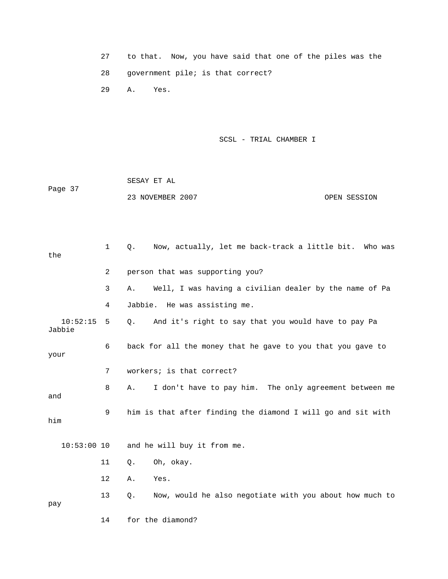|    |               |                                   |  | to that. Now, you have said that one of the piles was the |
|----|---------------|-----------------------------------|--|-----------------------------------------------------------|
| 28 |               | qovernment pile; is that correct? |  |                                                           |
|    | 29 A.<br>Yes. |                                   |  |                                                           |

|         | SESAY ET AL      |              |
|---------|------------------|--------------|
| Page 37 |                  |              |
|         | 23 NOVEMBER 2007 | OPEN SESSION |

| the                | 1              | Now, actually, let me back-track a little bit. Who was<br>Q.     |
|--------------------|----------------|------------------------------------------------------------------|
|                    | $\overline{2}$ | person that was supporting you?                                  |
|                    | 3              | Well, I was having a civilian dealer by the name of Pa<br>Α.     |
|                    | 4              | Jabbie. He was assisting me.                                     |
| 10:52:15<br>Jabbie | 5              | And it's right to say that you would have to pay Pa<br>$Q$ .     |
| your               | 6              | back for all the money that he gave to you that you gave to      |
|                    | 7              | workers; is that correct?                                        |
| and                | 8              | I don't have to pay him. The only agreement between me<br>Α.     |
| him                | 9              | him is that after finding the diamond I will go and sit with     |
| $10:53:00$ 10      |                | and he will buy it from me.                                      |
|                    | 11             | Oh, okay.<br>Q.                                                  |
|                    | 12             | Yes.<br>Α.                                                       |
| pay                | 13             | Now, would he also negotiate with you about how much to<br>$Q$ . |
|                    |                |                                                                  |

14 for the diamond?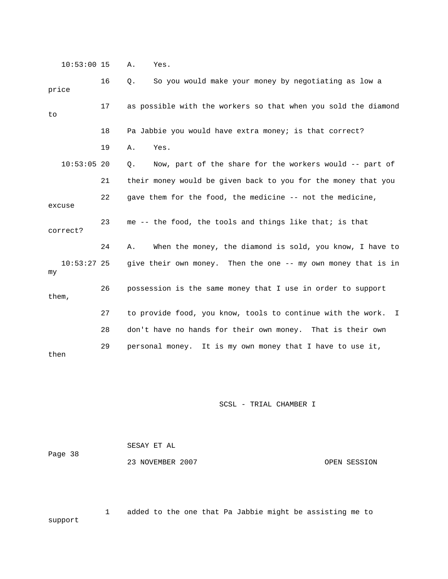10:53:00 15 A. Yes.

| price    |               | 16 | So you would make your money by negotiating as low a<br>Q.     |
|----------|---------------|----|----------------------------------------------------------------|
| to       |               | 17 | as possible with the workers so that when you sold the diamond |
|          |               | 18 | Pa Jabbie you would have extra money; is that correct?         |
|          |               | 19 | Yes.<br>Α.                                                     |
|          | $10:53:05$ 20 |    | Now, part of the share for the workers would -- part of<br>Q.  |
|          |               | 21 | their money would be given back to you for the money that you  |
| excuse   |               | 22 | gave them for the food, the medicine -- not the medicine,      |
| correct? |               | 23 | me -- the food, the tools and things like that; is that        |
|          |               | 24 | When the money, the diamond is sold, you know, I have to<br>Α. |
| my       | $10:53:27$ 25 |    | give their own money. Then the one -- my own money that is in  |
| them,    |               | 26 | possession is the same money that I use in order to support    |
|          |               | 27 | to provide food, you know, tools to continue with the work. I  |
|          |               | 28 | don't have no hands for their own money. That is their own     |
| then     |               | 29 | personal money. It is my own money that I have to use it,      |

SCSL - TRIAL CHAMBER I

| Page 38 | SESAY ET AL      |  |              |  |
|---------|------------------|--|--------------|--|
|         | 23 NOVEMBER 2007 |  | OPEN SESSION |  |

 1 added to the one that Pa Jabbie might be assisting me to support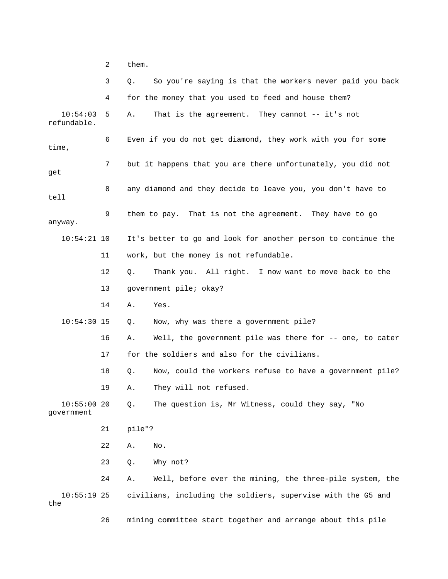2 them.

|                          | 3  | So you're saying is that the workers never paid you back<br>Q. |
|--------------------------|----|----------------------------------------------------------------|
|                          | 4  | for the money that you used to feed and house them?            |
| 10:54:03<br>refundable.  | 5. | That is the agreement. They cannot -- it's not<br>Α.           |
| time,                    | 6  | Even if you do not get diamond, they work with you for some    |
| get                      | 7  | but it happens that you are there unfortunately, you did not   |
| tell                     | 8  | any diamond and they decide to leave you, you don't have to    |
| anyway.                  | 9  | them to pay. That is not the agreement. They have to go        |
| $10:54:21$ 10            |    | It's better to go and look for another person to continue the  |
|                          | 11 | work, but the money is not refundable.                         |
|                          | 12 | Thank you. All right. I now want to move back to the<br>О.     |
|                          | 13 | government pile; okay?                                         |
|                          | 14 | Yes.<br>Α.                                                     |
| $10:54:30$ 15            |    | Now, why was there a government pile?<br>Q.                    |
|                          | 16 | Well, the government pile was there for -- one, to cater<br>Α. |
|                          | 17 | for the soldiers and also for the civilians.                   |
|                          | 18 | Now, could the workers refuse to have a government pile?<br>Q. |
|                          | 19 | They will not refused.<br>Α.                                   |
| 10:55:0020<br>government |    | The question is, Mr Witness, could they say, "No<br>Q.         |
|                          | 21 | pile"?                                                         |
|                          | 22 | No.<br>Α.                                                      |
|                          | 23 | Why not?<br>Q.                                                 |
|                          | 24 | Well, before ever the mining, the three-pile system, the<br>Α. |
| $10:55:19$ 25<br>the     |    | civilians, including the soldiers, supervise with the G5 and   |

26 mining committee start together and arrange about this pile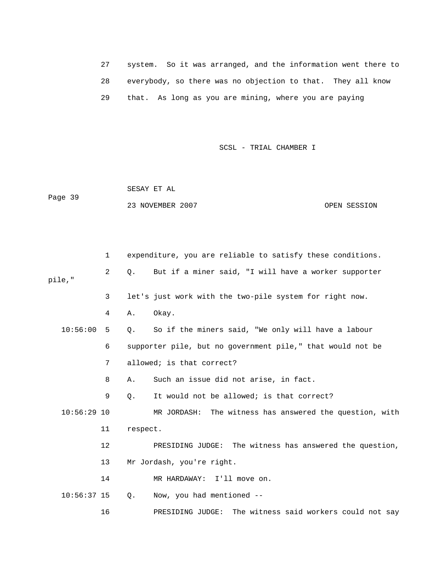27 system. So it was arranged, and the information went there to 28 everybody, so there was no objection to that. They all know 29 that. As long as you are mining, where you are paying

SCSL - TRIAL CHAMBER I

 SESAY ET AL Page 39 23 NOVEMBER 2007 OPEN SESSION

 1 expenditure, you are reliable to satisfy these conditions. 2 Q. But if a miner said, "I will have a worker supporter pile," 3 let's just work with the two-pile system for right now. 4 A. Okay. 10:56:00 5 Q. So if the miners said, "We only will have a labour 6 supporter pile, but no government pile," that would not be 7 allowed; is that correct? 8 A. Such an issue did not arise, in fact. 9 Q. It would not be allowed; is that correct? 10:56:29 10 MR JORDASH: The witness has answered the question, with 11 respect. 12 PRESIDING JUDGE: The witness has answered the question, 13 Mr Jordash, you're right. 14 MR HARDAWAY: I'll move on. 10:56:37 15 Q. Now, you had mentioned -- 16 PRESIDING JUDGE: The witness said workers could not say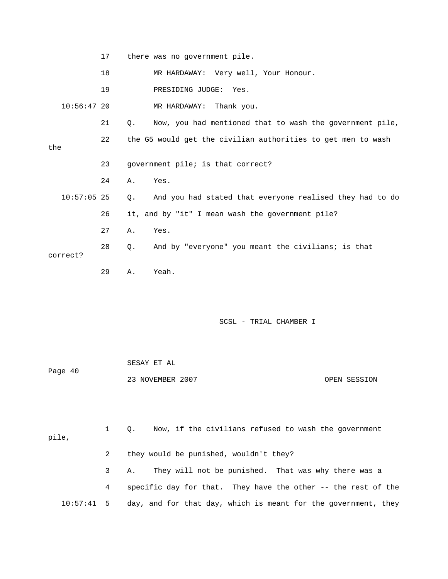|               | 17 |    | there was no government pile.                                |
|---------------|----|----|--------------------------------------------------------------|
|               | 18 |    | MR HARDAWAY: Very well, Your Honour.                         |
|               | 19 |    | PRESIDING JUDGE: Yes.                                        |
| $10:56:47$ 20 |    |    | MR HARDAWAY: Thank you.                                      |
|               | 21 | О. | Now, you had mentioned that to wash the government pile,     |
| the           | 22 |    | the G5 would get the civilian authorities to get men to wash |
|               | 23 |    | government pile; is that correct?                            |
|               | 24 | Α. | Yes.                                                         |
| $10:57:05$ 25 |    | Q. | And you had stated that everyone realised they had to do     |
|               | 26 |    | it, and by "it" I mean wash the government pile?             |
|               | 27 | Α. | Yes.                                                         |
| correct?      | 28 | Ο. | And by "everyone" you meant the civilians; is that           |
|               | 29 | Α. | Yeah.                                                        |

| Page 40 | SESAY ET AL      |              |
|---------|------------------|--------------|
|         | 23 NOVEMBER 2007 | OPEN SESSION |

| pile,        |   | Now, if the civilians refused to wash the government<br>$\circ$ . |
|--------------|---|-------------------------------------------------------------------|
|              | 2 | they would be punished, wouldn't they?                            |
|              |   | They will not be punished. That was why there was a<br>3 A.       |
|              | 4 | specific day for that. They have the other -- the rest of the     |
| $10:57:41$ 5 |   | day, and for that day, which is meant for the government, they    |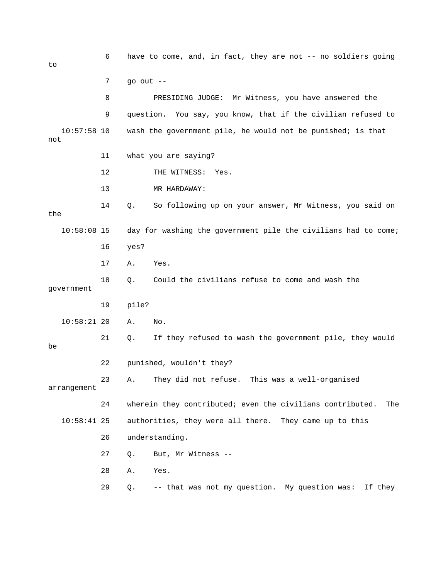6 have to come, and, in fact, they are not -- no soldiers going to 7 go out -- 8 PRESIDING JUDGE: Mr Witness, you have answered the 9 question. You say, you know, that if the civilian refused to 10:57:58 10 wash the government pile, he would not be punished; is that not 11 what you are saying? 12 THE WITNESS: Yes. 13 MR HARDAWAY: 14 Q. So following up on your answer, Mr Witness, you said on the 10:58:08 15 day for washing the government pile the civilians had to come; 16 yes? 17 A. Yes. 18 Q. Could the civilians refuse to come and wash the government 19 pile? 10:58:21 20 A. No. 21 Q. If they refused to wash the government pile, they would be 22 punished, wouldn't they? 23 A. They did not refuse. This was a well-organised arrangement 24 wherein they contributed; even the civilians contributed. The 10:58:41 25 authorities, they were all there. They came up to this 26 understanding. 27 Q. But, Mr Witness -- 28 A. Yes. 29 Q. -- that was not my question. My question was: If they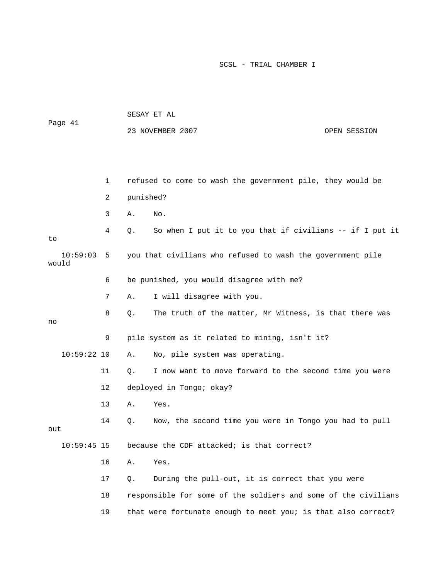| Page 41           |    | SESAY ET AL |                                                                |              |  |
|-------------------|----|-------------|----------------------------------------------------------------|--------------|--|
|                   |    |             | 23 NOVEMBER 2007                                               | OPEN SESSION |  |
|                   |    |             |                                                                |              |  |
|                   |    |             |                                                                |              |  |
|                   | 1  |             | refused to come to wash the government pile, they would be     |              |  |
|                   | 2  | punished?   |                                                                |              |  |
|                   | 3  | Α.          | No.                                                            |              |  |
| to                | 4  | Q.          | So when I put it to you that if civilians -- if I put it       |              |  |
| 10:59:03<br>would | 5  |             | you that civilians who refused to wash the government pile     |              |  |
|                   | 6  |             | be punished, you would disagree with me?                       |              |  |
|                   | 7  | Α.          | I will disagree with you.                                      |              |  |
| no                | 8  | Q.          | The truth of the matter, Mr Witness, is that there was         |              |  |
|                   | 9  |             | pile system as it related to mining, isn't it?                 |              |  |
| $10:59:22$ 10     |    | Α.          | No, pile system was operating.                                 |              |  |
|                   | 11 | $Q$ .       | I now want to move forward to the second time you were         |              |  |
|                   | 12 |             | deployed in Tongo; okay?                                       |              |  |
|                   | 13 | Α.          | Yes.                                                           |              |  |
| out               | 14 | Q.          | Now, the second time you were in Tongo you had to pull         |              |  |
| $10:59:45$ 15     |    |             | because the CDF attacked; is that correct?                     |              |  |
|                   | 16 | Α.          | Yes.                                                           |              |  |
|                   | 17 | $Q$ .       | During the pull-out, it is correct that you were               |              |  |
|                   | 18 |             | responsible for some of the soldiers and some of the civilians |              |  |
|                   | 19 |             | that were fortunate enough to meet you; is that also correct?  |              |  |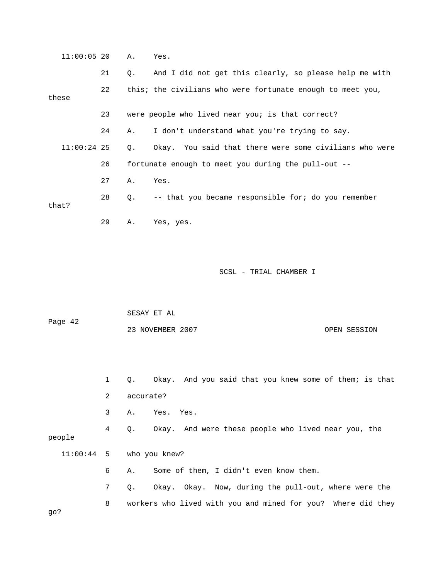| $11:00:05$ 20 |    | Α.    | Yes.                                                       |
|---------------|----|-------|------------------------------------------------------------|
|               | 21 | Q.    | And I did not get this clearly, so please help me with     |
| these         | 22 |       | this; the civilians who were fortunate enough to meet you, |
|               | 23 |       | were people who lived near you; is that correct?           |
|               | 24 | Α.    | I don't understand what you're trying to say.              |
| $11:00:24$ 25 |    | $Q$ . | Okay. You said that there were some civilians who were     |
|               | 26 |       | fortunate enough to meet you during the pull-out --        |
|               | 27 | Α.    | Yes.                                                       |
| that?         | 28 | Q.    | -- that you became responsible for; do you remember        |
|               | 29 | Α.    | Yes, yes.                                                  |
|               |    |       |                                                            |
|               |    |       | SCSL - TRIAL CHAMBER I                                     |
|               |    |       |                                                            |

| Page 42 | SESAY ET AL      |              |
|---------|------------------|--------------|
|         | 23 NOVEMBER 2007 | OPEN SESSION |

 1 Q. Okay. And you said that you knew some of them; is that 2 accurate? 3 A. Yes. Yes. 4 Q. Okay. And were these people who lived near you, the people 11:00:44 5 who you knew? 6 A. Some of them, I didn't even know them. 7 Q. Okay. Okay. Now, during the pull-out, where were the 8 workers who lived with you and mined for you? Where did they go?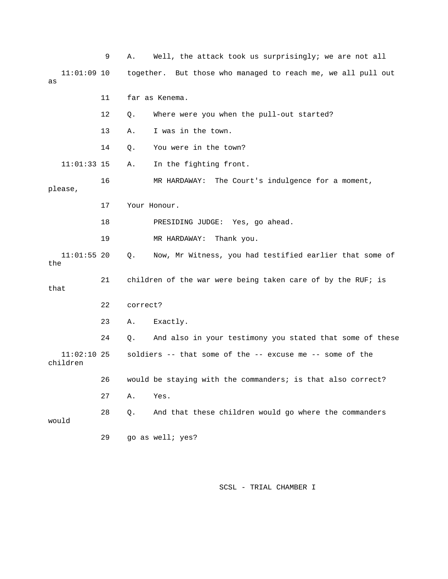|                           | 9  | Α.       | Well, the attack took us surprisingly; we are not all        |
|---------------------------|----|----------|--------------------------------------------------------------|
| $11:01:09$ 10<br>as       |    |          | together. But those who managed to reach me, we all pull out |
|                           | 11 |          | far as Kenema.                                               |
|                           | 12 | Q.       | Where were you when the pull-out started?                    |
|                           | 13 | Α.       | I was in the town.                                           |
|                           | 14 | Q.       | You were in the town?                                        |
| $11:01:33$ 15             |    | Α.       | In the fighting front.                                       |
| please,                   | 16 |          | MR HARDAWAY:<br>The Court's indulgence for a moment,         |
|                           | 17 |          | Your Honour.                                                 |
|                           | 18 |          | PRESIDING JUDGE: Yes, go ahead.                              |
|                           | 19 |          | MR HARDAWAY:<br>Thank you.                                   |
| $11:01:55$ 20<br>the      |    | Q.       | Now, Mr Witness, you had testified earlier that some of      |
| that                      | 21 |          | children of the war were being taken care of by the RUF; is  |
|                           | 22 | correct? |                                                              |
|                           | 23 | Α.       | Exactly.                                                     |
|                           | 24 | Q.       | And also in your testimony you stated that some of these     |
| $11:02:10$ 25<br>children |    |          | soldiers -- that some of the -- excuse me -- some of the     |
|                           | 26 |          | would be staying with the commanders; is that also correct?  |
|                           | 27 | Α.       | Yes.                                                         |
| would                     | 28 | Q.       | And that these children would go where the commanders        |
|                           | 29 |          | go as well; yes?                                             |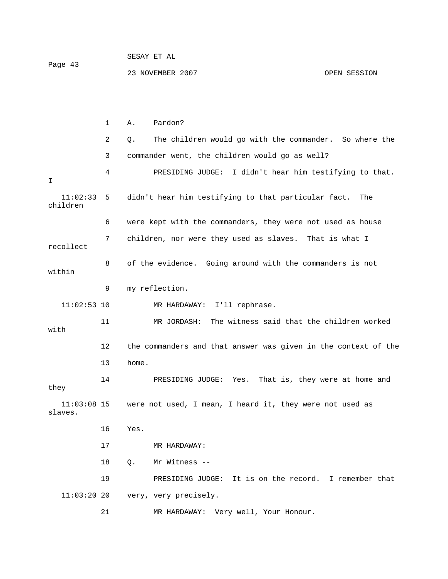1 A. Pardon? 2 Q. The children would go with the commander. So where the 3 commander went, the children would go as well? 4 PRESIDING JUDGE: I didn't hear him testifying to that. I 11:02:33 5 didn't hear him testifying to that particular fact. The children 6 were kept with the commanders, they were not used as house 7 children, nor were they used as slaves. That is what I recollect 8 of the evidence. Going around with the commanders is not within 9 my reflection. 11:02:53 10 MR HARDAWAY: I'll rephrase. 11 MR JORDASH: The witness said that the children worked with 12 the commanders and that answer was given in the context of the 13 home. 14 PRESIDING JUDGE: Yes. That is, they were at home and they 11:03:08 15 were not used, I mean, I heard it, they were not used as slaves. 16 Yes. 17 MR HARDAWAY: 18 Q. Mr Witness -- 19 PRESIDING JUDGE: It is on the record. I remember that 11:03:20 20 very, very precisely. 21 MR HARDAWAY: Very well, Your Honour.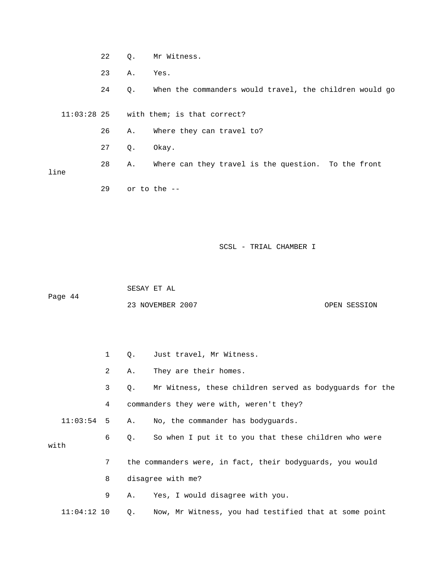- 22 Q. Mr Witness. 23 A. Yes. 24 Q. When the commanders would travel, the children would go 11:03:28 25 with them; is that correct? 26 A. Where they can travel to? 27 Q. Okay. 28 A. Where can they travel is the question. To the front line
	- 29 or to the --

 SESAY ET AL Page 44 23 NOVEMBER 2007 OPEN SESSION

|               |              | $\circ$ . | Just travel, Mr Witness.                                  |
|---------------|--------------|-----------|-----------------------------------------------------------|
|               | $\mathbf{2}$ | Α.        | They are their homes.                                     |
|               | 3            | $\circ$ . | Mr Witness, these children served as bodyguards for the   |
|               | $4\degree$   |           | commanders they were with, weren't they?                  |
| $11:03:54$ 5  |              |           | A. No, the commander has bodyquards.                      |
|               | 6            | Q.        | So when I put it to you that these children who were      |
| with          |              |           |                                                           |
|               | 7            |           | the commanders were, in fact, their bodyquards, you would |
|               | 8            |           | disagree with me?                                         |
|               | 9            | A.        | Yes, I would disagree with you.                           |
| $11:04:12$ 10 |              | $\circ$ . | Now, Mr Witness, you had testified that at some point     |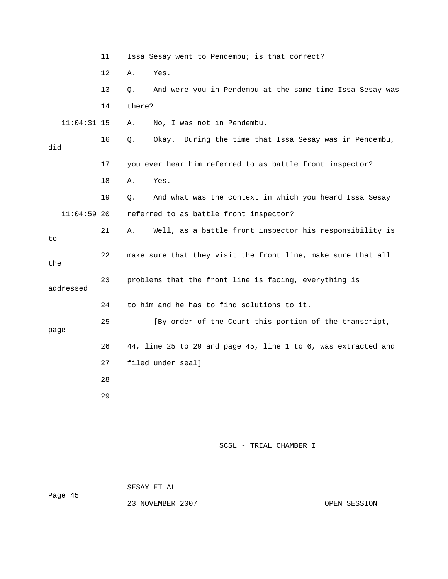|               | 11 | Issa Sesay went to Pendembu; is that correct?                   |
|---------------|----|-----------------------------------------------------------------|
|               | 12 | Yes.<br>Α.                                                      |
|               | 13 | And were you in Pendembu at the same time Issa Sesay was<br>Q.  |
|               | 14 | there?                                                          |
| $11:04:31$ 15 |    | No, I was not in Pendembu.<br>Α.                                |
| did           | 16 | During the time that Issa Sesay was in Pendembu,<br>Q.<br>Okay. |
|               | 17 | you ever hear him referred to as battle front inspector?        |
|               | 18 | Α.<br>Yes.                                                      |
|               | 19 | And what was the context in which you heard Issa Sesay<br>Ο.    |
| $11:04:59$ 20 |    | referred to as battle front inspector?                          |
| to            | 21 | Well, as a battle front inspector his responsibility is<br>Α.   |
| the           | 22 | make sure that they visit the front line, make sure that all    |
| addressed     | 23 | problems that the front line is facing, everything is           |
|               | 24 | to him and he has to find solutions to it.                      |
| page          | 25 | [By order of the Court this portion of the transcript,          |
|               | 26 | 44, line 25 to 29 and page 45, line 1 to 6, was extracted and   |
|               | 27 | filed under seal]                                               |
|               | 28 |                                                                 |
|               | 29 |                                                                 |
|               |    |                                                                 |
|               |    |                                                                 |

 SESAY ET AL Page 45

23 NOVEMBER 2007 CPEN SESSION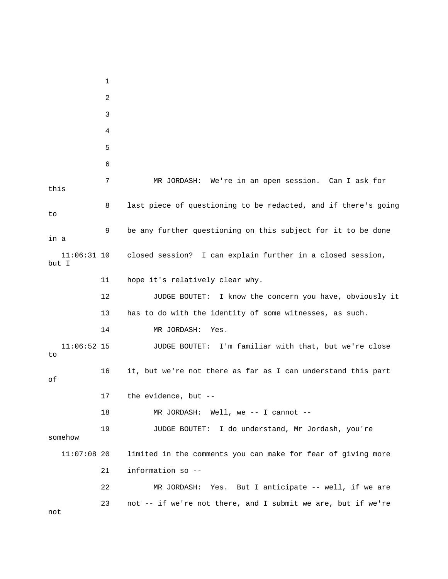1 2 3 4 5 6 7 MR JORDASH: We're in an open session. Can I ask for this 8 last piece of questioning to be redacted, and if there's going to 9 be any further questioning on this subject for it to be done in a 11:06:31 10 closed session? I can explain further in a closed session, but I 11 hope it's relatively clear why. 12 JUDGE BOUTET: I know the concern you have, obviously it 13 has to do with the identity of some witnesses, as such. 14 MR JORDASH: Yes. 11:06:52 15 JUDGE BOUTET: I'm familiar with that, but we're close to 16 it, but we're not there as far as I can understand this part of 17 the evidence, but -- 18 MR JORDASH: Well, we -- I cannot -- 19 JUDGE BOUTET: I do understand, Mr Jordash, you're somehow 11:07:08 20 limited in the comments you can make for fear of giving more 21 information so -- 22 MR JORDASH: Yes. But I anticipate -- well, if we are 23 not -- if we're not there, and I submit we are, but if we're

not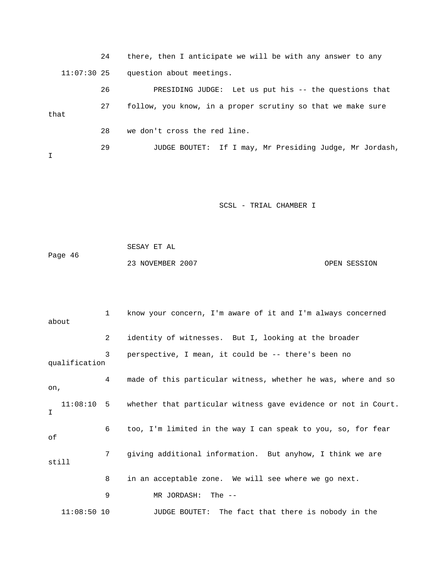24 there, then I anticipate we will be with any answer to any 11:07:30 25 question about meetings. 26 PRESIDING JUDGE: Let us put his -- the questions that 27 follow, you know, in a proper scrutiny so that we make sure that 28 we don't cross the red line. 29 JUDGE BOUTET: If I may, Mr Presiding Judge, Mr Jordash, I

SCSL - TRIAL CHAMBER I

 SESAY ET AL Page 46 23 NOVEMBER 2007 CPEN SESSION

 1 know your concern, I'm aware of it and I'm always concerned about 2 identity of witnesses. But I, looking at the broader 3 perspective, I mean, it could be -- there's been no qualification 4 made of this particular witness, whether he was, where and so on, 11:08:10 5 whether that particular witness gave evidence or not in Court. I 6 too, I'm limited in the way I can speak to you, so, for fear of 7 giving additional information. But anyhow, I think we are still 8 in an acceptable zone. We will see where we go next. 9 MR JORDASH: The -- 11:08:50 10 JUDGE BOUTET: The fact that there is nobody in the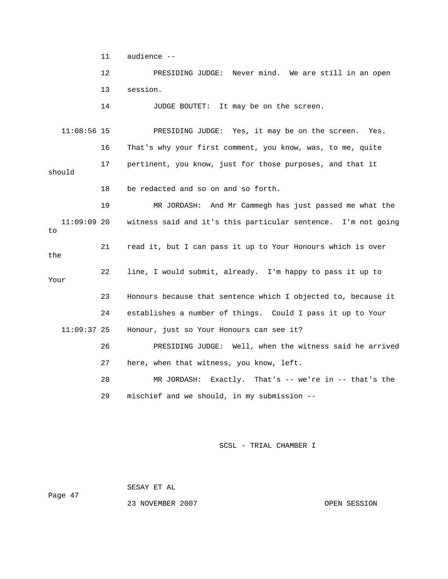11 audience --

 12 PRESIDING JUDGE: Never mind. We are still in an open 13 session.

14 JUDGE BOUTET: It may be on the screen.

 11:08:56 15 PRESIDING JUDGE: Yes, it may be on the screen. Yes. 16 That's why your first comment, you know, was, to me, quite 17 pertinent, you know, just for those purposes, and that it should 18 be redacted and so on and so forth. 19 MR JORDASH: And Mr Cammegh has just passed me what the 11:09:09 20 witness said and it's this particular sentence. I'm not going to 21 read it, but I can pass it up to Your Honours which is over the 22 line, I would submit, already. I'm happy to pass it up to Your 23 Honours because that sentence which I objected to, because it 24 establishes a number of things. Could I pass it up to Your 11:09:37 25 Honour, just so Your Honours can see it? 26 PRESIDING JUDGE: Well, when the witness said he arrived 27 here, when that witness, you know, left. 28 MR JORDASH: Exactly. That's -- we're in -- that's the

29 mischief and we should, in my submission --

SCSL - TRIAL CHAMBER I

SESAY ET AL

Page 47

23 NOVEMBER 2007 CPEN SESSION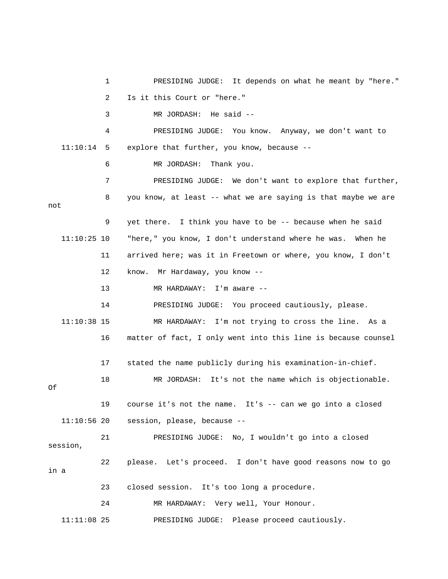1 PRESIDING JUDGE: It depends on what he meant by "here." 2 Is it this Court or "here." 3 MR JORDASH: He said -- 4 PRESIDING JUDGE: You know. Anyway, we don't want to 11:10:14 5 explore that further, you know, because -- 6 MR JORDASH: Thank you. 7 PRESIDING JUDGE: We don't want to explore that further, 8 you know, at least -- what we are saying is that maybe we are not 9 yet there. I think you have to be -- because when he said 11:10:25 10 "here," you know, I don't understand where he was. When he 11 arrived here; was it in Freetown or where, you know, I don't 12 know. Mr Hardaway, you know -- 13 MR HARDAWAY: I'm aware -- 14 PRESIDING JUDGE: You proceed cautiously, please. 11:10:38 15 MR HARDAWAY: I'm not trying to cross the line. As a 16 matter of fact, I only went into this line is because counsel 17 stated the name publicly during his examination-in-chief. 18 MR JORDASH: It's not the name which is objectionable. Of 19 course it's not the name. It's -- can we go into a closed 11:10:56 20 session, please, because -- 21 PRESIDING JUDGE: No, I wouldn't go into a closed session, 22 please. Let's proceed. I don't have good reasons now to go in a 23 closed session. It's too long a procedure. 24 MR HARDAWAY: Very well, Your Honour. 11:11:08 25 PRESIDING JUDGE: Please proceed cautiously.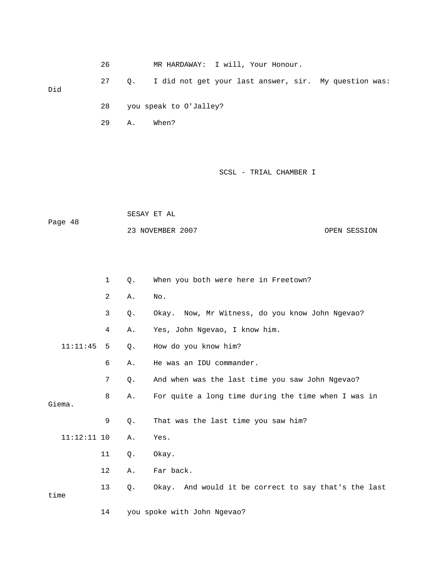26 MR HARDAWAY: I will, Your Honour. 27 Q. I did not get your last answer, sir. My question was: Did 28 you speak to O'Jalley? 29 A. When?

## SCSL - TRIAL CHAMBER I

 SESAY ET AL Page 48 23 NOVEMBER 2007 CPEN SESSION

|               | $\mathbf{1}$ | $Q$ . | When you both were here in Freetown?                 |
|---------------|--------------|-------|------------------------------------------------------|
|               | 2            | Α.    | No.                                                  |
|               | 3            | Q.    | Okay. Now, Mr Witness, do you know John Ngevao?      |
|               | 4            | Α.    | Yes, John Ngevao, I know him.                        |
| 11:11:45      | 5            | Q.    | How do you know him?                                 |
|               | 6            | Α.    | He was an IDU commander.                             |
|               | 7            | Q.    | And when was the last time you saw John Ngevao?      |
|               | 8            | Α.    | For quite a long time during the time when I was in  |
| Giema.        |              |       |                                                      |
|               | 9            | $Q$ . | That was the last time you saw him?                  |
| $11:12:11$ 10 |              | Α.    | Yes.                                                 |
|               | 11           | Q.    | Okay.                                                |
|               | 12           | Α.    | Far back.                                            |
| time          | 13           | $Q$ . | Okay. And would it be correct to say that's the last |
|               | 14           |       | you spoke with John Ngevao?                          |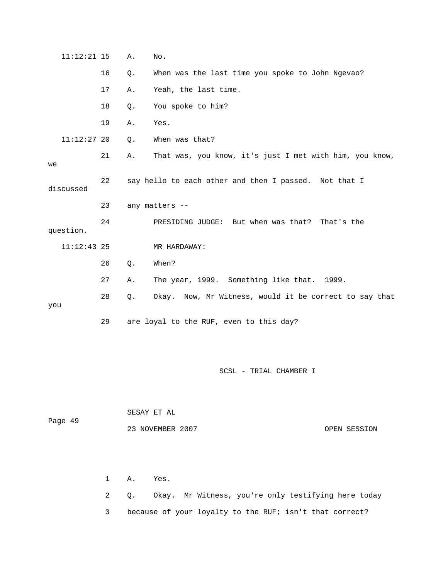|     | $11:12:21$ 15 |    | Α.        | No.                                                     |
|-----|---------------|----|-----------|---------------------------------------------------------|
|     |               | 16 | Q.        | When was the last time you spoke to John Ngevao?        |
|     |               | 17 | Α.        | Yeah, the last time.                                    |
|     |               | 18 | Q.        | You spoke to him?                                       |
|     |               | 19 | Α.        | Yes.                                                    |
|     | $11:12:27$ 20 |    | Q.        | When was that?                                          |
| we  |               | 21 | Α.        | That was, you know, it's just I met with him, you know, |
|     | discussed     | 22 |           | say hello to each other and then I passed. Not that I   |
|     |               | 23 |           | any matters --                                          |
|     | question.     | 24 |           | PRESIDING JUDGE: But when was that? That's the          |
|     | $11:12:43$ 25 |    |           | MR HARDAWAY:                                            |
|     |               | 26 | Q.        | When?                                                   |
|     |               | 27 | Α.        | The year, 1999. Something like that. 1999.              |
| you |               | 28 | $\circ$ . | Okay. Now, Mr Witness, would it be correct to say that  |
|     |               | 29 |           | are loyal to the RUF, even to this day?                 |

| Page 49 | SESAY ET AL      |              |  |  |  |  |
|---------|------------------|--------------|--|--|--|--|
|         | 23 NOVEMBER 2007 | OPEN SESSION |  |  |  |  |

 1 A. Yes. 2 Q. Okay. Mr Witness, you're only testifying here today 3 because of your loyalty to the RUF; isn't that correct?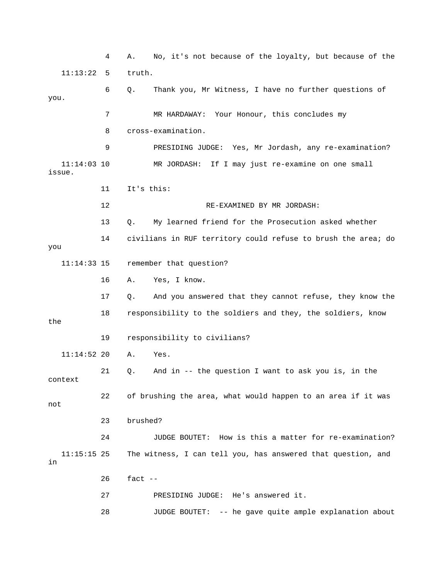4 A. No, it's not because of the loyalty, but because of the 11:13:22 5 truth. 6 Q. Thank you, Mr Witness, I have no further questions of you. 7 MR HARDAWAY: Your Honour, this concludes my 8 cross-examination. 9 PRESIDING JUDGE: Yes, Mr Jordash, any re-examination? 11:14:03 10 MR JORDASH: If I may just re-examine on one small issue. 11 It's this: 12 RE-EXAMINED BY MR JORDASH: 13 Q. My learned friend for the Prosecution asked whether 14 civilians in RUF territory could refuse to brush the area; do you 11:14:33 15 remember that question? 16 A. Yes, I know. 17 Q. And you answered that they cannot refuse, they know the 18 responsibility to the soldiers and they, the soldiers, know the 19 responsibility to civilians? 11:14:52 20 A. Yes. 21 Q. And in -- the question I want to ask you is, in the context 22 of brushing the area, what would happen to an area if it was not 23 brushed? 24 JUDGE BOUTET: How is this a matter for re-examination? 11:15:15 25 The witness, I can tell you, has answered that question, and in 26 fact -- 27 PRESIDING JUDGE: He's answered it. 28 JUDGE BOUTET: -- he gave quite ample explanation about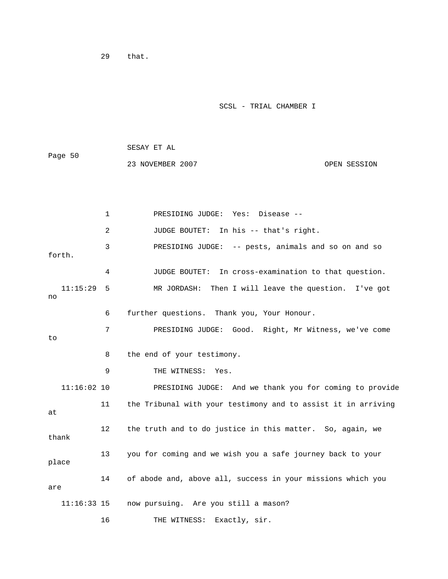29 that.

SCSL - TRIAL CHAMBER I

 SESAY ET AL Page 50 23 NOVEMBER 2007 OPEN SESSION

 1 PRESIDING JUDGE: Yes: Disease -- 2 JUDGE BOUTET: In his -- that's right. 3 PRESIDING JUDGE: -- pests, animals and so on and so forth. 4 JUDGE BOUTET: In cross-examination to that question. 11:15:29 5 MR JORDASH: Then I will leave the question. I've got no 6 further questions. Thank you, Your Honour. 7 PRESIDING JUDGE: Good. Right, Mr Witness, we've come to 8 the end of your testimony. 9 THE WITNESS: Yes. 11:16:02 10 PRESIDING JUDGE: And we thank you for coming to provide 11 the Tribunal with your testimony and to assist it in arriving at 12 the truth and to do justice in this matter. So, again, we thank 13 you for coming and we wish you a safe journey back to your place 14 of abode and, above all, success in your missions which you are 11:16:33 15 now pursuing. Are you still a mason? 16 THE WITNESS: Exactly, sir.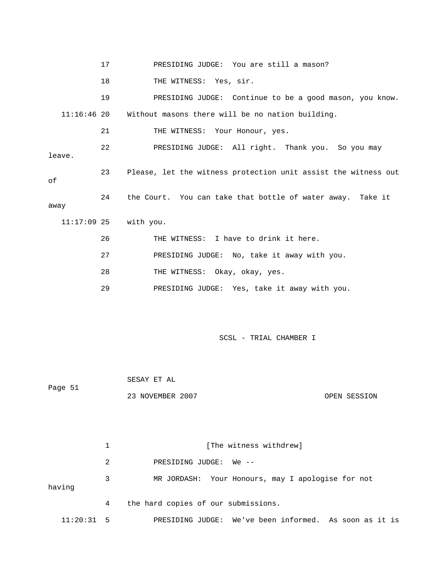17 PRESIDING JUDGE: You are still a mason? 18 THE WITNESS: Yes, sir. 19 PRESIDING JUDGE: Continue to be a good mason, you know. 11:16:46 20 Without masons there will be no nation building. 21 THE WITNESS: Your Honour, yes. 22 PRESIDING JUDGE: All right. Thank you. So you may leave. 23 Please, let the witness protection unit assist the witness out of 24 the Court. You can take that bottle of water away. Take it away 11:17:09 25 with you. 26 THE WITNESS: I have to drink it here. 27 PRESIDING JUDGE: No, take it away with you. 28 THE WITNESS: Okay, okay, yes. 29 PRESIDING JUDGE: Yes, take it away with you.

SCSL - TRIAL CHAMBER I

 SESAY ET AL Page 51 23 NOVEMBER 2007 OPEN SESSION

1 [The witness withdrew] 2 PRESIDING JUDGE: We -- 3 MR JORDASH: Your Honours, may I apologise for not having 4 the hard copies of our submissions. 11:20:31 5 PRESIDING JUDGE: We've been informed. As soon as it is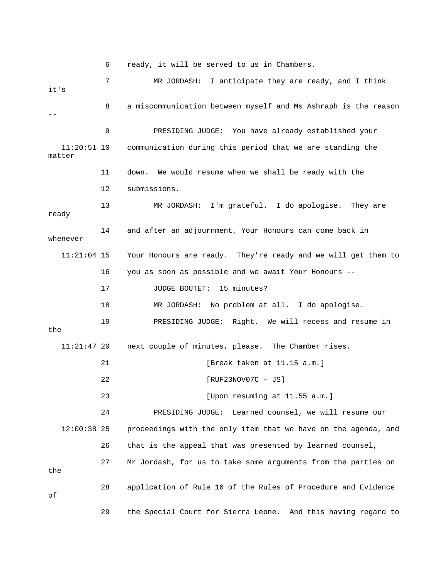6 ready, it will be served to us in Chambers.

 7 MR JORDASH: I anticipate they are ready, and I think it's 8 a miscommunication between myself and Ms Ashraph is the reason -- 9 PRESIDING JUDGE: You have already established your 11:20:51 10 communication during this period that we are standing the matter 11 down. We would resume when we shall be ready with the 12 submissions. 13 MR JORDASH: I'm grateful. I do apologise. They are ready 14 and after an adjournment, Your Honours can come back in whenever 11:21:04 15 Your Honours are ready. They're ready and we will get them to 16 you as soon as possible and we await Your Honours -- 17 JUDGE BOUTET: 15 minutes? 18 MR JORDASH: No problem at all. I do apologise. 19 PRESIDING JUDGE: Right. We will recess and resume in the 11:21:47 20 next couple of minutes, please. The Chamber rises. 21 [Break taken at 11.15 a.m.] 22 **[RUF23NOV07C** - JS] 23 [Upon resuming at 11.55 a.m.] 24 PRESIDING JUDGE: Learned counsel, we will resume our 12:00:38 25 proceedings with the only item that we have on the agenda, and 26 that is the appeal that was presented by learned counsel, 27 Mr Jordash, for us to take some arguments from the parties on the 28 application of Rule 16 of the Rules of Procedure and Evidence of 29 the Special Court for Sierra Leone. And this having regard to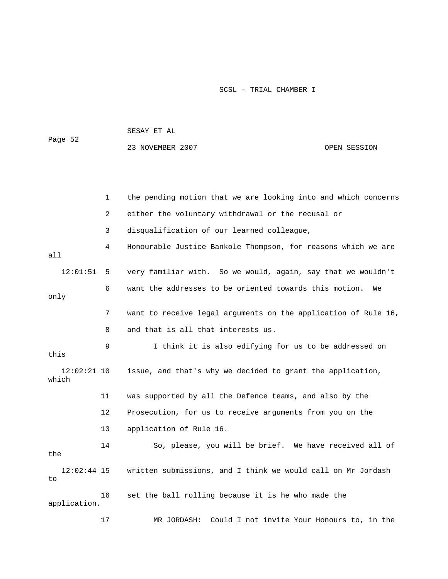| Page 52                |    | 23 NOVEMBER 2007                                               | OPEN SESSION |
|------------------------|----|----------------------------------------------------------------|--------------|
|                        |    |                                                                |              |
|                        | 1  | the pending motion that we are looking into and which concerns |              |
|                        | 2  | either the voluntary withdrawal or the recusal or              |              |
|                        | 3  | disqualification of our learned colleague,                     |              |
| all                    | 4  | Honourable Justice Bankole Thompson, for reasons which we are  |              |
| 12:01:51               | 5  | very familiar with. So we would, again, say that we wouldn't   |              |
| only                   | 6  | want the addresses to be oriented towards this motion.         | We           |
|                        | 7  | want to receive legal arguments on the application of Rule 16, |              |
|                        | 8  | and that is all that interests us.                             |              |
| this                   | 9  | I think it is also edifying for us to be addressed on          |              |
| $12:02:21$ 10<br>which |    | issue, and that's why we decided to grant the application,     |              |
|                        | 11 | was supported by all the Defence teams, and also by the        |              |
|                        | 12 | Prosecution, for us to receive arguments from you on the       |              |
|                        | 13 | application of Rule 16.                                        |              |
| the                    | 14 | So, please, you will be brief. We have received all of         |              |
| $12:02:44$ 15<br>to    |    | written submissions, and I think we would call on Mr Jordash   |              |
| application.           | 16 | set the ball rolling because it is he who made the             |              |
|                        | 17 | Could I not invite Your Honours to, in the<br>MR JORDASH:      |              |

SESAY ET AL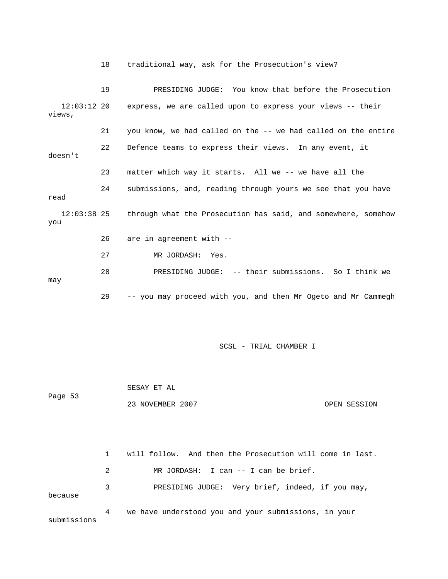18 traditional way, ask for the Prosecution's view? 19 PRESIDING JUDGE: You know that before the Prosecution 12:03:12 20 express, we are called upon to express your views -- their views, 21 you know, we had called on the -- we had called on the entire 22 Defence teams to express their views. In any event, it doesn't 23 matter which way it starts. All we -- we have all the 24 submissions, and, reading through yours we see that you have read 12:03:38 25 through what the Prosecution has said, and somewhere, somehow you 26 are in agreement with -- 27 MR JORDASH: Yes. 28 PRESIDING JUDGE: -- their submissions. So I think we may 29 -- you may proceed with you, and then Mr Ogeto and Mr Cammegh

SCSL - TRIAL CHAMBER I

 SESAY ET AL Page 53 23 NOVEMBER 2007 CPEN SESSION 1 will follow. And then the Prosecution will come in last.

 2 MR JORDASH: I can -- I can be brief. 3 PRESIDING JUDGE: Very brief, indeed, if you may, because 4 we have understood you and your submissions, in your submissions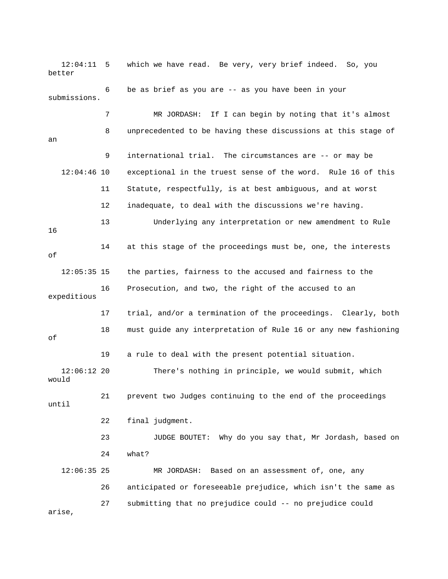12:04:11 5 which we have read. Be very, very brief indeed. So, you better 6 be as brief as you are -- as you have been in your submissions. 7 MR JORDASH: If I can begin by noting that it's almost 8 unprecedented to be having these discussions at this stage of an 9 international trial. The circumstances are -- or may be 12:04:46 10 exceptional in the truest sense of the word. Rule 16 of this 11 Statute, respectfully, is at best ambiguous, and at worst 12 inadequate, to deal with the discussions we're having. 13 Underlying any interpretation or new amendment to Rule 16 14 at this stage of the proceedings must be, one, the interests of 12:05:35 15 the parties, fairness to the accused and fairness to the 16 Prosecution, and two, the right of the accused to an expeditious 17 trial, and/or a termination of the proceedings. Clearly, both 18 must guide any interpretation of Rule 16 or any new fashioning of 19 a rule to deal with the present potential situation. 12:06:12 20 There's nothing in principle, we would submit, which would 21 prevent two Judges continuing to the end of the proceedings until 22 final judgment. 23 JUDGE BOUTET: Why do you say that, Mr Jordash, based on 24 what? 12:06:35 25 MR JORDASH: Based on an assessment of, one, any 26 anticipated or foreseeable prejudice, which isn't the same as 27 submitting that no prejudice could -- no prejudice could arise,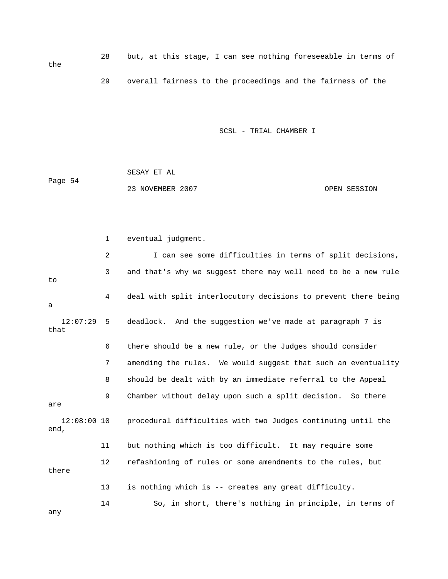28 but, at this stage, I can see nothing foreseeable in terms of 29 overall fairness to the proceedings and the fairness of the

SCSL - TRIAL CHAMBER I

 SESAY ET AL Page 54 23 NOVEMBER 2007 CPEN SESSION

 1 eventual judgment. 2 I can see some difficulties in terms of split decisions, 3 and that's why we suggest there may well need to be a new rule to 4 deal with split interlocutory decisions to prevent there being a 12:07:29 5 deadlock. And the suggestion we've made at paragraph 7 is that 6 there should be a new rule, or the Judges should consider 7 amending the rules. We would suggest that such an eventuality 8 should be dealt with by an immediate referral to the Appeal 9 Chamber without delay upon such a split decision. So there are 12:08:00 10 procedural difficulties with two Judges continuing until the end, 11 but nothing which is too difficult. It may require some 12 refashioning of rules or some amendments to the rules, but there 13 is nothing which is -- creates any great difficulty. 14 So, in short, there's nothing in principle, in terms of

any

the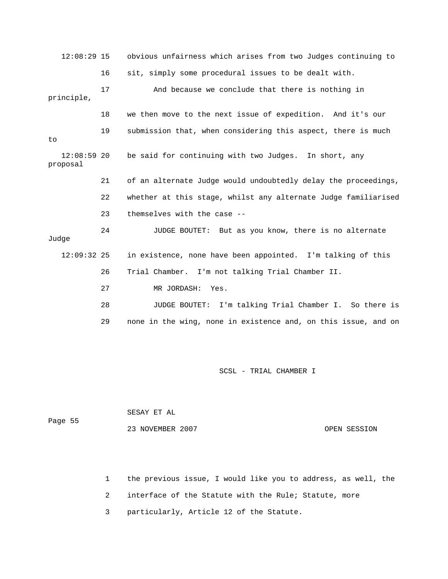12:08:29 15 obvious unfairness which arises from two Judges continuing to 16 sit, simply some procedural issues to be dealt with. 17 And because we conclude that there is nothing in principle, 18 we then move to the next issue of expedition. And it's our 19 submission that, when considering this aspect, there is much to 12:08:59 20 be said for continuing with two Judges. In short, any proposal 21 of an alternate Judge would undoubtedly delay the proceedings, 22 whether at this stage, whilst any alternate Judge familiarised 23 themselves with the case -- 24 JUDGE BOUTET: But as you know, there is no alternate Judge 12:09:32 25 in existence, none have been appointed. I'm talking of this 26 Trial Chamber. I'm not talking Trial Chamber II. 27 MR JORDASH: Yes. 28 JUDGE BOUTET: I'm talking Trial Chamber I. So there is 29 none in the wing, none in existence and, on this issue, and on

SCSL - TRIAL CHAMBER I

| Page 55 | SESAY ET AL      |              |
|---------|------------------|--------------|
|         | 23 NOVEMBER 2007 | OPEN SESSION |

- 1 the previous issue, I would like you to address, as well, the
- 2 interface of the Statute with the Rule; Statute, more
- 3 particularly, Article 12 of the Statute.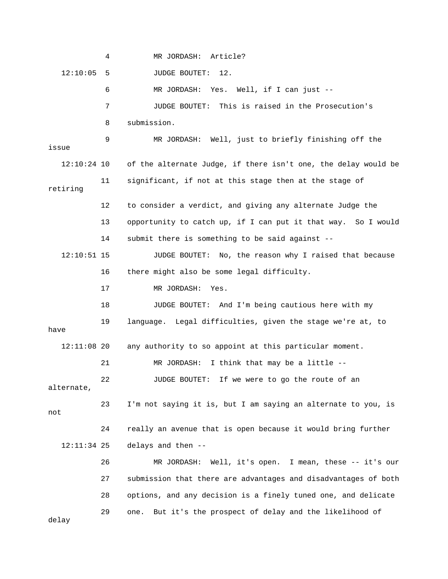4 MR JORDASH: Article? 12:10:05 5 JUDGE BOUTET: 12. 6 MR JORDASH: Yes. Well, if I can just -- 7 JUDGE BOUTET: This is raised in the Prosecution's 8 submission. 9 MR JORDASH: Well, just to briefly finishing off the issue 12:10:24 10 of the alternate Judge, if there isn't one, the delay would be 11 significant, if not at this stage then at the stage of retiring 12 to consider a verdict, and giving any alternate Judge the 13 opportunity to catch up, if I can put it that way. So I would 14 submit there is something to be said against -- 12:10:51 15 JUDGE BOUTET: No, the reason why I raised that because 16 there might also be some legal difficulty. 17 MR JORDASH: Yes. 18 JUDGE BOUTET: And I'm being cautious here with my 19 language. Legal difficulties, given the stage we're at, to have 12:11:08 20 any authority to so appoint at this particular moment. 21 MR JORDASH: I think that may be a little -- 22 JUDGE BOUTET: If we were to go the route of an alternate, 23 I'm not saying it is, but I am saying an alternate to you, is not 24 really an avenue that is open because it would bring further 12:11:34 25 delays and then -- 26 MR JORDASH: Well, it's open. I mean, these -- it's our 27 submission that there are advantages and disadvantages of both 28 options, and any decision is a finely tuned one, and delicate 29 one. But it's the prospect of delay and the likelihood of delay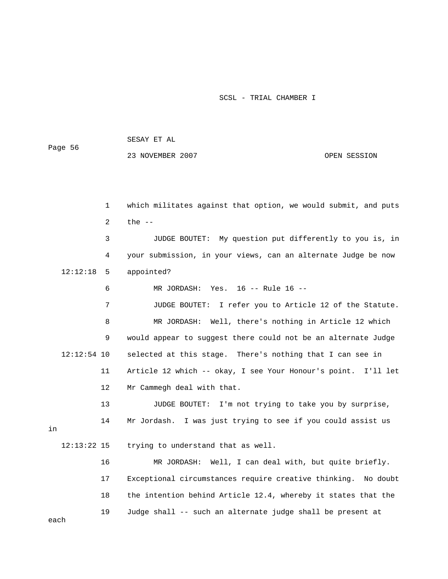SESAY ET AL

Page 56

23 NOVEMBER 2007 CPEN SESSION

 1 which militates against that option, we would submit, and puts 2 the -- 3 JUDGE BOUTET: My question put differently to you is, in 4 your submission, in your views, can an alternate Judge be now 12:12:18 5 appointed? 6 MR JORDASH: Yes. 16 -- Rule 16 -- 7 JUDGE BOUTET: I refer you to Article 12 of the Statute. 8 MR JORDASH: Well, there's nothing in Article 12 which 9 would appear to suggest there could not be an alternate Judge 12:12:54 10 selected at this stage. There's nothing that I can see in 11 Article 12 which -- okay, I see Your Honour's point. I'll let

12 Mr Cammegh deal with that.

 13 JUDGE BOUTET: I'm not trying to take you by surprise, 14 Mr Jordash. I was just trying to see if you could assist us

12:13:22 15 trying to understand that as well.

 16 MR JORDASH: Well, I can deal with, but quite briefly. 17 Exceptional circumstances require creative thinking. No doubt 18 the intention behind Article 12.4, whereby it states that the 19 Judge shall -- such an alternate judge shall be present at

each

in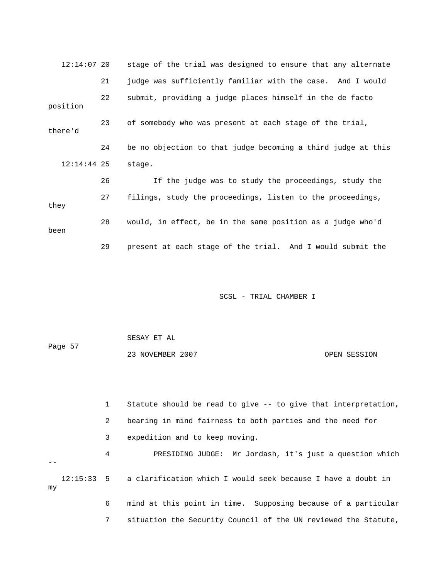| $12:14:07$ 20 |    | stage of the trial was designed to ensure that any alternate |
|---------------|----|--------------------------------------------------------------|
|               | 21 | judge was sufficiently familiar with the case. And I would   |
| position      | 22 | submit, providing a judge places himself in the de facto     |
| there'd       | 23 | of somebody who was present at each stage of the trial,      |
|               | 24 | be no objection to that judge becoming a third judge at this |
| $12:14:44$ 25 |    | stage.                                                       |
|               | 26 | If the judge was to study the proceedings, study the         |
| they          | 27 | filings, study the proceedings, listen to the proceedings,   |
| been          | 28 | would, in effect, be in the same position as a judge who'd   |
|               | 29 | present at each stage of the trial. And I would submit the   |

|         | SESAY ET AL      |              |
|---------|------------------|--------------|
| Page 57 |                  |              |
|         | 23 NOVEMBER 2007 | OPEN SESSION |

 1 Statute should be read to give -- to give that interpretation, 2 bearing in mind fairness to both parties and the need for 3 expedition and to keep moving. 4 PRESIDING JUDGE: Mr Jordash, it's just a question which -- 12:15:33 5 a clarification which I would seek because I have a doubt in my 6 mind at this point in time. Supposing because of a particular

7 situation the Security Council of the UN reviewed the Statute,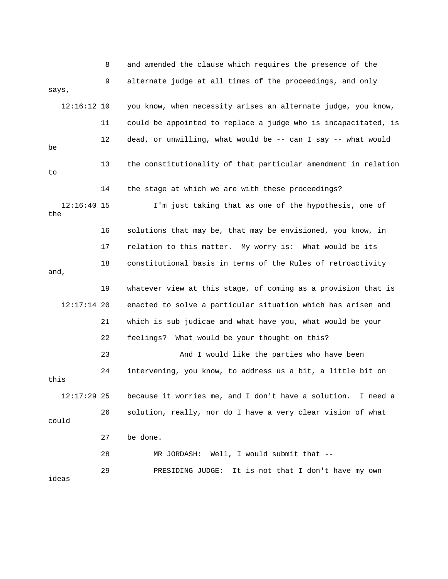8 and amended the clause which requires the presence of the 9 alternate judge at all times of the proceedings, and only says, 12:16:12 10 you know, when necessity arises an alternate judge, you know, 11 could be appointed to replace a judge who is incapacitated, is 12 dead, or unwilling, what would be -- can I say -- what would be 13 the constitutionality of that particular amendment in relation to 14 the stage at which we are with these proceedings? 12:16:40 15 I'm just taking that as one of the hypothesis, one of the 16 solutions that may be, that may be envisioned, you know, in 17 relation to this matter. My worry is: What would be its 18 constitutional basis in terms of the Rules of retroactivity and, 19 whatever view at this stage, of coming as a provision that is 12:17:14 20 enacted to solve a particular situation which has arisen and 21 which is sub judicae and what have you, what would be your 22 feelings? What would be your thought on this? 23 And I would like the parties who have been 24 intervening, you know, to address us a bit, a little bit on this 12:17:29 25 because it worries me, and I don't have a solution. I need a 26 solution, really, nor do I have a very clear vision of what could 27 be done. 28 MR JORDASH: Well, I would submit that -- 29 PRESIDING JUDGE: It is not that I don't have my own ideas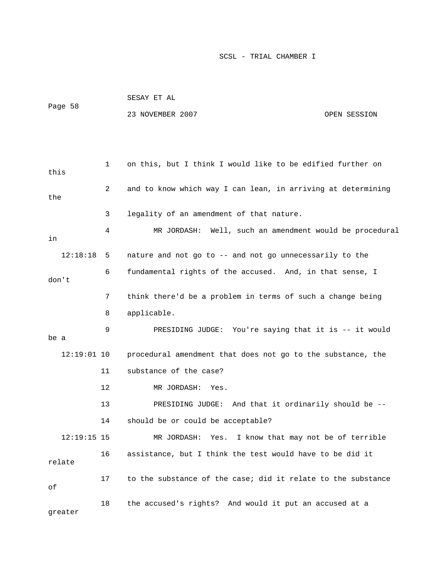|               |             | SESAY ET AL                                                  |              |  |
|---------------|-------------|--------------------------------------------------------------|--------------|--|
| Page 58       |             | 23 NOVEMBER 2007                                             | OPEN SESSION |  |
|               |             |                                                              |              |  |
|               |             |                                                              |              |  |
|               | $\mathbf 1$ | on this, but I think I would like to be edified further on   |              |  |
| this          |             |                                                              |              |  |
|               | 2           | and to know which way I can lean, in arriving at determining |              |  |
| the           |             |                                                              |              |  |
|               | 3           | legality of an amendment of that nature.                     |              |  |
| in            | 4           | MR JORDASH: Well, such an amendment would be procedural      |              |  |
| 12:18:18      | 5           | nature and not go to -- and not go unnecessarily to the      |              |  |
|               | 6           | fundamental rights of the accused. And, in that sense, I     |              |  |
| don't         |             |                                                              |              |  |
|               | 7           | think there'd be a problem in terms of such a change being   |              |  |
|               | 8           | applicable.                                                  |              |  |
| be a          | 9           | PRESIDING JUDGE: You're saying that it is -- it would        |              |  |
|               |             |                                                              |              |  |
| $12:19:01$ 10 |             | procedural amendment that does not go to the substance, the  |              |  |
|               | 11          | substance of the case?                                       |              |  |
|               | 12          | MR JORDASH:<br>Yes.                                          |              |  |
|               | 13          | PRESIDING JUDGE: And that it ordinarily should be --         |              |  |
|               | 14          | should be or could be acceptable?                            |              |  |
| $12:19:15$ 15 |             | MR JORDASH: Yes. I know that may not be of terrible          |              |  |
| relate        | 16          | assistance, but I think the test would have to be did it     |              |  |
| $\circ f$     | 17          | to the substance of the case; did it relate to the substance |              |  |
| qreater       | 18          | the accused's rights? And would it put an accused at a       |              |  |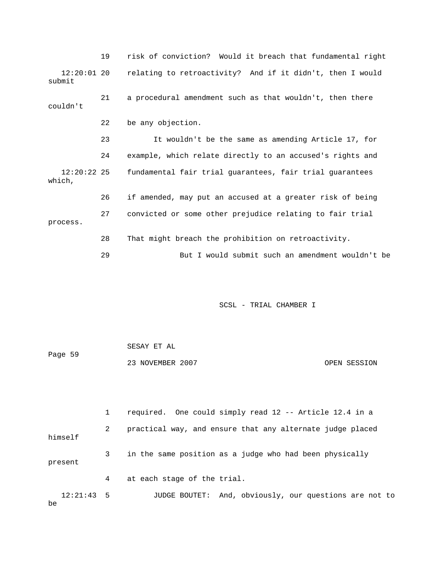|                         | 19 | risk of conviction? Would it breach that fundamental right |
|-------------------------|----|------------------------------------------------------------|
| $12:20:01$ 20<br>submit |    | relating to retroactivity? And if it didn't, then I would  |
| couldn't                | 21 | a procedural amendment such as that wouldn't, then there   |
|                         | 22 | be any objection.                                          |
|                         | 23 | It wouldn't be the same as amending Article 17, for        |
|                         | 24 | example, which relate directly to an accused's rights and  |
| $12:20:22$ 25<br>which, |    | fundamental fair trial guarantees, fair trial guarantees   |
|                         | 26 | if amended, may put an accused at a greater risk of being  |
| process.                | 27 | convicted or some other prejudice relating to fair trial   |
|                         | 28 | That might breach the prohibition on retroactivity.        |
|                         | 29 | But I would submit such an amendment wouldn't be           |

 SESAY ET AL Page 59 23 NOVEMBER 2007 OPEN SESSION

 1 required. One could simply read 12 -- Article 12.4 in a 2 practical way, and ensure that any alternate judge placed himself 3 in the same position as a judge who had been physically present 4 at each stage of the trial. 12:21:43 5 JUDGE BOUTET: And, obviously, our questions are not to be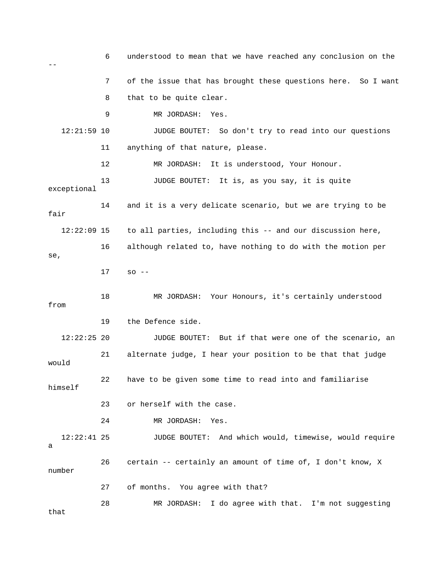6 understood to mean that we have reached any conclusion on the -- 7 of the issue that has brought these questions here. So I want 8 that to be quite clear. 9 MR JORDASH: Yes. 12:21:59 10 JUDGE BOUTET: So don't try to read into our questions 11 anything of that nature, please. 12 MR JORDASH: It is understood, Your Honour. 13 JUDGE BOUTET: It is, as you say, it is quite exceptional 14 and it is a very delicate scenario, but we are trying to be fair 12:22:09 15 to all parties, including this -- and our discussion here, 16 although related to, have nothing to do with the motion per se, 17 so -- 18 MR JORDASH: Your Honours, it's certainly understood from 19 the Defence side. 12:22:25 20 JUDGE BOUTET: But if that were one of the scenario, an 21 alternate judge, I hear your position to be that that judge would 22 have to be given some time to read into and familiarise himself 23 or herself with the case. 24 MR JORDASH: Yes. 12:22:41 25 JUDGE BOUTET: And which would, timewise, would require a 26 certain -- certainly an amount of time of, I don't know, X number 27 of months. You agree with that? 28 MR JORDASH: I do agree with that. I'm not suggesting that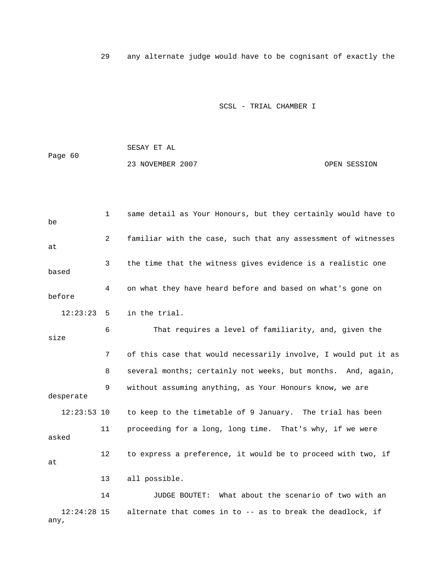29 any alternate judge would have to be cognisant of exactly the

SCSL - TRIAL CHAMBER I

 SESAY ET AL Page 60 23 NOVEMBER 2007 CPEN SESSION

 1 same detail as Your Honours, but they certainly would have to be 2 familiar with the case, such that any assessment of witnesses at 3 the time that the witness gives evidence is a realistic one based 4 on what they have heard before and based on what's gone on before 12:23:23 5 in the trial. 6 That requires a level of familiarity, and, given the size 7 of this case that would necessarily involve, I would put it as 8 several months; certainly not weeks, but months. And, again, 9 without assuming anything, as Your Honours know, we are desperate 12:23:53 10 to keep to the timetable of 9 January. The trial has been 11 proceeding for a long, long time. That's why, if we were asked 12 to express a preference, it would be to proceed with two, if at 13 all possible. 14 JUDGE BOUTET: What about the scenario of two with an 12:24:28 15 alternate that comes in to -- as to break the deadlock, if

any,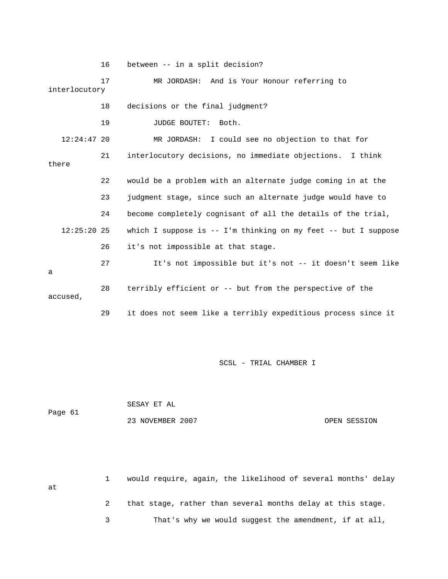16 between -- in a split decision? 17 MR JORDASH: And is Your Honour referring to interlocutory 18 decisions or the final judgment? 19 JUDGE BOUTET: Both. 12:24:47 20 MR JORDASH: I could see no objection to that for 21 interlocutory decisions, no immediate objections. I think there 22 would be a problem with an alternate judge coming in at the 23 judgment stage, since such an alternate judge would have to 24 become completely cognisant of all the details of the trial, 12:25:20 25 which I suppose is -- I'm thinking on my feet -- but I suppose 26 it's not impossible at that stage. 27 It's not impossible but it's not -- it doesn't seem like a 28 terribly efficient or -- but from the perspective of the accused, 29 it does not seem like a terribly expeditious process since it

SCSL - TRIAL CHAMBER I

 SESAY ET AL Page 61 23 NOVEMBER 2007 OPEN SESSION

 1 would require, again, the likelihood of several months' delay at 2 that stage, rather than several months delay at this stage. 3 That's why we would suggest the amendment, if at all,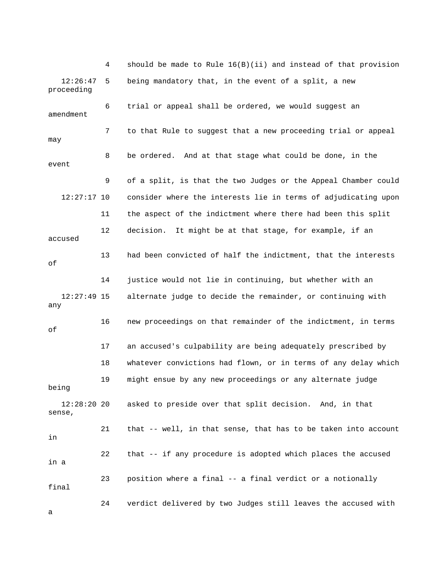4 should be made to Rule 16(B)(ii) and instead of that provision 12:26:47 5 being mandatory that, in the event of a split, a new proceeding 6 trial or appeal shall be ordered, we would suggest an amendment 7 to that Rule to suggest that a new proceeding trial or appeal may 8 be ordered. And at that stage what could be done, in the event 9 of a split, is that the two Judges or the Appeal Chamber could 12:27:17 10 consider where the interests lie in terms of adjudicating upon 11 the aspect of the indictment where there had been this split 12 decision. It might be at that stage, for example, if an accused 13 had been convicted of half the indictment, that the interests of 14 justice would not lie in continuing, but whether with an 12:27:49 15 alternate judge to decide the remainder, or continuing with any 16 new proceedings on that remainder of the indictment, in terms of 17 an accused's culpability are being adequately prescribed by 18 whatever convictions had flown, or in terms of any delay which 19 might ensue by any new proceedings or any alternate judge being 12:28:20 20 asked to preside over that split decision. And, in that sense, 21 that -- well, in that sense, that has to be taken into account in 22 that -- if any procedure is adopted which places the accused in a 23 position where a final -- a final verdict or a notionally final 24 verdict delivered by two Judges still leaves the accused with

a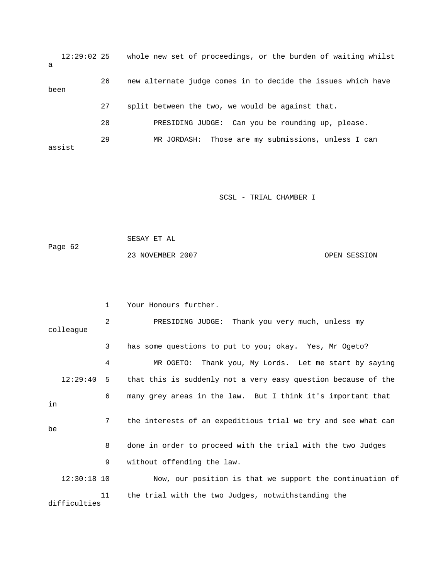12:29:02 25 whole new set of proceedings, or the burden of waiting whilst a 26 new alternate judge comes in to decide the issues which have been 27 split between the two, we would be against that. 28 PRESIDING JUDGE: Can you be rounding up, please. 29 MR JORDASH: Those are my submissions, unless I can assist

SCSL - TRIAL CHAMBER I

 SESAY ET AL Page 62 23 NOVEMBER 2007 OPEN SESSION

|               | $\mathbf{1}$ | Your Honours further.                                         |
|---------------|--------------|---------------------------------------------------------------|
| colleague     | 2            | PRESIDING JUDGE: Thank you very much, unless my               |
|               | 3            | has some questions to put to you; okay. Yes, Mr Ogeto?        |
|               | 4            | MR OGETO: Thank you, My Lords. Let me start by saying         |
| 12:29:40 5    |              | that this is suddenly not a very easy question because of the |
| in            | 6            | many grey areas in the law. But I think it's important that   |
| be            | 7            | the interests of an expeditious trial we try and see what can |
|               | 8            | done in order to proceed with the trial with the two Judges   |
|               | 9            | without offending the law.                                    |
| $12:30:18$ 10 |              | Now, our position is that we support the continuation of      |
| difficulties  | 11           | the trial with the two Judges, notwithstanding the            |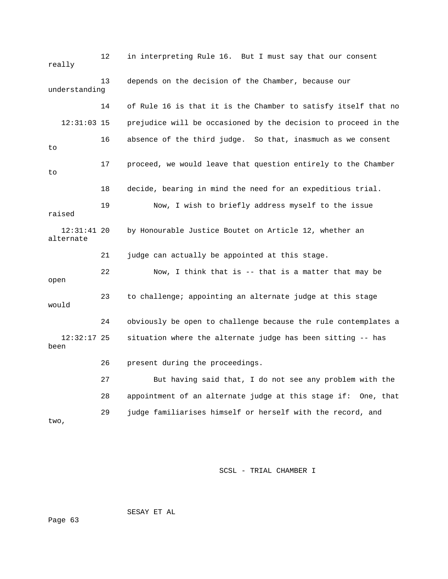12 in interpreting Rule 16. But I must say that our consent really 13 depends on the decision of the Chamber, because our understanding 14 of Rule 16 is that it is the Chamber to satisfy itself that no 12:31:03 15 prejudice will be occasioned by the decision to proceed in the 16 absence of the third judge. So that, inasmuch as we consent to 17 proceed, we would leave that question entirely to the Chamber to 18 decide, bearing in mind the need for an expeditious trial. 19 Now, I wish to briefly address myself to the issue raised 12:31:41 20 by Honourable Justice Boutet on Article 12, whether an alternate 21 judge can actually be appointed at this stage. 22 Now, I think that is -- that is a matter that may be open 23 to challenge; appointing an alternate judge at this stage would 24 obviously be open to challenge because the rule contemplates a 12:32:17 25 situation where the alternate judge has been sitting -- has been 26 present during the proceedings. 27 But having said that, I do not see any problem with the 28 appointment of an alternate judge at this stage if: One, that 29 judge familiarises himself or herself with the record, and two,

SCSL - TRIAL CHAMBER I

SESAY ET AL

Page 63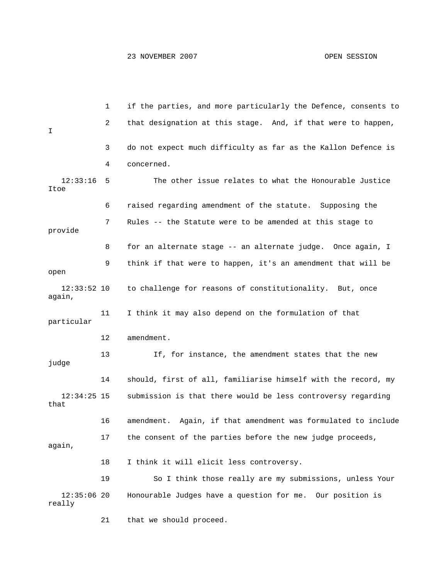1 if the parties, and more particularly the Defence, consents to 2 that designation at this stage. And, if that were to happen, I 3 do not expect much difficulty as far as the Kallon Defence is 4 concerned. 12:33:16 5 The other issue relates to what the Honourable Justice Itoe 6 raised regarding amendment of the statute. Supposing the 7 Rules -- the Statute were to be amended at this stage to provide 8 for an alternate stage -- an alternate judge. Once again, I 9 think if that were to happen, it's an amendment that will be open 12:33:52 10 to challenge for reasons of constitutionality. But, once again, 11 I think it may also depend on the formulation of that particular 12 amendment. 13 If, for instance, the amendment states that the new judge 14 should, first of all, familiarise himself with the record, my 12:34:25 15 submission is that there would be less controversy regarding that 16 amendment. Again, if that amendment was formulated to include 17 the consent of the parties before the new judge proceeds, again, 18 I think it will elicit less controversy. 19 So I think those really are my submissions, unless Your 12:35:06 20 Honourable Judges have a question for me. Our position is really

21 that we should proceed.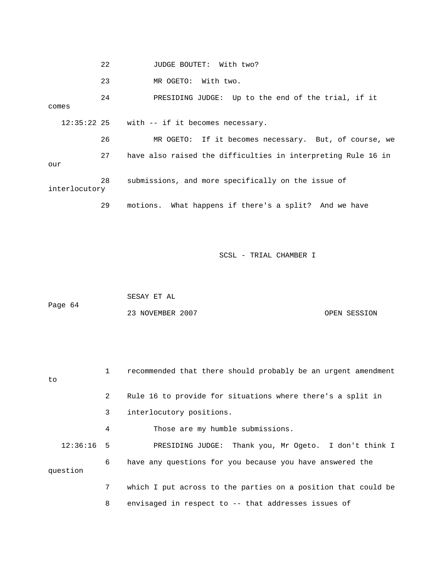|               | 22 | JUDGE BOUTET: With two?                                      |
|---------------|----|--------------------------------------------------------------|
|               | 23 | MR OGETO: With two.                                          |
| comes         | 24 | PRESIDING JUDGE: Up to the end of the trial, if it           |
|               |    | $12:35:22$ 25 with $-$ if it becomes necessary.              |
|               | 26 | MR OGETO: If it becomes necessary. But, of course, we        |
| our           | 27 | have also raised the difficulties in interpreting Rule 16 in |
| interlocutory | 28 | submissions, and more specifically on the issue of           |
|               | 29 | motions. What happens if there's a split? And we have        |

 SESAY ET AL Page 64 23 NOVEMBER 2007 COPEN SESSION

| to           | 1           | recommended that there should probably be an urgent amendment |
|--------------|-------------|---------------------------------------------------------------|
|              | 2           | Rule 16 to provide for situations where there's a split in    |
|              | 3           | interlocutory positions.                                      |
|              | 4           | Those are my humble submissions.                              |
| $12:36:16$ 5 |             | PRESIDING JUDGE: Thank you, Mr Ogeto. I don't think I         |
| question     | 6           | have any questions for you because you have answered the      |
|              | $7^{\circ}$ | which I put across to the parties on a position that could be |
|              | 8           | envisaged in respect to -- that addresses issues of           |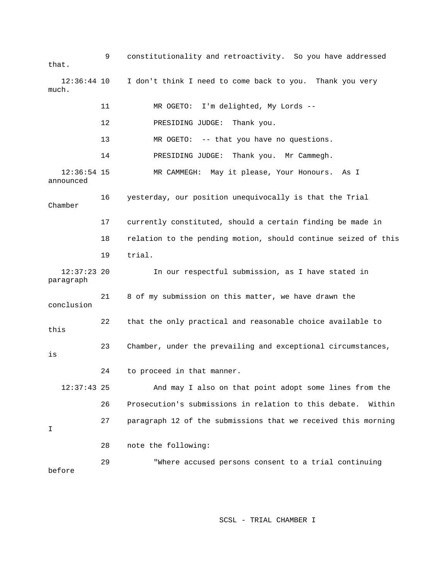9 constitutionality and retroactivity. So you have addressed that. 12:36:44 10 I don't think I need to come back to you. Thank you very much. 11 MR OGETO: I'm delighted, My Lords -- 12 PRESIDING JUDGE: Thank you. 13 MR OGETO: -- that you have no questions. 14 PRESIDING JUDGE: Thank you. Mr Cammegh. 12:36:54 15 MR CAMMEGH: May it please, Your Honours. As I announced 16 yesterday, our position unequivocally is that the Trial Chamber 17 currently constituted, should a certain finding be made in 18 relation to the pending motion, should continue seized of this 19 trial. 12:37:23 20 In our respectful submission, as I have stated in paragraph 21 8 of my submission on this matter, we have drawn the conclusion 22 that the only practical and reasonable choice available to this 23 Chamber, under the prevailing and exceptional circumstances, is 24 to proceed in that manner. 12:37:43 25 And may I also on that point adopt some lines from the 26 Prosecution's submissions in relation to this debate. Within 27 paragraph 12 of the submissions that we received this morning I 28 note the following: 29 "Where accused persons consent to a trial continuing before

SCSL - TRIAL CHAMBER I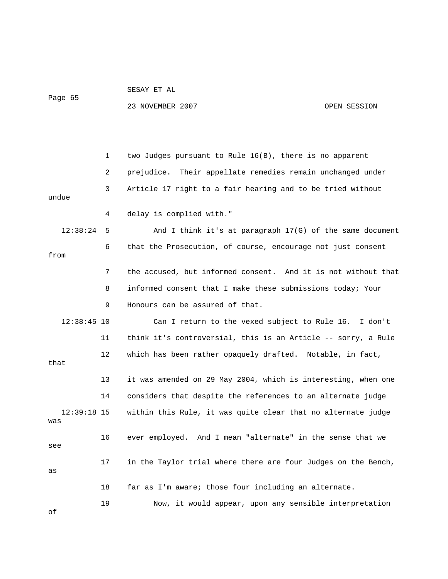Page 65

SESAY ET AL

23 NOVEMBER 2007 OPEN SESSION

 1 two Judges pursuant to Rule 16(B), there is no apparent 2 prejudice. Their appellate remedies remain unchanged under 3 Article 17 right to a fair hearing and to be tried without undue 4 delay is complied with." 12:38:24 5 And I think it's at paragraph 17(G) of the same document 6 that the Prosecution, of course, encourage not just consent from 7 the accused, but informed consent. And it is not without that 8 informed consent that I make these submissions today; Your 9 Honours can be assured of that. 12:38:45 10 Can I return to the vexed subject to Rule 16. I don't 11 think it's controversial, this is an Article -- sorry, a Rule 12 which has been rather opaquely drafted. Notable, in fact, that 13 it was amended on 29 May 2004, which is interesting, when one 14 considers that despite the references to an alternate judge 12:39:18 15 within this Rule, it was quite clear that no alternate judge was 16 ever employed. And I mean "alternate" in the sense that we see 17 in the Taylor trial where there are four Judges on the Bench, as 18 far as I'm aware; those four including an alternate. 19 Now, it would appear, upon any sensible interpretation of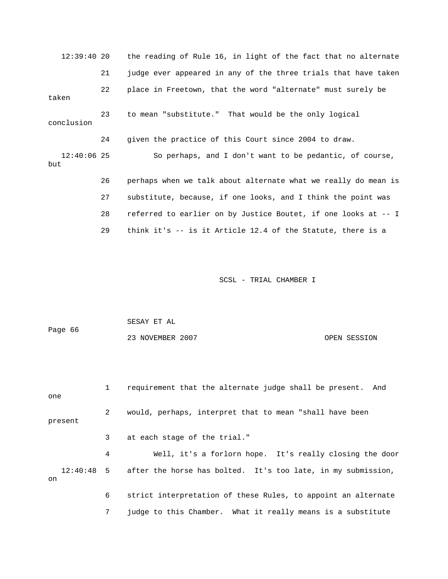12:39:40 20 the reading of Rule 16, in light of the fact that no alternate 21 judge ever appeared in any of the three trials that have taken 22 place in Freetown, that the word "alternate" must surely be taken 23 to mean "substitute." That would be the only logical conclusion 24 given the practice of this Court since 2004 to draw. 12:40:06 25 So perhaps, and I don't want to be pedantic, of course, but 26 perhaps when we talk about alternate what we really do mean is 27 substitute, because, if one looks, and I think the point was 28 referred to earlier on by Justice Boutet, if one looks at -- I 29 think it's -- is it Article 12.4 of the Statute, there is a

SCSL - TRIAL CHAMBER I

|         | SESAY ET AL      |              |
|---------|------------------|--------------|
| Page 66 |                  |              |
|         | 23 NOVEMBER 2007 | OPEN SESSION |

| one     |   | requirement that the alternate judge shall be present. And              |
|---------|---|-------------------------------------------------------------------------|
| present | 2 | would, perhaps, interpret that to mean "shall have been                 |
|         | 3 | at each stage of the trial."                                            |
|         | 4 | Well, it's a forlorn hope. It's really closing the door                 |
| on      |   | 12:40:48 5 after the horse has bolted. It's too late, in my submission, |
|         | 6 | strict interpretation of these Rules, to appoint an alternate           |

7 judge to this Chamber. What it really means is a substitute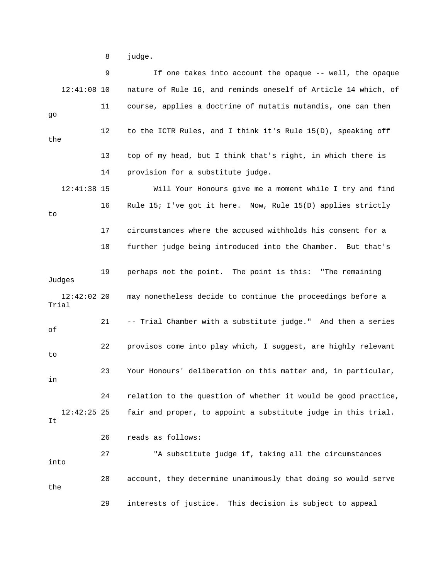8 judge.

 9 If one takes into account the opaque -- well, the opaque 12:41:08 10 nature of Rule 16, and reminds oneself of Article 14 which, of 11 course, applies a doctrine of mutatis mutandis, one can then go 12 to the ICTR Rules, and I think it's Rule 15(D), speaking off the 13 top of my head, but I think that's right, in which there is 14 provision for a substitute judge. 12:41:38 15 Will Your Honours give me a moment while I try and find 16 Rule 15; I've got it here. Now, Rule 15(D) applies strictly to 17 circumstances where the accused withholds his consent for a 18 further judge being introduced into the Chamber. But that's 19 perhaps not the point. The point is this: "The remaining Judges 12:42:02 20 may nonetheless decide to continue the proceedings before a Trial 21 -- Trial Chamber with a substitute judge." And then a series of 22 provisos come into play which, I suggest, are highly relevant to 23 Your Honours' deliberation on this matter and, in particular, in 24 relation to the question of whether it would be good practice, 12:42:25 25 fair and proper, to appoint a substitute judge in this trial. It 26 reads as follows: 27 "A substitute judge if, taking all the circumstances into 28 account, they determine unanimously that doing so would serve the 29 interests of justice. This decision is subject to appeal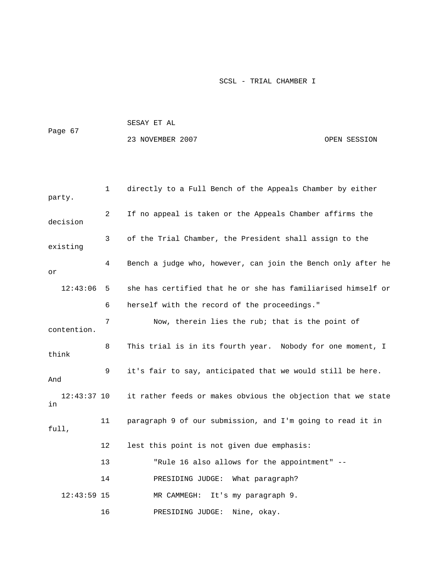|         | SESAY ET AL      |              |
|---------|------------------|--------------|
| Page 67 |                  |              |
|         | 23 NOVEMBER 2007 | OPEN SESSION |

| party.              | $\mathbf 1$ | directly to a Full Bench of the Appeals Chamber by either    |
|---------------------|-------------|--------------------------------------------------------------|
| decision            | 2           | If no appeal is taken or the Appeals Chamber affirms the     |
| existing            | 3           | of the Trial Chamber, the President shall assign to the      |
| or                  | 4           | Bench a judge who, however, can join the Bench only after he |
| 12:43:06            | 5           | she has certified that he or she has familiarised himself or |
|                     | 6           | herself with the record of the proceedings."                 |
| contention.         | 7           | Now, therein lies the rub; that is the point of              |
| think               | 8           | This trial is in its fourth year. Nobody for one moment, I   |
| And                 | 9           | it's fair to say, anticipated that we would still be here.   |
| $12:43:37$ 10<br>in |             | it rather feeds or makes obvious the objection that we state |
| full,               | 11          | paragraph 9 of our submission, and I'm going to read it in   |
|                     | 12          | lest this point is not given due emphasis:                   |
|                     | 13          | "Rule 16 also allows for the appointment" --                 |
|                     | 14          | PRESIDING JUDGE: What paragraph?                             |
| $12:43:59$ 15       |             | It's my paragraph 9.<br>MR CAMMEGH:                          |
|                     | 16          | Nine, okay.<br>PRESIDING JUDGE:                              |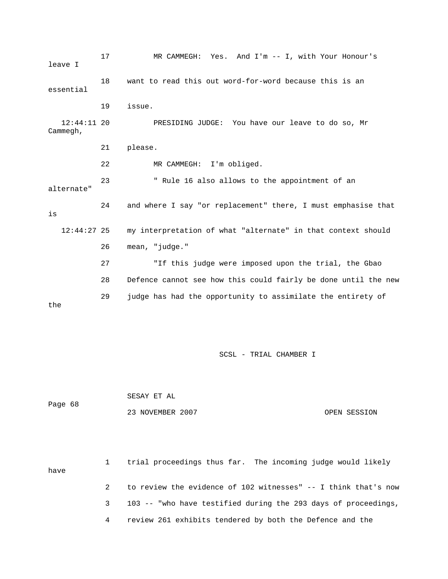| leave I                   | 17 | MR CAMMEGH: Yes. And I'm -- I, with Your Honour's              |
|---------------------------|----|----------------------------------------------------------------|
| essential                 | 18 | want to read this out word-for-word because this is an         |
|                           | 19 | issue.                                                         |
| $12:44:11$ 20<br>Cammegh, |    | PRESIDING JUDGE: You have our leave to do so, Mr               |
|                           | 21 | please.                                                        |
|                           | 22 | MR CAMMEGH: I'm obliged.                                       |
| alternate"                | 23 | " Rule 16 also allows to the appointment of an                 |
| is                        | 24 | and where I say "or replacement" there, I must emphasise that  |
| $12:44:27$ 25             |    | my interpretation of what "alternate" in that context should   |
|                           | 26 | mean, "judge."                                                 |
|                           | 27 | "If this judge were imposed upon the trial, the Gbao           |
|                           | 28 | Defence cannot see how this could fairly be done until the new |
| the                       | 29 | judge has had the opportunity to assimilate the entirety of    |

| Page 68 | SESAY ET AL      |              |
|---------|------------------|--------------|
|         | 23 NOVEMBER 2007 | OPEN SESSION |

 1 trial proceedings thus far. The incoming judge would likely have 2 to review the evidence of 102 witnesses" -- I think that's now 3 103 -- "who have testified during the 293 days of proceedings, 4 review 261 exhibits tendered by both the Defence and the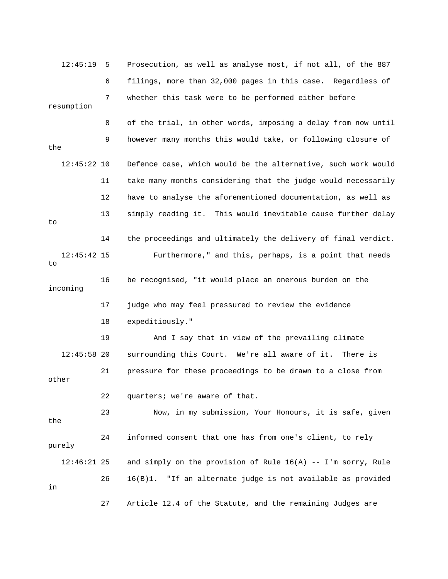12:45:19 5 Prosecution, as well as analyse most, if not all, of the 887 6 filings, more than 32,000 pages in this case. Regardless of 7 whether this task were to be performed either before resumption 8 of the trial, in other words, imposing a delay from now until 9 however many months this would take, or following closure of the 12:45:22 10 Defence case, which would be the alternative, such work would 11 take many months considering that the judge would necessarily 12 have to analyse the aforementioned documentation, as well as 13 simply reading it. This would inevitable cause further delay to 14 the proceedings and ultimately the delivery of final verdict. 12:45:42 15 Furthermore," and this, perhaps, is a point that needs to 16 be recognised, "it would place an onerous burden on the incoming 17 judge who may feel pressured to review the evidence 18 expeditiously." 19 And I say that in view of the prevailing climate 12:45:58 20 surrounding this Court. We're all aware of it. There is 21 pressure for these proceedings to be drawn to a close from other 22 quarters; we're aware of that. 23 Now, in my submission, Your Honours, it is safe, given the 24 informed consent that one has from one's client, to rely purely 12:46:21 25 and simply on the provision of Rule 16(A) -- I'm sorry, Rule 26 16(B)1. "If an alternate judge is not available as provided in 27 Article 12.4 of the Statute, and the remaining Judges are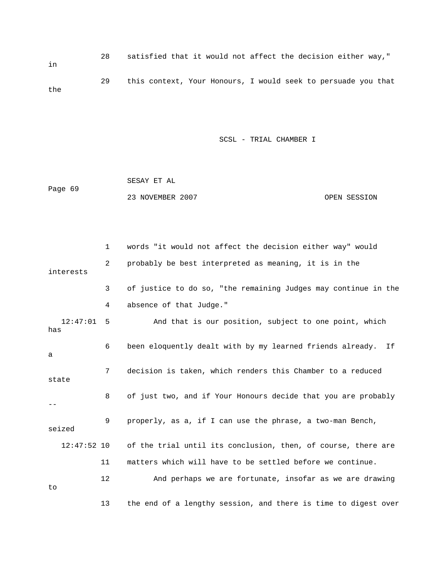28 satisfied that it would not affect the decision either way," in 29 this context, Your Honours, I would seek to persuade you that the

SCSL - TRIAL CHAMBER I

|         | SESAY ET AL      |              |
|---------|------------------|--------------|
| Page 69 |                  |              |
|         | 23 NOVEMBER 2007 | OPEN SESSION |

|        |               | $\mathbf{1}$ | words "it would not affect the decision either way" would      |
|--------|---------------|--------------|----------------------------------------------------------------|
|        | interests     | 2            | probably be best interpreted as meaning, it is in the          |
|        |               | 3            | of justice to do so, "the remaining Judges may continue in the |
|        |               | 4            | absence of that Judge."                                        |
| has    | 12:47:01      | -5           | And that is our position, subject to one point, which          |
| a      |               | 6            | been eloquently dealt with by my learned friends already. If   |
| state  |               | 7            | decision is taken, which renders this Chamber to a reduced     |
| $- -$  |               | 8            | of just two, and if Your Honours decide that you are probably  |
| seized |               | 9            | properly, as a, if I can use the phrase, a two-man Bench,      |
|        | $12:47:52$ 10 |              | of the trial until its conclusion, then, of course, there are  |
|        |               | 11           | matters which will have to be settled before we continue.      |
| to     |               | 12           | And perhaps we are fortunate, insofar as we are drawing        |
|        |               | 13           | the end of a lengthy session, and there is time to digest over |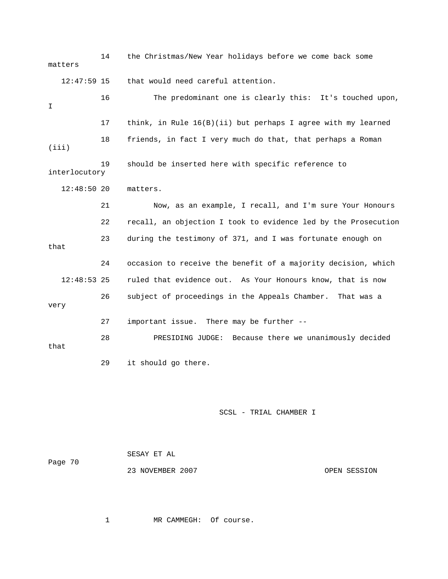14 the Christmas/New Year holidays before we come back some matters 12:47:59 15 that would need careful attention. 16 The predominant one is clearly this: It's touched upon, I 17 think, in Rule 16(B)(ii) but perhaps I agree with my learned 18 friends, in fact I very much do that, that perhaps a Roman (iii) 19 should be inserted here with specific reference to interlocutory 12:48:50 20 matters. 21 Now, as an example, I recall, and I'm sure Your Honours 22 recall, an objection I took to evidence led by the Prosecution 23 during the testimony of 371, and I was fortunate enough on that 24 occasion to receive the benefit of a majority decision, which 12:48:53 25 ruled that evidence out. As Your Honours know, that is now 26 subject of proceedings in the Appeals Chamber. That was a very 27 important issue. There may be further -- 28 PRESIDING JUDGE: Because there we unanimously decided that 29 it should go there.

## SCSL - TRIAL CHAMBER I

| Page 70 | SESAY ET AL      |  |              |
|---------|------------------|--|--------------|
|         | 23 NOVEMBER 2007 |  | OPEN SESSION |

1 MR CAMMEGH: Of course.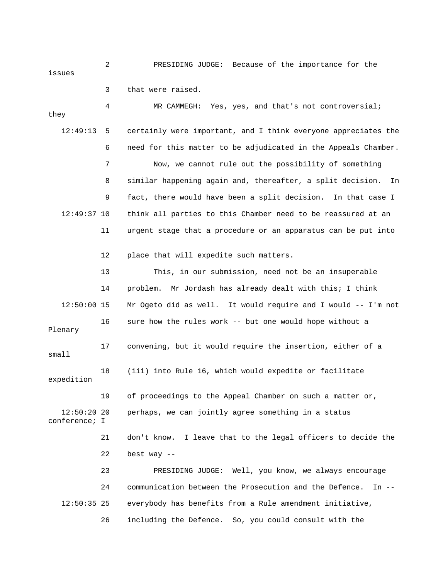2 PRESIDING JUDGE: Because of the importance for the issues

 3 that were raised. 4 MR CAMMEGH: Yes, yes, and that's not controversial; they 12:49:13 5 certainly were important, and I think everyone appreciates the 6 need for this matter to be adjudicated in the Appeals Chamber. 7 Now, we cannot rule out the possibility of something 8 similar happening again and, thereafter, a split decision. In 9 fact, there would have been a split decision. In that case I 12:49:37 10 think all parties to this Chamber need to be reassured at an 11 urgent stage that a procedure or an apparatus can be put into 12 place that will expedite such matters. 13 This, in our submission, need not be an insuperable 14 problem. Mr Jordash has already dealt with this; I think 12:50:00 15 Mr Ogeto did as well. It would require and I would -- I'm not 16 sure how the rules work -- but one would hope without a Plenary 17 convening, but it would require the insertion, either of a small 18 (iii) into Rule 16, which would expedite or facilitate expedition 19 of proceedings to the Appeal Chamber on such a matter or, 12:50:20 20 perhaps, we can jointly agree something in a status conference; I 21 don't know. I leave that to the legal officers to decide the 22 best way --

 23 PRESIDING JUDGE: Well, you know, we always encourage 24 communication between the Prosecution and the Defence. In -- 12:50:35 25 everybody has benefits from a Rule amendment initiative, 26 including the Defence. So, you could consult with the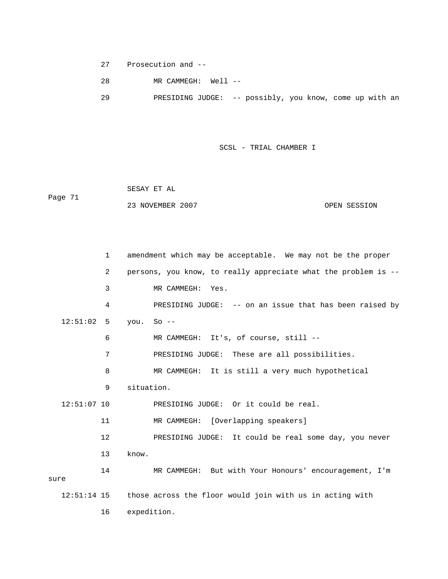27 Prosecution and --

28 MR CAMMEGH: Well --

29 PRESIDING JUDGE: -- possibly, you know, come up with an

SCSL - TRIAL CHAMBER I

 SESAY ET AL Page 71 23 NOVEMBER 2007 OPEN SESSION

 1 amendment which may be acceptable. We may not be the proper 2 persons, you know, to really appreciate what the problem is -- 3 MR CAMMEGH: Yes. 4 PRESIDING JUDGE: -- on an issue that has been raised by 12:51:02 5 you. So -- 6 MR CAMMEGH: It's, of course, still -- 7 PRESIDING JUDGE: These are all possibilities. 8 MR CAMMEGH: It is still a very much hypothetical 9 situation. 12:51:07 10 PRESIDING JUDGE: Or it could be real. 11 MR CAMMEGH: [Overlapping speakers] 12 PRESIDING JUDGE: It could be real some day, you never 13 know. 14 MR CAMMEGH: But with Your Honours' encouragement, I'm sure 12:51:14 15 those across the floor would join with us in acting with 16 expedition.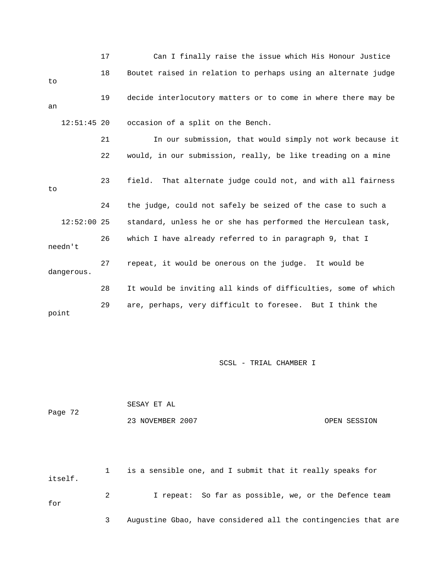|               | 17 | Can I finally raise the issue which His Honour Justice          |
|---------------|----|-----------------------------------------------------------------|
| to            | 18 | Boutet raised in relation to perhaps using an alternate judge   |
| an            | 19 | decide interlocutory matters or to come in where there may be   |
| $12:51:45$ 20 |    | occasion of a split on the Bench.                               |
|               | 21 | In our submission, that would simply not work because it        |
|               | 22 | would, in our submission, really, be like treading on a mine    |
| to            | 23 | field.<br>That alternate judge could not, and with all fairness |
|               | 24 | the judge, could not safely be seized of the case to such a     |
| $12:52:00$ 25 |    | standard, unless he or she has performed the Herculean task,    |
| needn't       | 26 | which I have already referred to in paragraph 9, that I         |
| dangerous.    | 27 | repeat, it would be onerous on the judge. It would be           |
|               | 28 | It would be inviting all kinds of difficulties, some of which   |
| point         | 29 | are, perhaps, very difficult to foresee. But I think the        |

|         | SESAY ET AL      |              |
|---------|------------------|--------------|
| Page 72 |                  |              |
|         | 23 NOVEMBER 2007 | OPEN SESSION |

 1 is a sensible one, and I submit that it really speaks for itself. 2 I repeat: So far as possible, we, or the Defence team for 3 Augustine Gbao, have considered all the contingencies that are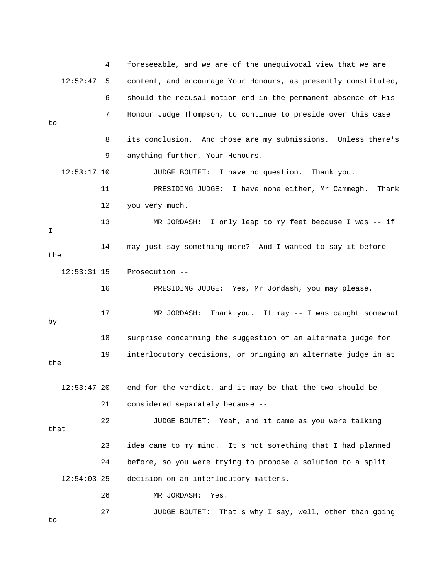4 foreseeable, and we are of the unequivocal view that we are 12:52:47 5 content, and encourage Your Honours, as presently constituted, 6 should the recusal motion end in the permanent absence of His 7 Honour Judge Thompson, to continue to preside over this case to 8 its conclusion. And those are my submissions. Unless there's 9 anything further, Your Honours. 12:53:17 10 JUDGE BOUTET: I have no question. Thank you. 11 PRESIDING JUDGE: I have none either, Mr Cammegh. Thank 12 you very much. 13 MR JORDASH: I only leap to my feet because I was -- if I 14 may just say something more? And I wanted to say it before the 12:53:31 15 Prosecution -- 16 PRESIDING JUDGE: Yes, Mr Jordash, you may please. 17 MR JORDASH: Thank you. It may -- I was caught somewhat by 18 surprise concerning the suggestion of an alternate judge for 19 interlocutory decisions, or bringing an alternate judge in at the 12:53:47 20 end for the verdict, and it may be that the two should be 21 considered separately because -- 22 JUDGE BOUTET: Yeah, and it came as you were talking that 23 idea came to my mind. It's not something that I had planned 24 before, so you were trying to propose a solution to a split 12:54:03 25 decision on an interlocutory matters. 26 MR JORDASH: Yes. 27 JUDGE BOUTET: That's why I say, well, other than going to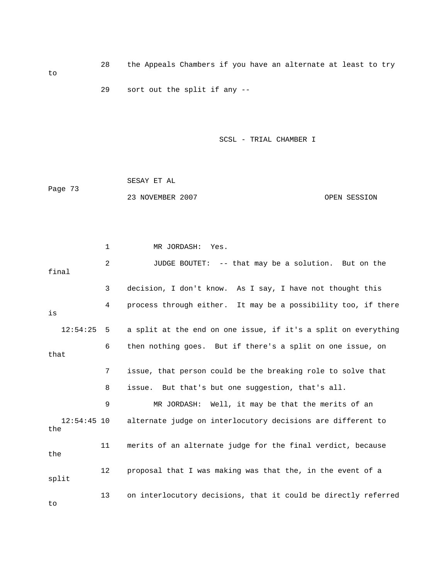28 the Appeals Chambers if you have an alternate at least to try to 29 sort out the split if any --

SCSL - TRIAL CHAMBER I

|         | SESAY ET AL      |              |
|---------|------------------|--------------|
| Page 73 |                  |              |
|         | 23 NOVEMBER 2007 | OPEN SESSION |

 1 MR JORDASH: Yes. 2 JUDGE BOUTET: -- that may be a solution. But on the final 3 decision, I don't know. As I say, I have not thought this 4 process through either. It may be a possibility too, if there is 12:54:25 5 a split at the end on one issue, if it's a split on everything 6 then nothing goes. But if there's a split on one issue, on that 7 issue, that person could be the breaking role to solve that 8 issue. But that's but one suggestion, that's all. 9 MR JORDASH: Well, it may be that the merits of an 12:54:45 10 alternate judge on interlocutory decisions are different to the 11 merits of an alternate judge for the final verdict, because the 12 proposal that I was making was that the, in the event of a split 13 on interlocutory decisions, that it could be directly referred

to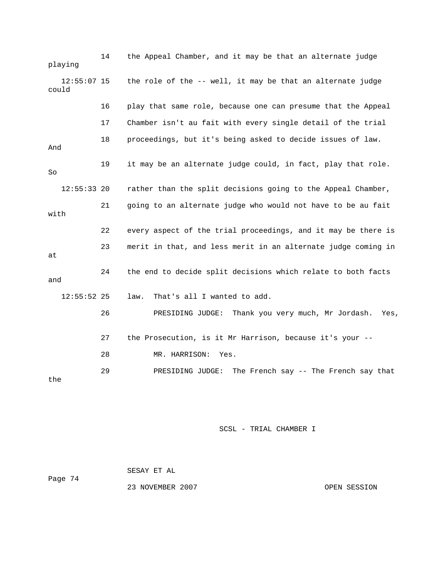14 the Appeal Chamber, and it may be that an alternate judge playing 12:55:07 15 the role of the -- well, it may be that an alternate judge could 16 play that same role, because one can presume that the Appeal 17 Chamber isn't au fait with every single detail of the trial 18 proceedings, but it's being asked to decide issues of law. And 19 it may be an alternate judge could, in fact, play that role. So 12:55:33 20 rather than the split decisions going to the Appeal Chamber, 21 going to an alternate judge who would not have to be au fait with 22 every aspect of the trial proceedings, and it may be there is 23 merit in that, and less merit in an alternate judge coming in at 24 the end to decide split decisions which relate to both facts and 12:55:52 25 law. That's all I wanted to add. 26 PRESIDING JUDGE: Thank you very much, Mr Jordash. Yes, 27 the Prosecution, is it Mr Harrison, because it's your -- 28 MR. HARRISON: Yes. 29 PRESIDING JUDGE: The French say -- The French say that the

SCSL - TRIAL CHAMBER I

|         | SESAY ET AL      |              |
|---------|------------------|--------------|
| Page 74 |                  |              |
|         | 23 NOVEMBER 2007 | OPEN SESSION |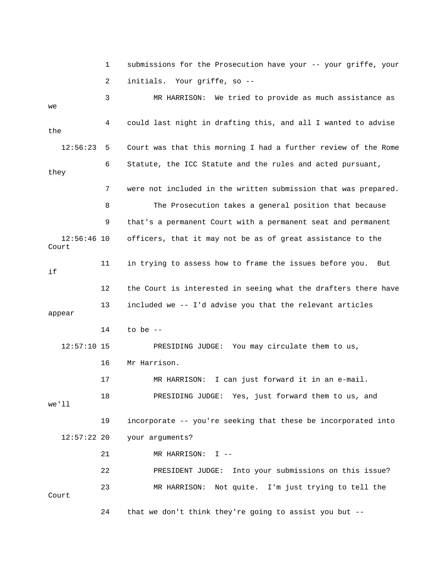1 submissions for the Prosecution have your -- your griffe, your 2 initials. Your griffe, so -- 3 MR HARRISON: We tried to provide as much assistance as we 4 could last night in drafting this, and all I wanted to advise the 12:56:23 5 Court was that this morning I had a further review of the Rome 6 Statute, the ICC Statute and the rules and acted pursuant, they 7 were not included in the written submission that was prepared. 8 The Prosecution takes a general position that because 9 that's a permanent Court with a permanent seat and permanent 12:56:46 10 officers, that it may not be as of great assistance to the Court 11 in trying to assess how to frame the issues before you. But if 12 the Court is interested in seeing what the drafters there have 13 included we -- I'd advise you that the relevant articles appear 14 to be -- 12:57:10 15 PRESIDING JUDGE: You may circulate them to us, 16 Mr Harrison. 17 MR HARRISON: I can just forward it in an e-mail. 18 PRESIDING JUDGE: Yes, just forward them to us, and we'll 19 incorporate -- you're seeking that these be incorporated into 12:57:22 20 your arguments? 21 MR HARRISON: I -- 22 PRESIDENT JUDGE: Into your submissions on this issue? 23 MR HARRISON: Not quite. I'm just trying to tell the Court 24 that we don't think they're going to assist you but --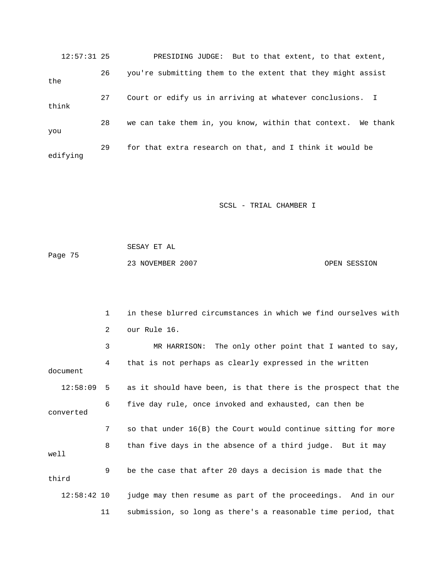12:57:31 25 PRESIDING JUDGE: But to that extent, to that extent, 26 you're submitting them to the extent that they might assist the 27 Court or edify us in arriving at whatever conclusions. I think 28 we can take them in, you know, within that context. We thank you 29 for that extra research on that, and I think it would be edifying

SCSL - TRIAL CHAMBER I

 SESAY ET AL Page 75 23 NOVEMBER 2007 CPEN SESSION

 1 in these blurred circumstances in which we find ourselves with 2 our Rule 16. 3 MR HARRISON: The only other point that I wanted to say, 4 that is not perhaps as clearly expressed in the written document 12:58:09 5 as it should have been, is that there is the prospect that the 6 five day rule, once invoked and exhausted, can then be converted 7 so that under 16(B) the Court would continue sitting for more 8 than five days in the absence of a third judge. But it may well 9 be the case that after 20 days a decision is made that the third 12:58:42 10 judge may then resume as part of the proceedings. And in our 11 submission, so long as there's a reasonable time period, that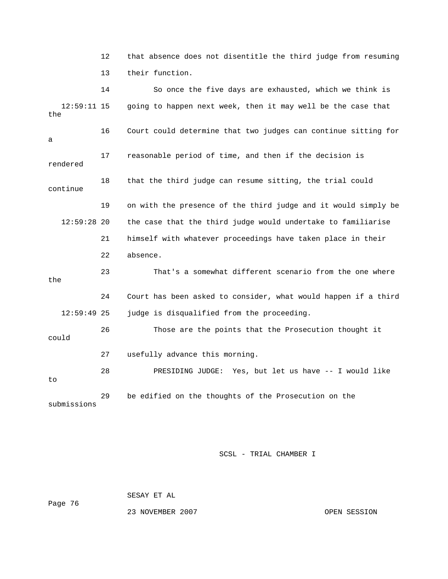12 that absence does not disentitle the third judge from resuming 13 their function.

 14 So once the five days are exhausted, which we think is 12:59:11 15 going to happen next week, then it may well be the case that the 16 Court could determine that two judges can continue sitting for a 17 reasonable period of time, and then if the decision is rendered 18 that the third judge can resume sitting, the trial could continue 19 on with the presence of the third judge and it would simply be 12:59:28 20 the case that the third judge would undertake to familiarise 21 himself with whatever proceedings have taken place in their 22 absence. 23 That's a somewhat different scenario from the one where the 24 Court has been asked to consider, what would happen if a third 12:59:49 25 judge is disqualified from the proceeding. 26 Those are the points that the Prosecution thought it could 27 usefully advance this morning. 28 PRESIDING JUDGE: Yes, but let us have -- I would like to 29 be edified on the thoughts of the Prosecution on the submissions

SCSL - TRIAL CHAMBER I

SESAY ET AL

Page 76

23 NOVEMBER 2007 OPEN SESSION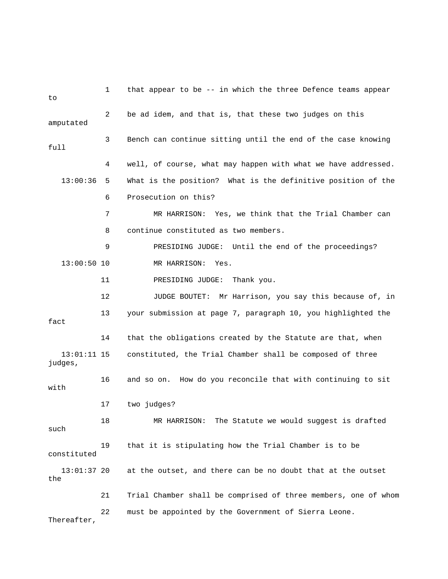| to                       | 1  | that appear to be -- in which the three Defence teams appear   |
|--------------------------|----|----------------------------------------------------------------|
| amputated                | 2  | be ad idem, and that is, that these two judges on this         |
| full                     | 3  | Bench can continue sitting until the end of the case knowing   |
|                          | 4  | well, of course, what may happen with what we have addressed.  |
| 13:00:36                 | 5. | What is the position? What is the definitive position of the   |
|                          | 6  | Prosecution on this?                                           |
|                          | 7  | MR HARRISON: Yes, we think that the Trial Chamber can          |
|                          | 8  | continue constituted as two members.                           |
|                          | 9  | PRESIDING JUDGE: Until the end of the proceedings?             |
| $13:00:50$ 10            |    | MR HARRISON:<br>Yes.                                           |
|                          | 11 | PRESIDING JUDGE:<br>Thank you.                                 |
|                          | 12 | JUDGE BOUTET: Mr Harrison, you say this because of, in         |
| fact                     | 13 | your submission at page 7, paragraph 10, you highlighted the   |
|                          | 14 | that the obligations created by the Statute are that, when     |
| $13:01:11$ 15<br>judges, |    | constituted, the Trial Chamber shall be composed of three      |
| with                     | 16 | and so on. How do you reconcile that with continuing to sit    |
|                          | 17 | two judges?                                                    |
| such                     | 18 | MR HARRISON: The Statute we would suggest is drafted           |
| constituted              | 19 | that it is stipulating how the Trial Chamber is to be          |
| 13:01:37 20<br>the       |    | at the outset, and there can be no doubt that at the outset    |
|                          | 21 | Trial Chamber shall be comprised of three members, one of whom |
| Thereafter,              | 22 | must be appointed by the Government of Sierra Leone.           |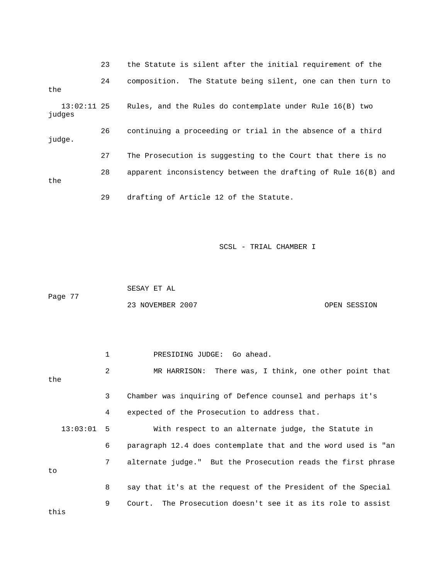23 the Statute is silent after the initial requirement of the 24 composition. The Statute being silent, one can then turn to the 13:02:11 25 Rules, and the Rules do contemplate under Rule 16(B) two judges 26 continuing a proceeding or trial in the absence of a third judge. 27 The Prosecution is suggesting to the Court that there is no 28 apparent inconsistency between the drafting of Rule 16(B) and the 29 drafting of Article 12 of the Statute.

SCSL - TRIAL CHAMBER I

 SESAY ET AL Page 77 23 NOVEMBER 2007 CPEN SESSION

 1 PRESIDING JUDGE: Go ahead. 2 MR HARRISON: There was, I think, one other point that the 3 Chamber was inquiring of Defence counsel and perhaps it's 4 expected of the Prosecution to address that. 13:03:01 5 With respect to an alternate judge, the Statute in 6 paragraph 12.4 does contemplate that and the word used is "an 7 alternate judge." But the Prosecution reads the first phrase to 8 say that it's at the request of the President of the Special 9 Court. The Prosecution doesn't see it as its role to assist this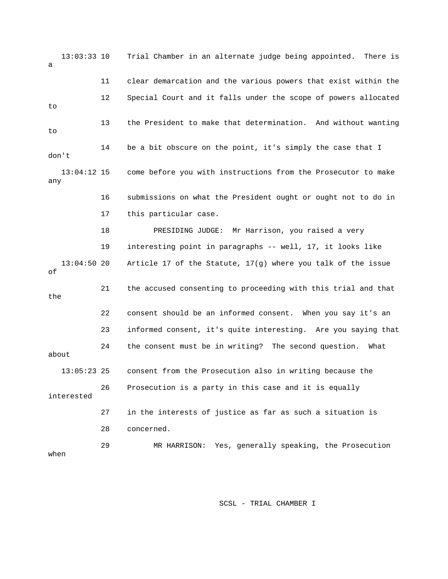13:03:33 10 Trial Chamber in an alternate judge being appointed. There is a 11 clear demarcation and the various powers that exist within the 12 Special Court and it falls under the scope of powers allocated to 13 the President to make that determination. And without wanting to 14 be a bit obscure on the point, it's simply the case that I don't 13:04:12 15 come before you with instructions from the Prosecutor to make any 16 submissions on what the President ought or ought not to do in 17 this particular case. 18 PRESIDING JUDGE: Mr Harrison, you raised a very 19 interesting point in paragraphs -- well, 17, it looks like 13:04:50 20 Article 17 of the Statute, 17(g) where you talk of the issue of 21 the accused consenting to proceeding with this trial and that the 22 consent should be an informed consent. When you say it's an 23 informed consent, it's quite interesting. Are you saying that 24 the consent must be in writing? The second question. What about 13:05:23 25 consent from the Prosecution also in writing because the 26 Prosecution is a party in this case and it is equally interested 27 in the interests of justice as far as such a situation is 28 concerned. 29 MR HARRISON: Yes, generally speaking, the Prosecution when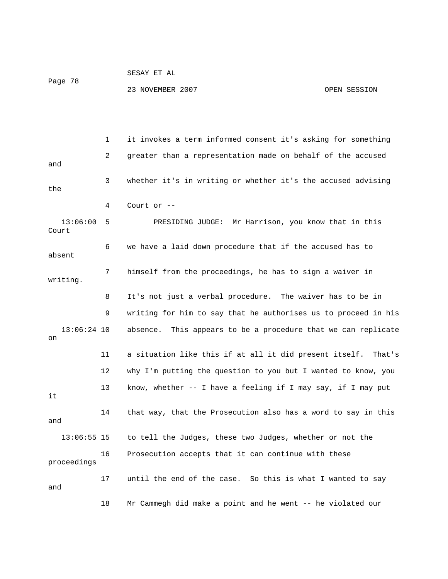```
 SESAY ET AL
```
23 NOVEMBER 2007 CPEN SESSION

 1 it invokes a term informed consent it's asking for something 2 greater than a representation made on behalf of the accused and 3 whether it's in writing or whether it's the accused advising the 4 Court or -- 13:06:00 5 PRESIDING JUDGE: Mr Harrison, you know that in this Court 6 we have a laid down procedure that if the accused has to absent 7 himself from the proceedings, he has to sign a waiver in writing. 8 It's not just a verbal procedure. The waiver has to be in 9 writing for him to say that he authorises us to proceed in his 13:06:24 10 absence. This appears to be a procedure that we can replicate on 11 a situation like this if at all it did present itself. That's 12 why I'm putting the question to you but I wanted to know, you 13 know, whether -- I have a feeling if I may say, if I may put it 14 that way, that the Prosecution also has a word to say in this and 13:06:55 15 to tell the Judges, these two Judges, whether or not the 16 Prosecution accepts that it can continue with these proceedings 17 until the end of the case. So this is what I wanted to say and 18 Mr Cammegh did make a point and he went -- he violated our

Page 78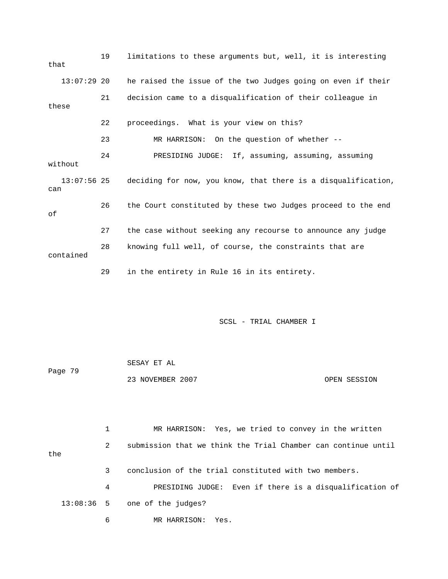| that  |               | 19 | limitations to these arguments but, well, it is interesting   |
|-------|---------------|----|---------------------------------------------------------------|
|       | $13:07:29$ 20 |    | he raised the issue of the two Judges going on even if their  |
| these |               | 21 | decision came to a disqualification of their colleague in     |
|       |               | 22 | proceedings. What is your view on this?                       |
|       |               | 23 | MR HARRISON: On the question of whether --                    |
|       | without       | 24 | PRESIDING JUDGE: If, assuming, assuming, assuming             |
| can   | $13:07:56$ 25 |    | deciding for now, you know, that there is a disqualification, |
| оf    |               | 26 | the Court constituted by these two Judges proceed to the end  |
|       |               | 27 | the case without seeking any recourse to announce any judge   |
|       | contained     | 28 | knowing full well, of course, the constraints that are        |
|       |               | 29 | in the entirety in Rule 16 in its entirety.                   |

 SESAY ET AL Page 79 23 NOVEMBER 2007 CPEN SESSION

 1 MR HARRISON: Yes, we tried to convey in the written 2 submission that we think the Trial Chamber can continue until the 3 conclusion of the trial constituted with two members. 4 PRESIDING JUDGE: Even if there is a disqualification of 13:08:36 5 one of the judges? 6 MR HARRISON: Yes.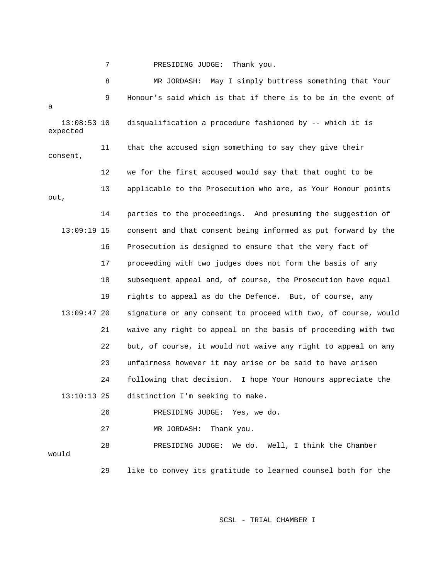7 PRESIDING JUDGE: Thank you.

 8 MR JORDASH: May I simply buttress something that Your 9 Honour's said which is that if there is to be in the event of a 13:08:53 10 disqualification a procedure fashioned by -- which it is expected 11 that the accused sign something to say they give their consent, 12 we for the first accused would say that that ought to be 13 applicable to the Prosecution who are, as Your Honour points out, 14 parties to the proceedings. And presuming the suggestion of 13:09:19 15 consent and that consent being informed as put forward by the 16 Prosecution is designed to ensure that the very fact of 17 proceeding with two judges does not form the basis of any 18 subsequent appeal and, of course, the Prosecution have equal 19 rights to appeal as do the Defence. But, of course, any 13:09:47 20 signature or any consent to proceed with two, of course, would 21 waive any right to appeal on the basis of proceeding with two 22 but, of course, it would not waive any right to appeal on any 23 unfairness however it may arise or be said to have arisen 24 following that decision. I hope Your Honours appreciate the 13:10:13 25 distinction I'm seeking to make. 26 PRESIDING JUDGE: Yes, we do. 27 MR JORDASH: Thank you. 28 PRESIDING JUDGE: We do. Well, I think the Chamber would 29 like to convey its gratitude to learned counsel both for the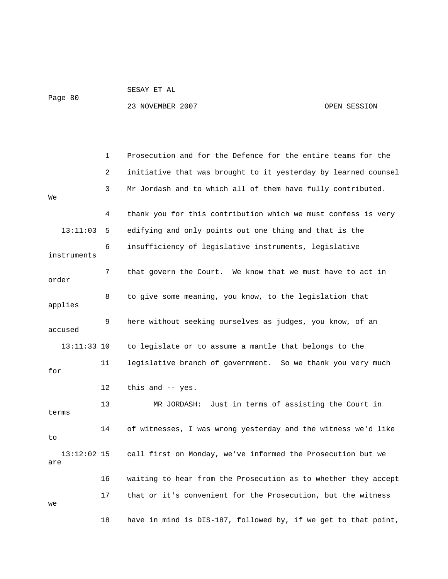## SESAY ET AL

Page 80

23 NOVEMBER 2007 CHARLOT CONTROLLER SESSION

 1 Prosecution and for the Defence for the entire teams for the 2 initiative that was brought to it yesterday by learned counsel 3 Mr Jordash and to which all of them have fully contributed. We 4 thank you for this contribution which we must confess is very 13:11:03 5 edifying and only points out one thing and that is the 6 insufficiency of legislative instruments, legislative instruments 7 that govern the Court. We know that we must have to act in order 8 to give some meaning, you know, to the legislation that applies 9 here without seeking ourselves as judges, you know, of an accused 13:11:33 10 to legislate or to assume a mantle that belongs to the 11 legislative branch of government. So we thank you very much for 12 this and -- yes. 13 MR JORDASH: Just in terms of assisting the Court in terms 14 of witnesses, I was wrong yesterday and the witness we'd like to 13:12:02 15 call first on Monday, we've informed the Prosecution but we are 16 waiting to hear from the Prosecution as to whether they accept 17 that or it's convenient for the Prosecution, but the witness we 18 have in mind is DIS-187, followed by, if we get to that point,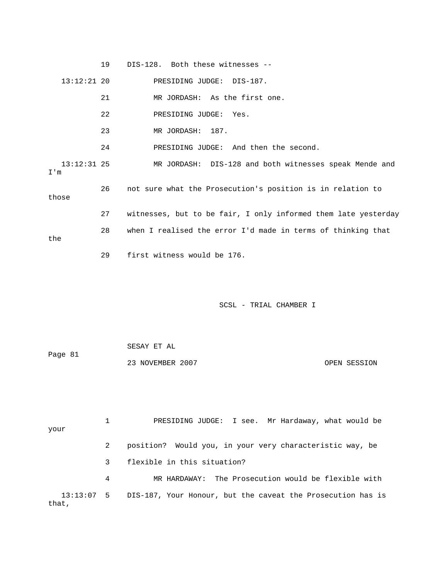|                      | 19 | DIS-128. Both these witnesses --                               |
|----------------------|----|----------------------------------------------------------------|
| $13:12:21$ 20        |    | PRESIDING JUDGE: DIS-187.                                      |
|                      | 21 | MR JORDASH: As the first one.                                  |
|                      | 22 | PRESIDING JUDGE:<br>Yes.                                       |
|                      | 23 | MR JORDASH: 187.                                               |
|                      | 24 | PRESIDING JUDGE: And then the second.                          |
| $13:12:31$ 25<br>I'm |    | MR JORDASH: DIS-128 and both witnesses speak Mende and         |
| those                | 26 | not sure what the Prosecution's position is in relation to     |
|                      | 27 | witnesses, but to be fair, I only informed them late yesterday |
| the                  | 28 | when I realised the error I'd made in terms of thinking that   |
|                      | 29 | first witness would be 176.                                    |

 SESAY ET AL Page 81 23 NOVEMBER 2007 OPEN SESSION

 1 PRESIDING JUDGE: I see. Mr Hardaway, what would be your 2 position? Would you, in your very characteristic way, be 3 flexible in this situation? 4 MR HARDAWAY: The Prosecution would be flexible with 13:13:07 5 DIS-187, Your Honour, but the caveat the Prosecution has is that,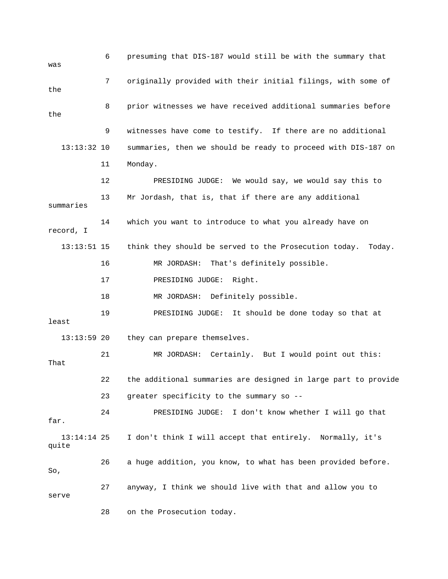| was                    | 6  | presuming that DIS-187 would still be with the summary that     |
|------------------------|----|-----------------------------------------------------------------|
| the                    | 7  | originally provided with their initial filings, with some of    |
| the                    | 8  | prior witnesses we have received additional summaries before    |
|                        | 9  | witnesses have come to testify. If there are no additional      |
| $13:13:32$ 10          |    | summaries, then we should be ready to proceed with DIS-187 on   |
|                        | 11 | Monday.                                                         |
|                        | 12 | PRESIDING JUDGE: We would say, we would say this to             |
| summaries              | 13 | Mr Jordash, that is, that if there are any additional           |
| record, I              | 14 | which you want to introduce to what you already have on         |
| $13:13:51$ 15          |    | think they should be served to the Prosecution today.<br>Today. |
|                        | 16 | MR JORDASH: That's definitely possible.                         |
|                        | 17 | PRESIDING JUDGE:<br>Right.                                      |
|                        | 18 | MR JORDASH: Definitely possible.                                |
| least                  | 19 | PRESIDING JUDGE: It should be done today so that at             |
| $13:13:59$ 20          |    | they can prepare themselves.                                    |
| That                   | 21 | MR JORDASH: Certainly. But I would point out this:              |
|                        | 22 | the additional summaries are designed in large part to provide  |
|                        | 23 | greater specificity to the summary so --                        |
| far.                   | 24 | PRESIDING JUDGE: I don't know whether I will go that            |
| $13:14:14$ 25<br>quite |    | I don't think I will accept that entirely. Normally, it's       |
| So,                    | 26 | a huge addition, you know, to what has been provided before.    |
| serve                  | 27 | anyway, I think we should live with that and allow you to       |
|                        | 28 | on the Prosecution today.                                       |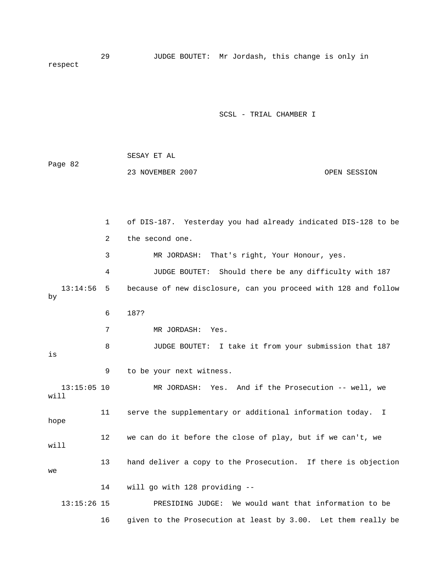29 JUDGE BOUTET: Mr Jordash, this change is only in respect

SCSL - TRIAL CHAMBER I

| Page 82 | SESAY ET AL      |              |  |
|---------|------------------|--------------|--|
|         | 23 NOVEMBER 2007 | OPEN SESSION |  |
|         |                  |              |  |

 1 of DIS-187. Yesterday you had already indicated DIS-128 to be 2 the second one. 3 MR JORDASH: That's right, Your Honour, yes. 4 JUDGE BOUTET: Should there be any difficulty with 187 13:14:56 5 because of new disclosure, can you proceed with 128 and follow by 6 187? 7 MR JORDASH: Yes. 8 JUDGE BOUTET: I take it from your submission that 187 is 9 to be your next witness. 13:15:05 10 MR JORDASH: Yes. And if the Prosecution -- well, we will 11 serve the supplementary or additional information today. I hope 12 we can do it before the close of play, but if we can't, we will 13 hand deliver a copy to the Prosecution. If there is objection we 14 will go with 128 providing -- 13:15:26 15 PRESIDING JUDGE: We would want that information to be 16 given to the Prosecution at least by 3.00. Let them really be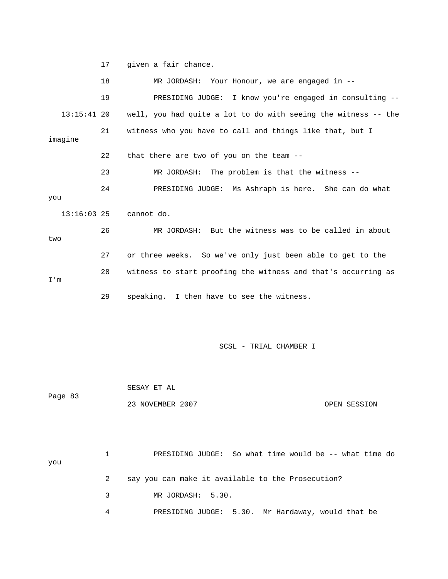17 given a fair chance.

18 MR JORDASH: Your Honour, we are engaged in -- 19 PRESIDING JUDGE: I know you're engaged in consulting -- 13:15:41 20 well, you had quite a lot to do with seeing the witness -- the 21 witness who you have to call and things like that, but I imagine 22 that there are two of you on the team -- 23 MR JORDASH: The problem is that the witness -- 24 PRESIDING JUDGE: Ms Ashraph is here. She can do what you 13:16:03 25 cannot do. 26 MR JORDASH: But the witness was to be called in about two 27 or three weeks. So we've only just been able to get to the 28 witness to start proofing the witness and that's occurring as I'm 29 speaking. I then have to see the witness. SCSL - TRIAL CHAMBER I

 SESAY ET AL Page 83 23 NOVEMBER 2007 CPEN SESSION

 1 PRESIDING JUDGE: So what time would be -- what time do you 2 say you can make it available to the Prosecution? 3 MR JORDASH: 5.30. 4 PRESIDING JUDGE: 5.30. Mr Hardaway, would that be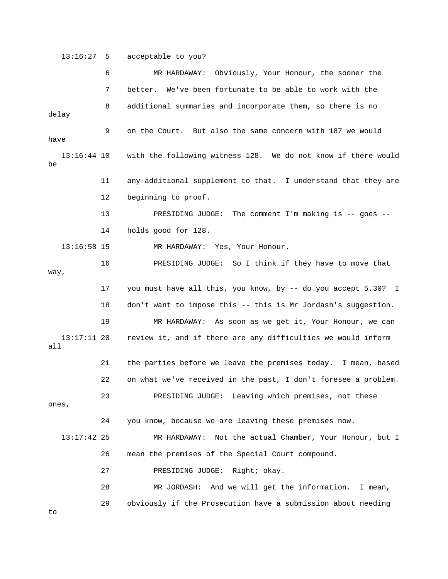13:16:27 5 acceptable to you?

 6 MR HARDAWAY: Obviously, Your Honour, the sooner the 7 better. We've been fortunate to be able to work with the 8 additional summaries and incorporate them, so there is no delay 9 on the Court. But also the same concern with 187 we would have 13:16:44 10 with the following witness 128. We do not know if there would be 11 any additional supplement to that. I understand that they are 12 beginning to proof. 13 PRESIDING JUDGE: The comment I'm making is -- goes -- 14 holds good for 128. 13:16:58 15 MR HARDAWAY: Yes, Your Honour. 16 PRESIDING JUDGE: So I think if they have to move that way, 17 you must have all this, you know, by -- do you accept 5.30? I 18 don't want to impose this -- this is Mr Jordash's suggestion. 19 MR HARDAWAY: As soon as we get it, Your Honour, we can 13:17:11 20 review it, and if there are any difficulties we would inform all 21 the parties before we leave the premises today. I mean, based 22 on what we've received in the past, I don't foresee a problem. 23 PRESIDING JUDGE: Leaving which premises, not these ones, 24 you know, because we are leaving these premises now. 13:17:42 25 MR HARDAWAY: Not the actual Chamber, Your Honour, but I 26 mean the premises of the Special Court compound. 27 PRESIDING JUDGE: Right; okay. 28 MR JORDASH: And we will get the information. I mean, 29 obviously if the Prosecution have a submission about needing to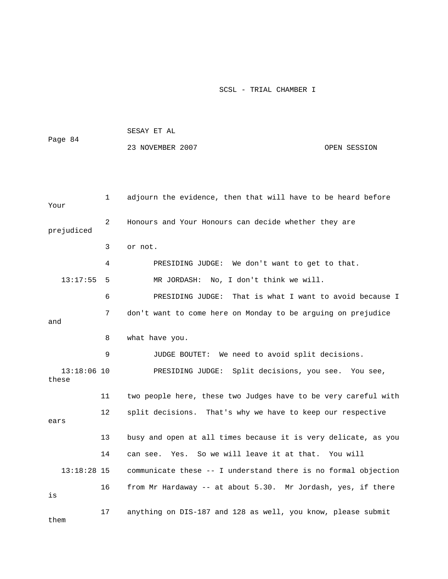|                        |    | SESAY ET AL                                                    |              |  |  |
|------------------------|----|----------------------------------------------------------------|--------------|--|--|
| Page 84                |    | 23 NOVEMBER 2007                                               | OPEN SESSION |  |  |
|                        |    |                                                                |              |  |  |
|                        |    |                                                                |              |  |  |
| Your                   | 1  | adjourn the evidence, then that will have to be heard before   |              |  |  |
| prejudiced             | 2  | Honours and Your Honours can decide whether they are           |              |  |  |
|                        | 3  | or not.                                                        |              |  |  |
|                        | 4  | PRESIDING JUDGE: We don't want to get to that.                 |              |  |  |
| 13:17:55               | 5  | No, I don't think we will.<br>MR JORDASH:                      |              |  |  |
|                        | 6  | That is what I want to avoid because I<br>PRESIDING JUDGE:     |              |  |  |
|                        | 7  | don't want to come here on Monday to be arguing on prejudice   |              |  |  |
| and                    |    |                                                                |              |  |  |
|                        | 8  | what have you.                                                 |              |  |  |
|                        | 9  | JUDGE BOUTET: We need to avoid split decisions.                |              |  |  |
| $13:18:06$ 10<br>these |    | PRESIDING JUDGE: Split decisions, you see. You see,            |              |  |  |
|                        | 11 | two people here, these two Judges have to be very careful with |              |  |  |
| ears                   | 12 | split decisions. That's why we have to keep our respective     |              |  |  |
|                        | 13 | busy and open at all times because it is very delicate, as you |              |  |  |
|                        | 14 | can see. Yes. So we will leave it at that. You will            |              |  |  |
| $13:18:28$ 15          |    | communicate these -- I understand there is no formal objection |              |  |  |
| is                     | 16 | from Mr Hardaway -- at about 5.30. Mr Jordash, yes, if there   |              |  |  |
| them                   | 17 | anything on DIS-187 and 128 as well, you know, please submit   |              |  |  |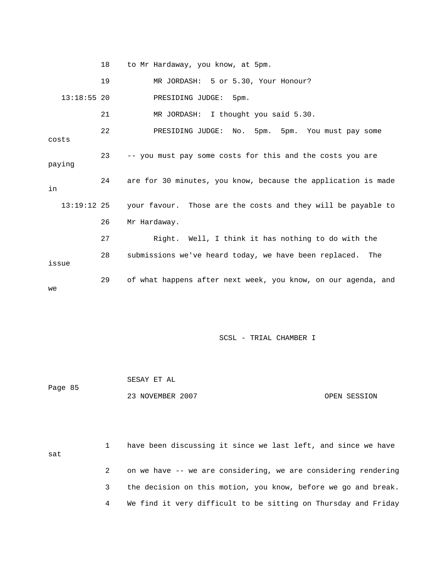18 to Mr Hardaway, you know, at 5pm.

 19 MR JORDASH: 5 or 5.30, Your Honour? 13:18:55 20 PRESIDING JUDGE: 5pm. 21 MR JORDASH: I thought you said 5.30. 22 PRESIDING JUDGE: No. 5pm. 5pm. You must pay some costs 23 -- you must pay some costs for this and the costs you are paying 24 are for 30 minutes, you know, because the application is made in 13:19:12 25 your favour. Those are the costs and they will be payable to 26 Mr Hardaway. 27 Right. Well, I think it has nothing to do with the 28 submissions we've heard today, we have been replaced. The issue 29 of what happens after next week, you know, on our agenda, and we

|         | SESAY ET AL      |              |
|---------|------------------|--------------|
| Page 85 |                  |              |
|         | 23 NOVEMBER 2007 | OPEN SESSION |

| sat | have been discussing it since we last left, and since we have  |
|-----|----------------------------------------------------------------|
|     | on we have -- we are considering, we are considering rendering |
|     | the decision on this motion, you know, before we go and break. |
|     | We find it very difficult to be sitting on Thursday and Friday |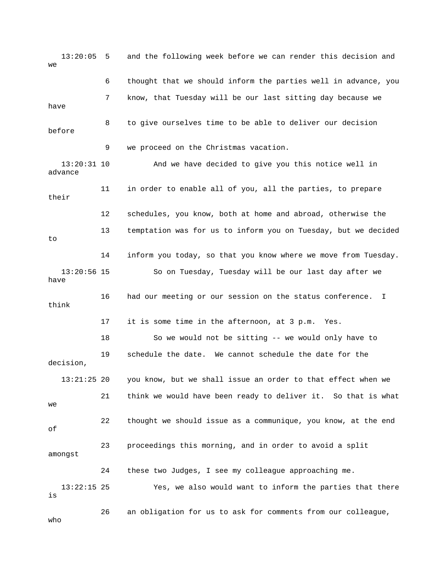13:20:05 5 and the following week before we can render this decision and  $W \ominus$  6 thought that we should inform the parties well in advance, you 7 know, that Tuesday will be our last sitting day because we have 8 to give ourselves time to be able to deliver our decision before 9 we proceed on the Christmas vacation. 13:20:31 10 And we have decided to give you this notice well in advance 11 in order to enable all of you, all the parties, to prepare their 12 schedules, you know, both at home and abroad, otherwise the 13 temptation was for us to inform you on Tuesday, but we decided to 14 inform you today, so that you know where we move from Tuesday. 13:20:56 15 So on Tuesday, Tuesday will be our last day after we have 16 had our meeting or our session on the status conference. I think 17 it is some time in the afternoon, at 3 p.m. Yes. 18 So we would not be sitting -- we would only have to 19 schedule the date. We cannot schedule the date for the decision, 13:21:25 20 you know, but we shall issue an order to that effect when we 21 think we would have been ready to deliver it. So that is what we 22 thought we should issue as a communique, you know, at the end of 23 proceedings this morning, and in order to avoid a split amongst 24 these two Judges, I see my colleague approaching me. 13:22:15 25 Yes, we also would want to inform the parties that there is 26 an obligation for us to ask for comments from our colleague, who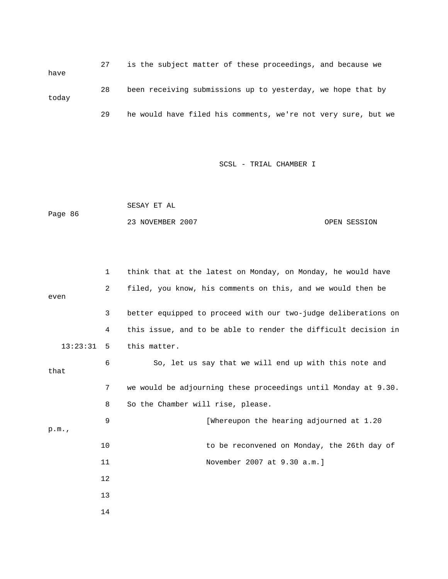27 is the subject matter of these proceedings, and because we have 28 been receiving submissions up to yesterday, we hope that by today 29 he would have filed his comments, we're not very sure, but we

| Page 86 | SESAY ET AL      |              |
|---------|------------------|--------------|
|         | 23 NOVEMBER 2007 | OPEN SESSION |

|          | $\mathbf{1}$   | think that at the latest on Monday, on Monday, he would have   |
|----------|----------------|----------------------------------------------------------------|
|          | $\overline{2}$ | filed, you know, his comments on this, and we would then be    |
| even     |                |                                                                |
|          | 3              | better equipped to proceed with our two-judge deliberations on |
|          | 4              | this issue, and to be able to render the difficult decision in |
| 13:23:31 | 5              | this matter.                                                   |
|          | 6              | So, let us say that we will end up with this note and          |
| that     |                |                                                                |
|          | 7              | we would be adjourning these proceedings until Monday at 9.30. |
|          | 8              | So the Chamber will rise, please.                              |
|          | 9              | [Whereupon the hearing adjourned at 1.20                       |
| p.m.     |                |                                                                |
|          | 10             | to be reconvened on Monday, the 26th day of                    |
|          | 11             | November 2007 at 9.30 a.m.]                                    |
|          | 12             |                                                                |
|          | 13             |                                                                |
|          | 14             |                                                                |